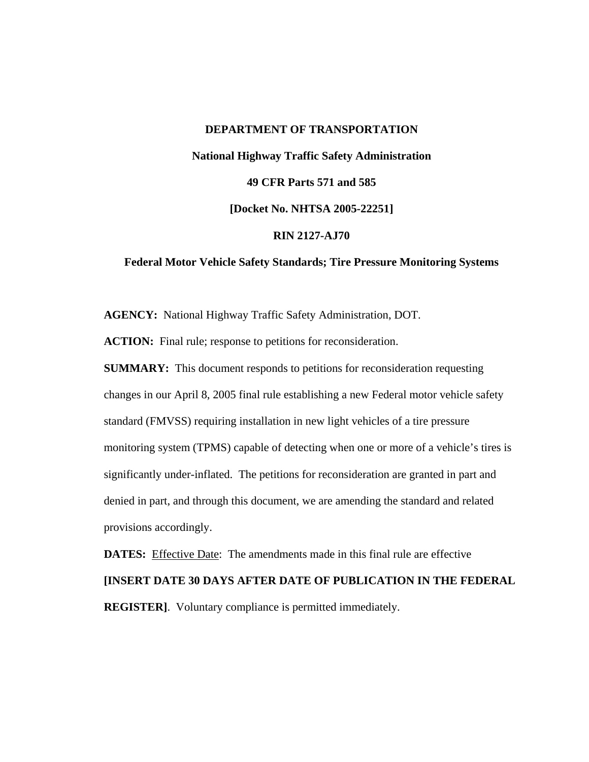## **DEPARTMENT OF TRANSPORTATION**

**National Highway Traffic Safety Administration 49 CFR Parts 571 and 585 [Docket No. NHTSA 2005-22251] RIN 2127-AJ70** 

#### **Federal Motor Vehicle Safety Standards; Tire Pressure Monitoring Systems**

**AGENCY:** National Highway Traffic Safety Administration, DOT.

ACTION: Final rule; response to petitions for reconsideration.

**SUMMARY:** This document responds to petitions for reconsideration requesting changes in our April 8, 2005 final rule establishing a new Federal motor vehicle safety standard (FMVSS) requiring installation in new light vehicles of a tire pressure monitoring system (TPMS) capable of detecting when one or more of a vehicle's tires is significantly under-inflated. The petitions for reconsideration are granted in part and denied in part, and through this document, we are amending the standard and related provisions accordingly.

**DATES:** Effective Date: The amendments made in this final rule are effective **[INSERT DATE 30 DAYS AFTER DATE OF PUBLICATION IN THE FEDERAL REGISTER]**. Voluntary compliance is permitted immediately.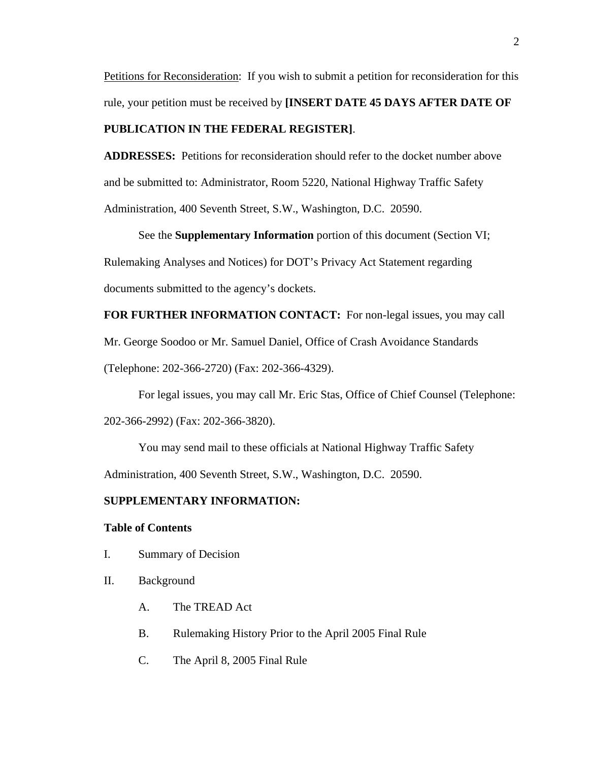Petitions for Reconsideration: If you wish to submit a petition for reconsideration for this rule, your petition must be received by **[INSERT DATE 45 DAYS AFTER DATE OF PUBLICATION IN THE FEDERAL REGISTER]**.

**ADDRESSES:** Petitions for reconsideration should refer to the docket number above and be submitted to: Administrator, Room 5220, National Highway Traffic Safety Administration, 400 Seventh Street, S.W., Washington, D.C. 20590.

 See the **Supplementary Information** portion of this document (Section VI; Rulemaking Analyses and Notices) for DOT's Privacy Act Statement regarding documents submitted to the agency's dockets.

**FOR FURTHER INFORMATION CONTACT:** For non-legal issues, you may call Mr. George Soodoo or Mr. Samuel Daniel, Office of Crash Avoidance Standards (Telephone: 202-366-2720) (Fax: 202-366-4329).

For legal issues, you may call Mr. Eric Stas, Office of Chief Counsel (Telephone: 202-366-2992) (Fax: 202-366-3820).

You may send mail to these officials at National Highway Traffic Safety

Administration, 400 Seventh Street, S.W., Washington, D.C. 20590.

# **SUPPLEMENTARY INFORMATION:**

# **Table of Contents**

- I. Summary of Decision
- II. Background
	- A. The TREAD Act
	- B. Rulemaking History Prior to the April 2005 Final Rule
	- C. The April 8, 2005 Final Rule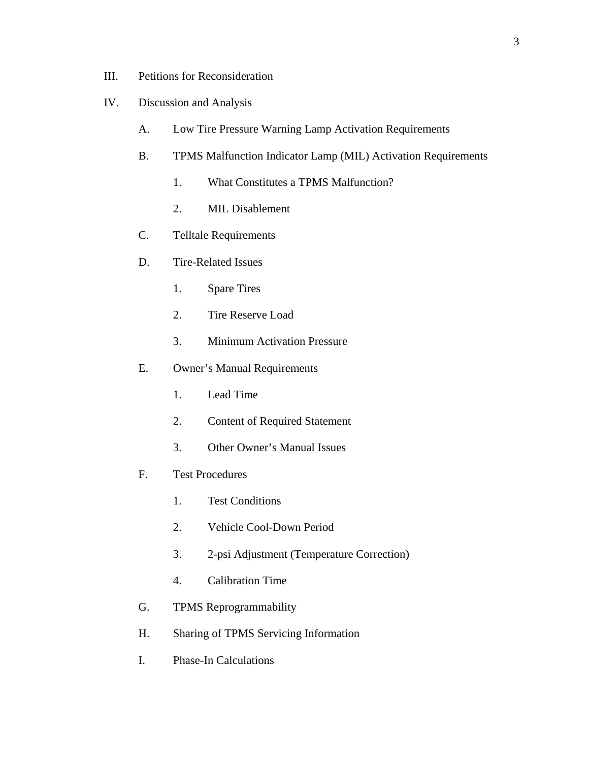- III. Petitions for Reconsideration
- IV. Discussion and Analysis
	- A. Low Tire Pressure Warning Lamp Activation Requirements
	- B. TPMS Malfunction Indicator Lamp (MIL) Activation Requirements
		- 1. What Constitutes a TPMS Malfunction?
		- 2. MIL Disablement
	- C. Telltale Requirements
	- D. Tire-Related Issues
		- 1. Spare Tires
		- 2. Tire Reserve Load
		- 3. Minimum Activation Pressure
	- E. Owner's Manual Requirements
		- 1. Lead Time
		- 2. Content of Required Statement
		- 3. Other Owner's Manual Issues
	- F. Test Procedures
		- 1. Test Conditions
		- 2. Vehicle Cool-Down Period
		- 3. 2-psi Adjustment (Temperature Correction)
		- 4. Calibration Time
	- G. TPMS Reprogrammability
	- H. Sharing of TPMS Servicing Information
	- I. Phase-In Calculations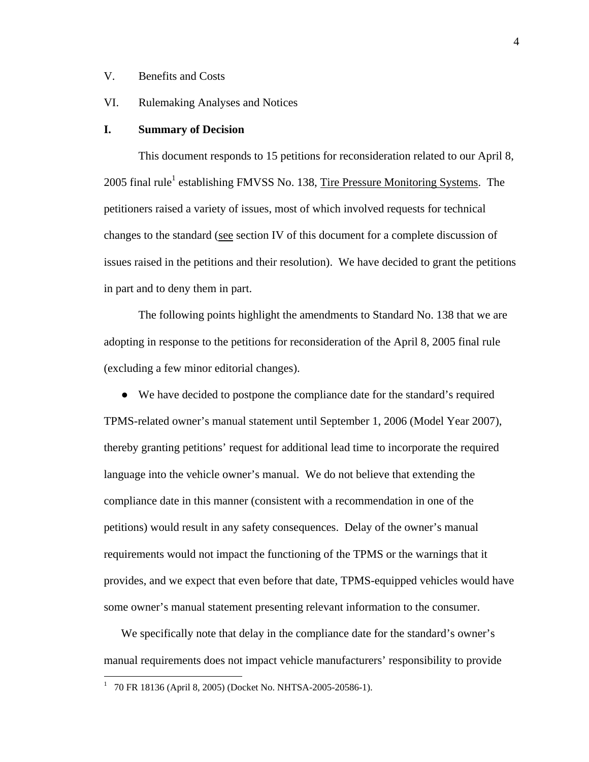- V. Benefits and Costs
- VI. Rulemaking Analyses and Notices

### **I. Summary of Decision**

This document responds to 15 petitions for reconsideration related to our April 8, 2005 final rule<sup>[1](#page-3-0)</sup> establishing FMVSS No. 138, Tire Pressure Monitoring Systems. The petitioners raised a variety of issues, most of which involved requests for technical changes to the standard (see section IV of this document for a complete discussion of issues raised in the petitions and their resolution). We have decided to grant the petitions in part and to deny them in part.

The following points highlight the amendments to Standard No. 138 that we are adopting in response to the petitions for reconsideration of the April 8, 2005 final rule (excluding a few minor editorial changes).

● We have decided to postpone the compliance date for the standard's required TPMS-related owner's manual statement until September 1, 2006 (Model Year 2007), thereby granting petitions' request for additional lead time to incorporate the required language into the vehicle owner's manual. We do not believe that extending the compliance date in this manner (consistent with a recommendation in one of the petitions) would result in any safety consequences. Delay of the owner's manual requirements would not impact the functioning of the TPMS or the warnings that it provides, and we expect that even before that date, TPMS-equipped vehicles would have some owner's manual statement presenting relevant information to the consumer.

We specifically note that delay in the compliance date for the standard's owner's manual requirements does not impact vehicle manufacturers' responsibility to provide

<span id="page-3-0"></span> 1 70 FR 18136 (April 8, 2005) (Docket No. NHTSA-2005-20586-1).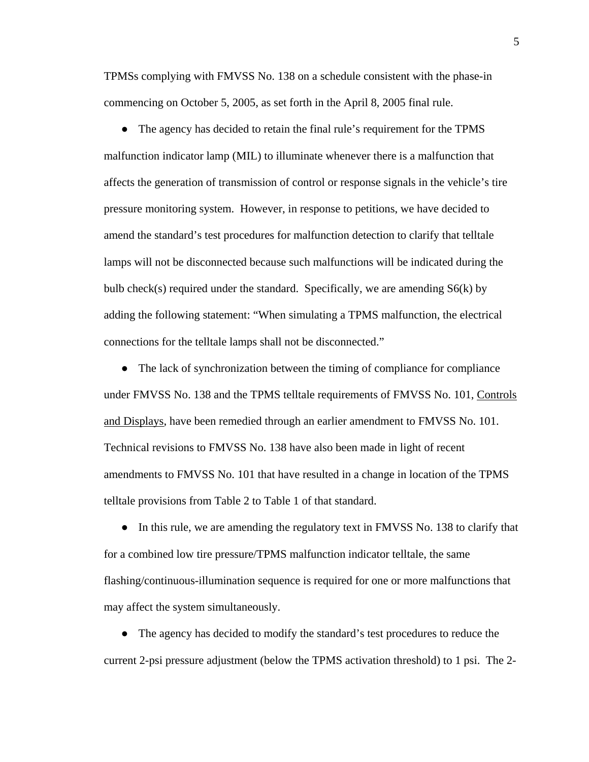TPMSs complying with FMVSS No. 138 on a schedule consistent with the phase-in commencing on October 5, 2005, as set forth in the April 8, 2005 final rule.

• The agency has decided to retain the final rule's requirement for the TPMS malfunction indicator lamp (MIL) to illuminate whenever there is a malfunction that affects the generation of transmission of control or response signals in the vehicle's tire pressure monitoring system. However, in response to petitions, we have decided to amend the standard's test procedures for malfunction detection to clarify that telltale lamps will not be disconnected because such malfunctions will be indicated during the bulb check(s) required under the standard. Specifically, we are amending  $S6(k)$  by adding the following statement: "When simulating a TPMS malfunction, the electrical connections for the telltale lamps shall not be disconnected."

• The lack of synchronization between the timing of compliance for compliance under FMVSS No. 138 and the TPMS telltale requirements of FMVSS No. 101, Controls and Displays, have been remedied through an earlier amendment to FMVSS No. 101. Technical revisions to FMVSS No. 138 have also been made in light of recent amendments to FMVSS No. 101 that have resulted in a change in location of the TPMS telltale provisions from Table 2 to Table 1 of that standard.

• In this rule, we are amending the regulatory text in FMVSS No. 138 to clarify that for a combined low tire pressure/TPMS malfunction indicator telltale, the same flashing/continuous-illumination sequence is required for one or more malfunctions that may affect the system simultaneously.

• The agency has decided to modify the standard's test procedures to reduce the current 2-psi pressure adjustment (below the TPMS activation threshold) to 1 psi. The 2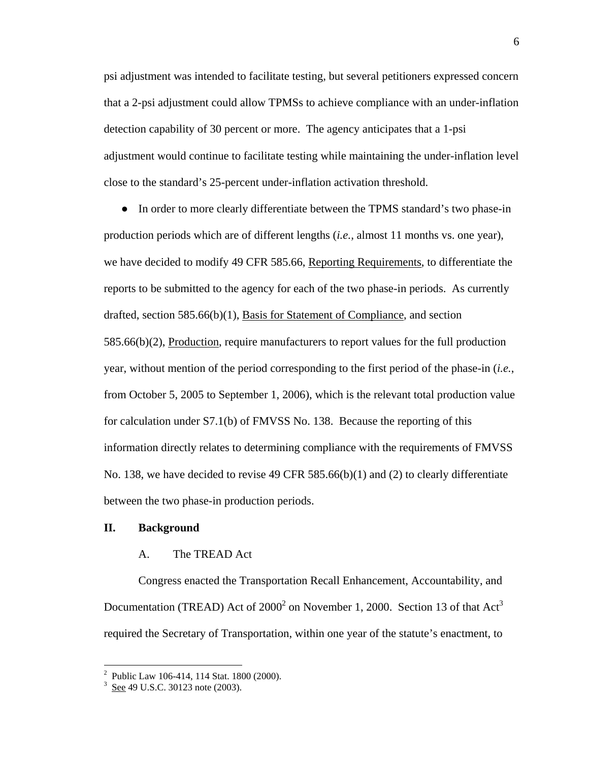psi adjustment was intended to facilitate testing, but several petitioners expressed concern that a 2-psi adjustment could allow TPMSs to achieve compliance with an under-inflation detection capability of 30 percent or more. The agency anticipates that a 1-psi adjustment would continue to facilitate testing while maintaining the under-inflation level close to the standard's 25-percent under-inflation activation threshold.

• In order to more clearly differentiate between the TPMS standard's two phase-in production periods which are of different lengths (*i.e.,* almost 11 months vs. one year), we have decided to modify 49 CFR 585.66, Reporting Requirements, to differentiate the reports to be submitted to the agency for each of the two phase-in periods. As currently drafted, section 585.66(b)(1), Basis for Statement of Compliance, and section 585.66(b)(2), Production, require manufacturers to report values for the full production year, without mention of the period corresponding to the first period of the phase-in (*i.e.*, from October 5, 2005 to September 1, 2006), which is the relevant total production value for calculation under S7.1(b) of FMVSS No. 138. Because the reporting of this information directly relates to determining compliance with the requirements of FMVSS No. 138, we have decided to revise 49 CFR  $585.66(b)(1)$  and (2) to clearly differentiate between the two phase-in production periods.

#### **II. Background**

#### A. The TREAD Act

Congress enacted the Transportation Recall Enhancement, Accountability, and Documentation (TREAD) Act of  $2000<sup>2</sup>$  on November 1, 2000. Section 1[3](#page-5-1) of that Act<sup>3</sup> required the Secretary of Transportation, within one year of the statute's enactment, to

<span id="page-5-0"></span><sup>&</sup>lt;sup>2</sup> Public Law 106-414, 114 Stat. 1800 (2000).<br><sup>3</sup> See 40 U.S.C. 20123 note (2003).

<span id="page-5-1"></span>See 49 U.S.C. 30123 note (2003).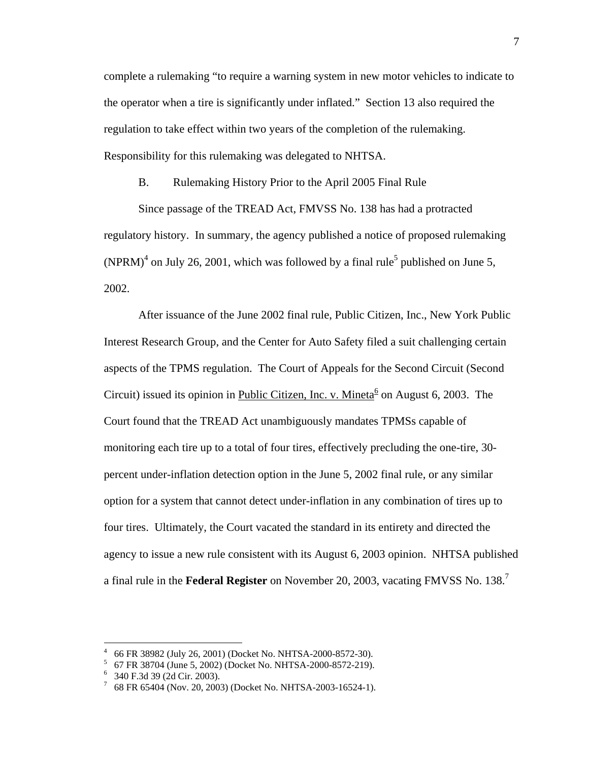complete a rulemaking "to require a warning system in new motor vehicles to indicate to the operator when a tire is significantly under inflated." Section 13 also required the regulation to take effect within two years of the completion of the rulemaking. Responsibility for this rulemaking was delegated to NHTSA.

B. Rulemaking History Prior to the April 2005 Final Rule

Since passage of the TREAD Act, FMVSS No. 138 has had a protracted regulatory history. In summary, the agency published a notice of proposed rulemaking (NPRM)<sup>4</sup>on July 26, 2001, which was followed by a final rule<sup>[5](#page-6-1)</sup> published on June 5, 2002.

After issuance of the June 2002 final rule, Public Citizen, Inc., New York Public Interest Research Group, and the Center for Auto Safety filed a suit challenging certain aspects of the TPMS regulation. The Court of Appeals for the Second Circuit (Second Circuit)issued its opinion in Public Citizen, Inc. v. Mineta<sup>6</sup> on August 6, 2003. The Court found that the TREAD Act unambiguously mandates TPMSs capable of monitoring each tire up to a total of four tires, effectively precluding the one-tire, 30 percent under-inflation detection option in the June 5, 2002 final rule, or any similar option for a system that cannot detect under-inflation in any combination of tires up to four tires. Ultimately, the Court vacated the standard in its entirety and directed the agency to issue a new rule consistent with its August 6, 2003 opinion. NHTSA published a final rule in the **Federal Register** on November 20, 2003, vacating FMVSS No. 138.[7](#page-6-3)

 $\overline{a}$ 

<span id="page-6-0"></span> $^{4}$  66 FR 38982 (July 26, 2001) (Docket No. NHTSA-2000-8572-30).

<span id="page-6-1"></span> <sup>67</sup> FR 38704 (June 5, 2002) (Docket No. NHTSA-2000-8572-219). <sup>6</sup>

<span id="page-6-2"></span> $6$  340 F.3d 39 (2d Cir. 2003).

<span id="page-6-3"></span> <sup>68</sup> FR 65404 (Nov. 20, 2003) (Docket No. NHTSA-2003-16524-1).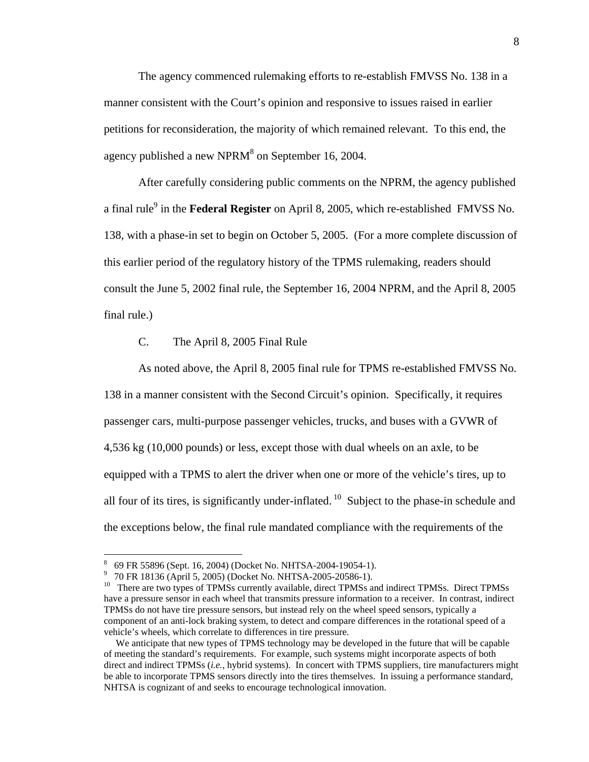The agency commenced rulemaking efforts to re-establish FMVSS No. 138 in a manner consistent with the Court's opinion and responsive to issues raised in earlier petitions for reconsideration, the majority of which remained relevant. To this end, the agency published a new NPR $M^8$  $M^8$  on September 16, 2004.

After carefully considering public comments on the NPRM, the agency published a final rule<sup>9</sup> in the **Federal Register** on April 8, 2005, which re-established FMVSS No. 138, with a phase-in set to begin on October 5, 2005. (For a more complete discussion of this earlier period of the regulatory history of the TPMS rulemaking, readers should consult the June 5, 2002 final rule, the September 16, 2004 NPRM, and the April 8, 2005 final rule.)

### C. The April 8, 2005 Final Rule

As noted above, the April 8, 2005 final rule for TPMS re-established FMVSS No. 138 in a manner consistent with the Second Circuit's opinion. Specifically, it requires passenger cars, multi-purpose passenger vehicles, trucks, and buses with a GVWR of 4,536 kg (10,000 pounds) or less, except those with dual wheels on an axle, to be equipped with a TPMS to alert the driver when one or more of the vehicle's tires, up to all four of its tires, is significantly under-inflated.  $^{10}$  Subject to the phase-in schedule and the exceptions below, the final rule mandated compliance with the requirements of the

<span id="page-7-0"></span><sup>&</sup>lt;sup>8</sup> 69 FR 55896 (Sept. 16, 2004) (Docket No. NHTSA-2004-19054-1).<br><sup>9</sup> 70 EP 18136 (April 5, 2005) (Docket No. NHTSA-2005-20586-1).

<span id="page-7-2"></span><span id="page-7-1"></span>

<sup>&</sup>lt;sup>9</sup> 70 FR 18136 (April 5, 2005) (Docket No. NHTSA-2005-20586-1).<br><sup>10</sup> There are two types of TPMSs currently available, direct TPMSs and indirect TPMSs. Direct TPMSs have a pressure sensor in each wheel that transmits pressure information to a receiver. In contrast, indirect TPMSs do not have tire pressure sensors, but instead rely on the wheel speed sensors, typically a component of an anti-lock braking system, to detect and compare differences in the rotational speed of a vehicle's wheels, which correlate to differences in tire pressure.

We anticipate that new types of TPMS technology may be developed in the future that will be capable of meeting the standard's requirements. For example, such systems might incorporate aspects of both direct and indirect TPMSs (*i.e.*, hybrid systems). In concert with TPMS suppliers, tire manufacturers might be able to incorporate TPMS sensors directly into the tires themselves. In issuing a performance standard, NHTSA is cognizant of and seeks to encourage technological innovation.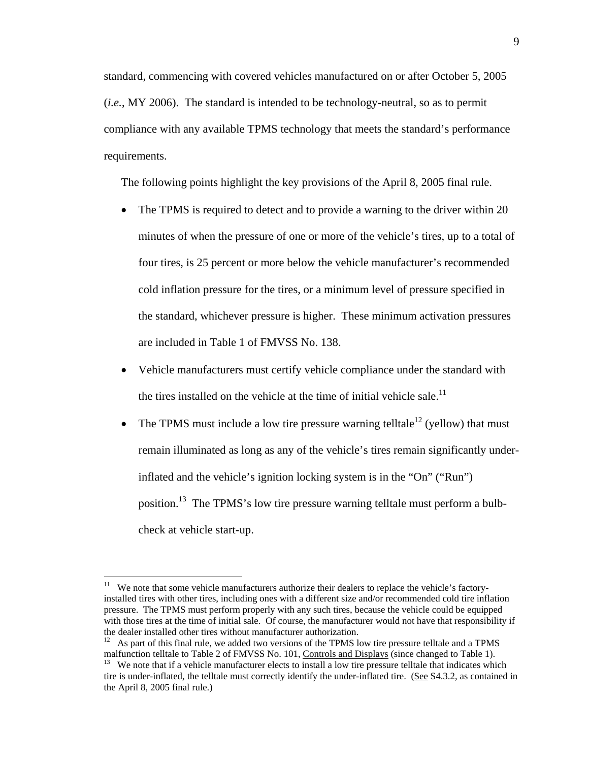standard, commencing with covered vehicles manufactured on or after October 5, 2005 (*i.e.*, MY 2006). The standard is intended to be technology-neutral, so as to permit compliance with any available TPMS technology that meets the standard's performance requirements.

The following points highlight the key provisions of the April 8, 2005 final rule.

- The TPMS is required to detect and to provide a warning to the driver within 20 minutes of when the pressure of one or more of the vehicle's tires, up to a total of four tires, is 25 percent or more below the vehicle manufacturer's recommended cold inflation pressure for the tires, or a minimum level of pressure specified in the standard, whichever pressure is higher. These minimum activation pressures are included in Table 1 of FMVSS No. 138.
- Vehicle manufacturers must certify vehicle compliance under the standard with the tires installed on the vehicle at the time of initial vehicle sale.<sup>[11](#page-8-0)</sup>
- The TPMS must include a low tire pressure warning telltale<sup>12</sup> (yellow) that must remain illuminated as long as any of the vehicle's tires remain significantly underinflated and the vehicle's ignition locking system is in the "On" ("Run") position.[13](#page-8-2) The TPMS's low tire pressure warning telltale must perform a bulbcheck at vehicle start-up.

 $\overline{a}$ 

<span id="page-8-0"></span> $11$  We note that some vehicle manufacturers authorize their dealers to replace the vehicle's factoryinstalled tires with other tires, including ones with a different size and/or recommended cold tire inflation pressure. The TPMS must perform properly with any such tires, because the vehicle could be equipped with those tires at the time of initial sale. Of course, the manufacturer would not have that responsibility if

<span id="page-8-1"></span>the dealer installed other tires without manufacturer authorization.<br><sup>12</sup> As part of this final rule, we added two versions of the TPMS low tire pressure telltale and a TPMS malfunction telltale to Table 2 of FMVSS No. 10

<span id="page-8-2"></span> $13$  We note that if a vehicle manufacturer elects to install a low tire pressure telltale that indicates which tire is under-inflated, the telltale must correctly identify the under-inflated tire. (See S4.3.2, as contained in the April 8, 2005 final rule.)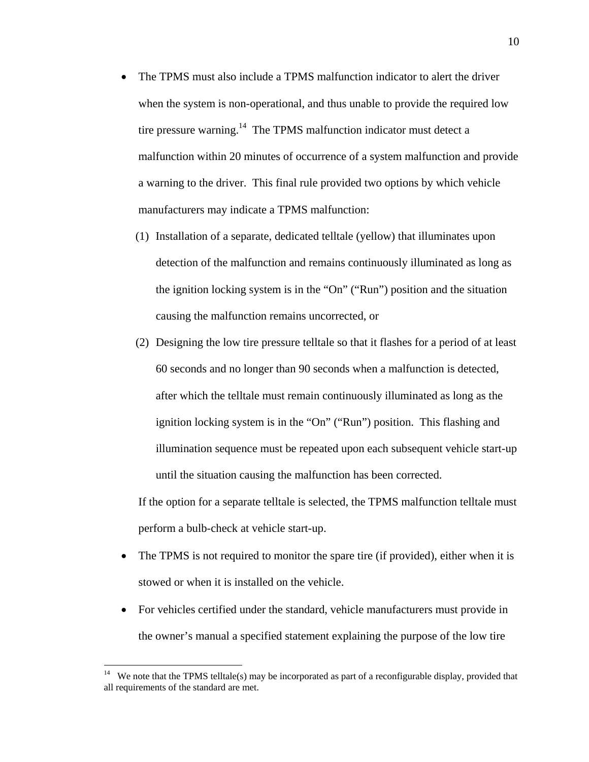- The TPMS must also include a TPMS malfunction indicator to alert the driver when the system is non-operational, and thus unable to provide the required low tire pressure warning.<sup>14</sup> The TPMS malfunction indicator must detect a malfunction within 20 minutes of occurrence of a system malfunction and provide a warning to the driver. This final rule provided two options by which vehicle manufacturers may indicate a TPMS malfunction:
	- (1) Installation of a separate, dedicated telltale (yellow) that illuminates upon detection of the malfunction and remains continuously illuminated as long as the ignition locking system is in the "On" ("Run") position and the situation causing the malfunction remains uncorrected, or
	- (2) Designing the low tire pressure telltale so that it flashes for a period of at least 60 seconds and no longer than 90 seconds when a malfunction is detected, after which the telltale must remain continuously illuminated as long as the ignition locking system is in the "On" ("Run") position. This flashing and illumination sequence must be repeated upon each subsequent vehicle start-up until the situation causing the malfunction has been corrected.

If the option for a separate telltale is selected, the TPMS malfunction telltale must perform a bulb-check at vehicle start-up.

- The TPMS is not required to monitor the spare tire (if provided), either when it is stowed or when it is installed on the vehicle.
- For vehicles certified under the standard, vehicle manufacturers must provide in the owner's manual a specified statement explaining the purpose of the low tire

<span id="page-9-0"></span><sup>&</sup>lt;sup>14</sup> We note that the TPMS telltale(s) may be incorporated as part of a reconfigurable display, provided that all requirements of the standard are met.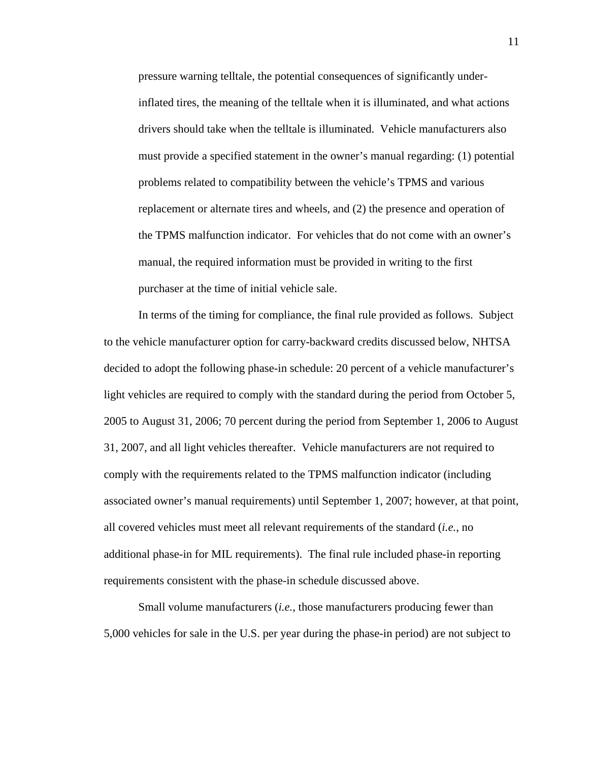pressure warning telltale, the potential consequences of significantly underinflated tires, the meaning of the telltale when it is illuminated, and what actions drivers should take when the telltale is illuminated. Vehicle manufacturers also must provide a specified statement in the owner's manual regarding: (1) potential problems related to compatibility between the vehicle's TPMS and various replacement or alternate tires and wheels, and (2) the presence and operation of the TPMS malfunction indicator. For vehicles that do not come with an owner's manual, the required information must be provided in writing to the first purchaser at the time of initial vehicle sale.

In terms of the timing for compliance, the final rule provided as follows. Subject to the vehicle manufacturer option for carry-backward credits discussed below, NHTSA decided to adopt the following phase-in schedule: 20 percent of a vehicle manufacturer's light vehicles are required to comply with the standard during the period from October 5, 2005 to August 31, 2006; 70 percent during the period from September 1, 2006 to August 31, 2007, and all light vehicles thereafter. Vehicle manufacturers are not required to comply with the requirements related to the TPMS malfunction indicator (including associated owner's manual requirements) until September 1, 2007; however, at that point, all covered vehicles must meet all relevant requirements of the standard (*i.e.*, no additional phase-in for MIL requirements). The final rule included phase-in reporting requirements consistent with the phase-in schedule discussed above.

Small volume manufacturers (*i.e.*, those manufacturers producing fewer than 5,000 vehicles for sale in the U.S. per year during the phase-in period) are not subject to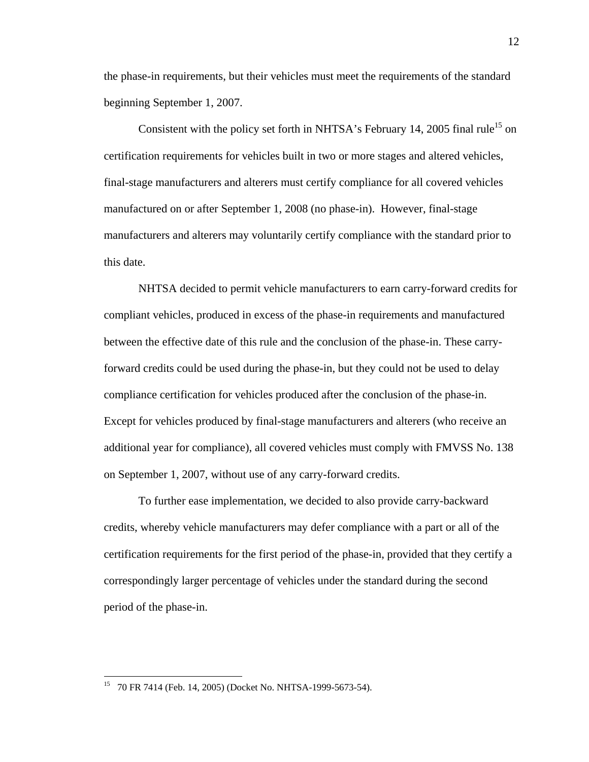the phase-in requirements, but their vehicles must meet the requirements of the standard beginning September 1, 2007.

Consistent with the policy set forth in NHTSA's February 14, 2005 final rule<sup>15</sup> on certification requirements for vehicles built in two or more stages and altered vehicles, final-stage manufacturers and alterers must certify compliance for all covered vehicles manufactured on or after September 1, 2008 (no phase-in). However, final-stage manufacturers and alterers may voluntarily certify compliance with the standard prior to this date.

NHTSA decided to permit vehicle manufacturers to earn carry-forward credits for compliant vehicles, produced in excess of the phase-in requirements and manufactured between the effective date of this rule and the conclusion of the phase-in. These carryforward credits could be used during the phase-in, but they could not be used to delay compliance certification for vehicles produced after the conclusion of the phase-in. Except for vehicles produced by final-stage manufacturers and alterers (who receive an additional year for compliance), all covered vehicles must comply with FMVSS No. 138 on September 1, 2007, without use of any carry-forward credits.

To further ease implementation, we decided to also provide carry-backward credits, whereby vehicle manufacturers may defer compliance with a part or all of the certification requirements for the first period of the phase-in, provided that they certify a correspondingly larger percentage of vehicles under the standard during the second period of the phase-in.

<u>.</u>

<span id="page-11-0"></span><sup>&</sup>lt;sup>15</sup> 70 FR 7414 (Feb. 14, 2005) (Docket No. NHTSA-1999-5673-54).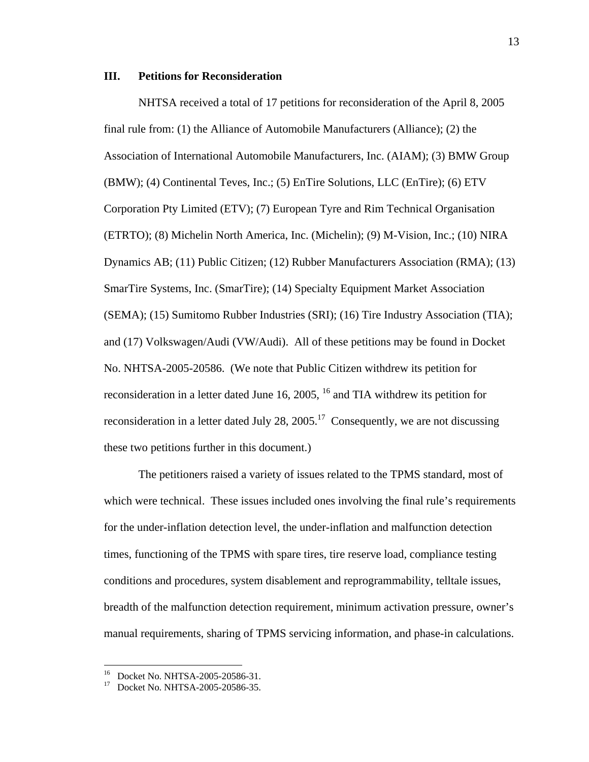#### **III. Petitions for Reconsideration**

NHTSA received a total of 17 petitions for reconsideration of the April 8, 2005 final rule from: (1) the Alliance of Automobile Manufacturers (Alliance); (2) the Association of International Automobile Manufacturers, Inc. (AIAM); (3) BMW Group (BMW); (4) Continental Teves, Inc.; (5) EnTire Solutions, LLC (EnTire); (6) ETV Corporation Pty Limited (ETV); (7) European Tyre and Rim Technical Organisation (ETRTO); (8) Michelin North America, Inc. (Michelin); (9) M-Vision, Inc.; (10) NIRA Dynamics AB; (11) Public Citizen; (12) Rubber Manufacturers Association (RMA); (13) SmarTire Systems, Inc. (SmarTire); (14) Specialty Equipment Market Association (SEMA); (15) Sumitomo Rubber Industries (SRI); (16) Tire Industry Association (TIA); and (17) Volkswagen/Audi (VW/Audi). All of these petitions may be found in Docket No. NHTSA-2005-20586. (We note that Public Citizen withdrew its petition for reconsideration in a letter dated June 16, 2005,  $^{16}$  and TIA withdrew its petition for reconsideration in a letter dated July 28, 2005.<sup>17</sup> Consequently, we are not discussing these two petitions further in this document.)

The petitioners raised a variety of issues related to the TPMS standard, most of which were technical. These issues included ones involving the final rule's requirements for the under-inflation detection level, the under-inflation and malfunction detection times, functioning of the TPMS with spare tires, tire reserve load, compliance testing conditions and procedures, system disablement and reprogrammability, telltale issues, breadth of the malfunction detection requirement, minimum activation pressure, owner's manual requirements, sharing of TPMS servicing information, and phase-in calculations.

<span id="page-12-0"></span><sup>&</sup>lt;sup>16</sup> Docket No. NHTSA-2005-20586-31.<br><sup>17</sup> Docket No. NHTSA-2005-20586-35.

<span id="page-12-1"></span>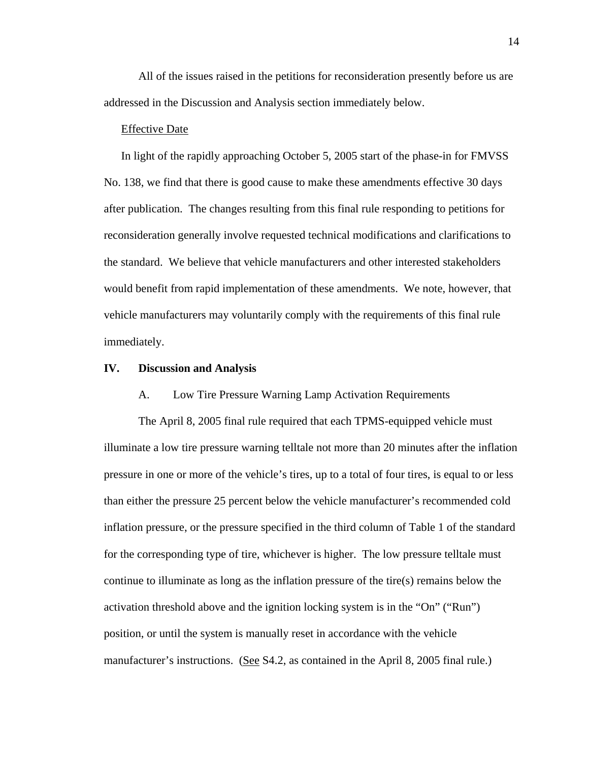All of the issues raised in the petitions for reconsideration presently before us are addressed in the Discussion and Analysis section immediately below.

#### Effective Date

In light of the rapidly approaching October 5, 2005 start of the phase-in for FMVSS No. 138, we find that there is good cause to make these amendments effective 30 days after publication. The changes resulting from this final rule responding to petitions for reconsideration generally involve requested technical modifications and clarifications to the standard. We believe that vehicle manufacturers and other interested stakeholders would benefit from rapid implementation of these amendments. We note, however, that vehicle manufacturers may voluntarily comply with the requirements of this final rule immediately.

#### **IV. Discussion and Analysis**

A. Low Tire Pressure Warning Lamp Activation Requirements

The April 8, 2005 final rule required that each TPMS-equipped vehicle must illuminate a low tire pressure warning telltale not more than 20 minutes after the inflation pressure in one or more of the vehicle's tires, up to a total of four tires, is equal to or less than either the pressure 25 percent below the vehicle manufacturer's recommended cold inflation pressure, or the pressure specified in the third column of Table 1 of the standard for the corresponding type of tire, whichever is higher. The low pressure telltale must continue to illuminate as long as the inflation pressure of the tire(s) remains below the activation threshold above and the ignition locking system is in the "On" ("Run") position, or until the system is manually reset in accordance with the vehicle manufacturer's instructions. (See S4.2, as contained in the April 8, 2005 final rule.)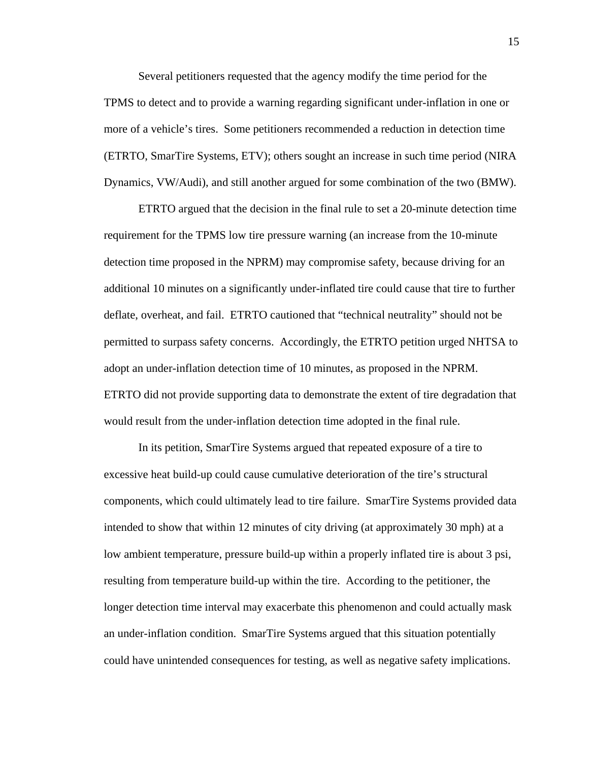Several petitioners requested that the agency modify the time period for the TPMS to detect and to provide a warning regarding significant under-inflation in one or more of a vehicle's tires. Some petitioners recommended a reduction in detection time (ETRTO, SmarTire Systems, ETV); others sought an increase in such time period (NIRA Dynamics, VW/Audi), and still another argued for some combination of the two (BMW).

ETRTO argued that the decision in the final rule to set a 20-minute detection time requirement for the TPMS low tire pressure warning (an increase from the 10-minute detection time proposed in the NPRM) may compromise safety, because driving for an additional 10 minutes on a significantly under-inflated tire could cause that tire to further deflate, overheat, and fail. ETRTO cautioned that "technical neutrality" should not be permitted to surpass safety concerns. Accordingly, the ETRTO petition urged NHTSA to adopt an under-inflation detection time of 10 minutes, as proposed in the NPRM. ETRTO did not provide supporting data to demonstrate the extent of tire degradation that would result from the under-inflation detection time adopted in the final rule.

In its petition, SmarTire Systems argued that repeated exposure of a tire to excessive heat build-up could cause cumulative deterioration of the tire's structural components, which could ultimately lead to tire failure. SmarTire Systems provided data intended to show that within 12 minutes of city driving (at approximately 30 mph) at a low ambient temperature, pressure build-up within a properly inflated tire is about 3 psi, resulting from temperature build-up within the tire. According to the petitioner, the longer detection time interval may exacerbate this phenomenon and could actually mask an under-inflation condition. SmarTire Systems argued that this situation potentially could have unintended consequences for testing, as well as negative safety implications.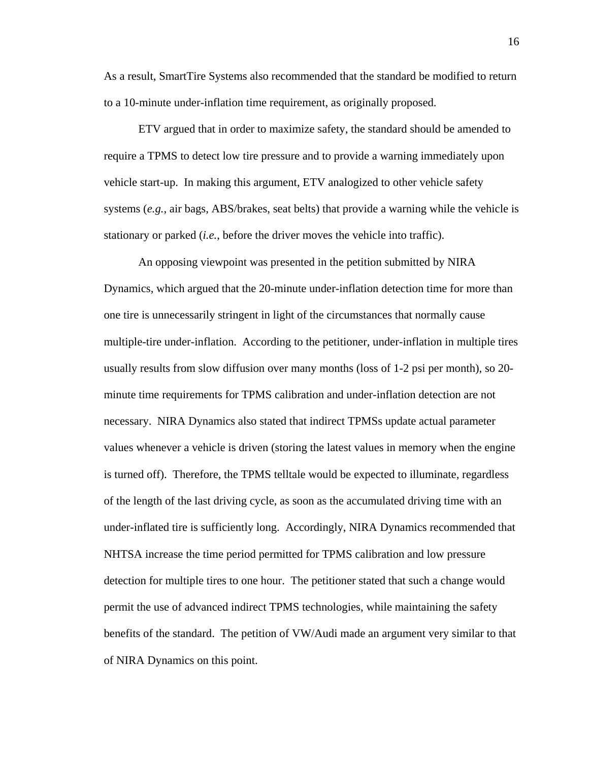As a result, SmartTire Systems also recommended that the standard be modified to return to a 10-minute under-inflation time requirement, as originally proposed.

ETV argued that in order to maximize safety, the standard should be amended to require a TPMS to detect low tire pressure and to provide a warning immediately upon vehicle start-up. In making this argument, ETV analogized to other vehicle safety systems (*e.g.*, air bags, ABS/brakes, seat belts) that provide a warning while the vehicle is stationary or parked (*i.e.*, before the driver moves the vehicle into traffic).

An opposing viewpoint was presented in the petition submitted by NIRA Dynamics, which argued that the 20-minute under-inflation detection time for more than one tire is unnecessarily stringent in light of the circumstances that normally cause multiple-tire under-inflation. According to the petitioner, under-inflation in multiple tires usually results from slow diffusion over many months (loss of 1-2 psi per month), so 20 minute time requirements for TPMS calibration and under-inflation detection are not necessary. NIRA Dynamics also stated that indirect TPMSs update actual parameter values whenever a vehicle is driven (storing the latest values in memory when the engine is turned off). Therefore, the TPMS telltale would be expected to illuminate, regardless of the length of the last driving cycle, as soon as the accumulated driving time with an under-inflated tire is sufficiently long. Accordingly, NIRA Dynamics recommended that NHTSA increase the time period permitted for TPMS calibration and low pressure detection for multiple tires to one hour. The petitioner stated that such a change would permit the use of advanced indirect TPMS technologies, while maintaining the safety benefits of the standard. The petition of VW/Audi made an argument very similar to that of NIRA Dynamics on this point.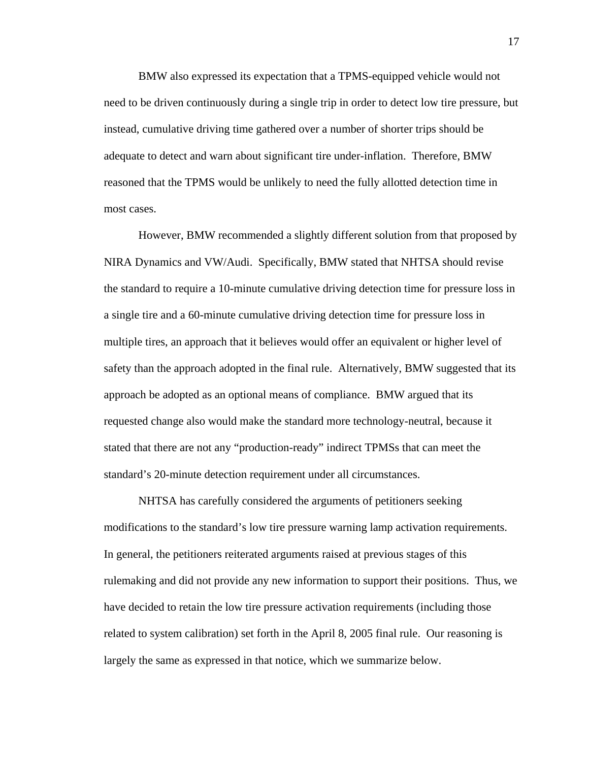BMW also expressed its expectation that a TPMS-equipped vehicle would not need to be driven continuously during a single trip in order to detect low tire pressure, but instead, cumulative driving time gathered over a number of shorter trips should be adequate to detect and warn about significant tire under-inflation. Therefore, BMW reasoned that the TPMS would be unlikely to need the fully allotted detection time in most cases.

However, BMW recommended a slightly different solution from that proposed by NIRA Dynamics and VW/Audi. Specifically, BMW stated that NHTSA should revise the standard to require a 10-minute cumulative driving detection time for pressure loss in a single tire and a 60-minute cumulative driving detection time for pressure loss in multiple tires, an approach that it believes would offer an equivalent or higher level of safety than the approach adopted in the final rule. Alternatively, BMW suggested that its approach be adopted as an optional means of compliance. BMW argued that its requested change also would make the standard more technology-neutral, because it stated that there are not any "production-ready" indirect TPMSs that can meet the standard's 20-minute detection requirement under all circumstances.

NHTSA has carefully considered the arguments of petitioners seeking modifications to the standard's low tire pressure warning lamp activation requirements. In general, the petitioners reiterated arguments raised at previous stages of this rulemaking and did not provide any new information to support their positions. Thus, we have decided to retain the low tire pressure activation requirements (including those related to system calibration) set forth in the April 8, 2005 final rule. Our reasoning is largely the same as expressed in that notice, which we summarize below.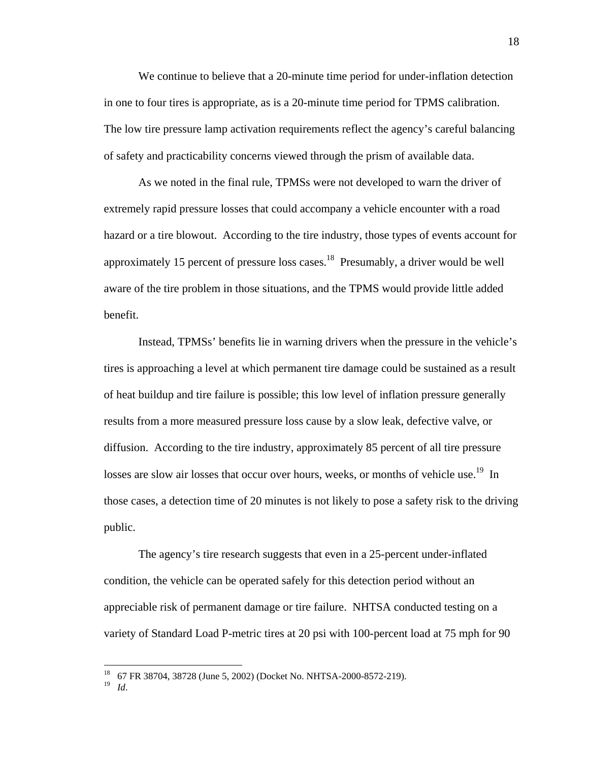We continue to believe that a 20-minute time period for under-inflation detection in one to four tires is appropriate, as is a 20-minute time period for TPMS calibration. The low tire pressure lamp activation requirements reflect the agency's careful balancing of safety and practicability concerns viewed through the prism of available data.

As we noted in the final rule, TPMSs were not developed to warn the driver of extremely rapid pressure losses that could accompany a vehicle encounter with a road hazard or a tire blowout. According to the tire industry, those types of events account for approximately 15 percent of pressure loss cases.<sup>18</sup> Presumably, a driver would be well aware of the tire problem in those situations, and the TPMS would provide little added benefit.

Instead, TPMSs' benefits lie in warning drivers when the pressure in the vehicle's tires is approaching a level at which permanent tire damage could be sustained as a result of heat buildup and tire failure is possible; this low level of inflation pressure generally results from a more measured pressure loss cause by a slow leak, defective valve, or diffusion. According to the tire industry, approximately 85 percent of all tire pressure losses are slow air losses that occur over hours, weeks, or months of vehicle use.<sup>19</sup> In those cases, a detection time of 20 minutes is not likely to pose a safety risk to the driving public.

The agency's tire research suggests that even in a 25-percent under-inflated condition, the vehicle can be operated safely for this detection period without an appreciable risk of permanent damage or tire failure. NHTSA conducted testing on a variety of Standard Load P-metric tires at 20 psi with 100-percent load at 75 mph for 90

<span id="page-17-0"></span><sup>18 67</sup> FR 38704, 38728 (June 5, 2002) (Docket No. NHTSA-2000-8572-219). 19 *Id*.

<span id="page-17-1"></span>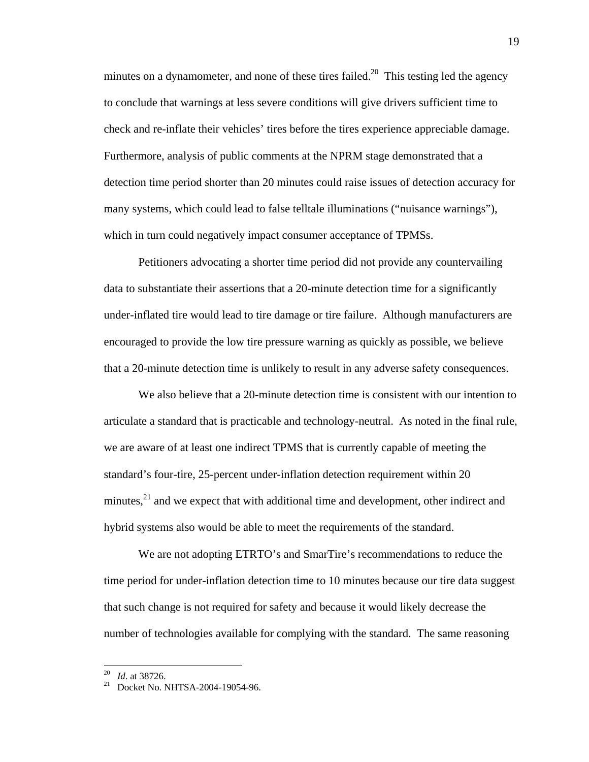minutes on a dynamometer, and none of these tires failed.<sup>20</sup> This testing led the agency to conclude that warnings at less severe conditions will give drivers sufficient time to check and re-inflate their vehicles' tires before the tires experience appreciable damage. Furthermore, analysis of public comments at the NPRM stage demonstrated that a detection time period shorter than 20 minutes could raise issues of detection accuracy for many systems, which could lead to false telltale illuminations ("nuisance warnings"), which in turn could negatively impact consumer acceptance of TPMSs.

Petitioners advocating a shorter time period did not provide any countervailing data to substantiate their assertions that a 20-minute detection time for a significantly under-inflated tire would lead to tire damage or tire failure. Although manufacturers are encouraged to provide the low tire pressure warning as quickly as possible, we believe that a 20-minute detection time is unlikely to result in any adverse safety consequences.

We also believe that a 20-minute detection time is consistent with our intention to articulate a standard that is practicable and technology-neutral. As noted in the final rule, we are aware of at least one indirect TPMS that is currently capable of meeting the standard's four-tire, 25-percent under-inflation detection requirement within 20 minutes, $^{21}$  and we expect that with additional time and development, other indirect and hybrid systems also would be able to meet the requirements of the standard.

We are not adopting ETRTO's and SmarTire's recommendations to reduce the time period for under-inflation detection time to 10 minutes because our tire data suggest that such change is not required for safety and because it would likely decrease the number of technologies available for complying with the standard. The same reasoning

<span id="page-18-0"></span> $^{20}$  *Id.* at 38726.

<span id="page-18-1"></span><sup>&</sup>lt;sup>21</sup> Docket No. NHTSA-2004-19054-96.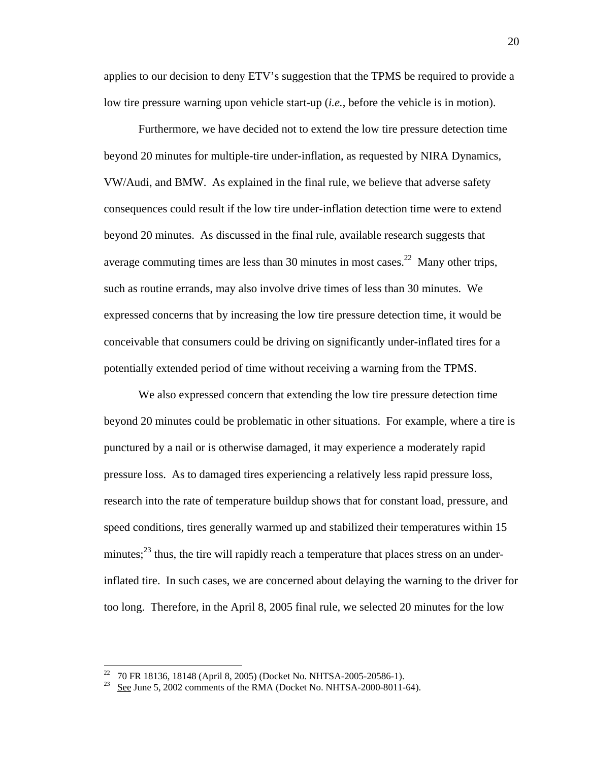applies to our decision to deny ETV's suggestion that the TPMS be required to provide a low tire pressure warning upon vehicle start-up (*i.e.*, before the vehicle is in motion).

Furthermore, we have decided not to extend the low tire pressure detection time beyond 20 minutes for multiple-tire under-inflation, as requested by NIRA Dynamics, VW/Audi, and BMW. As explained in the final rule, we believe that adverse safety consequences could result if the low tire under-inflation detection time were to extend beyond 20 minutes. As discussed in the final rule, available research suggests that average commuting times are less than 30 minutes in most cases.<sup>22</sup> Many other trips, such as routine errands, may also involve drive times of less than 30 minutes. We expressed concerns that by increasing the low tire pressure detection time, it would be conceivable that consumers could be driving on significantly under-inflated tires for a potentially extended period of time without receiving a warning from the TPMS.

We also expressed concern that extending the low tire pressure detection time beyond 20 minutes could be problematic in other situations. For example, where a tire is punctured by a nail or is otherwise damaged, it may experience a moderately rapid pressure loss. As to damaged tires experiencing a relatively less rapid pressure loss, research into the rate of temperature buildup shows that for constant load, pressure, and speed conditions, tires generally warmed up and stabilized their temperatures within 15 minutes; $^{23}$  thus, the tire will rapidly reach a temperature that places stress on an underinflated tire. In such cases, we are concerned about delaying the warning to the driver for too long. Therefore, in the April 8, 2005 final rule, we selected 20 minutes for the low

<span id="page-19-0"></span><sup>&</sup>lt;sup>22</sup> 70 FR 18136, 18148 (April 8, 2005) (Docket No. NHTSA-2005-20586-1).<br><sup>23</sup> See June 5, 2002 comments of the RMA (Docket No. NHTSA-2000-8011-64).

<span id="page-19-1"></span>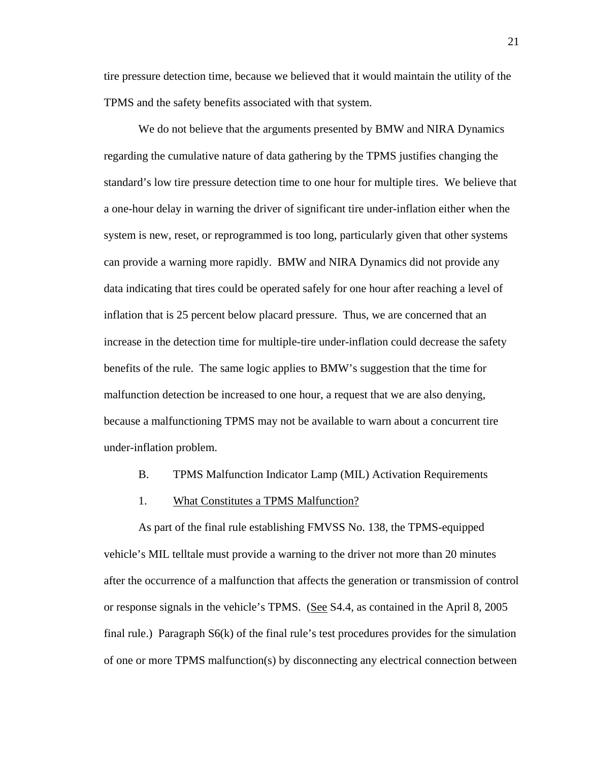tire pressure detection time, because we believed that it would maintain the utility of the TPMS and the safety benefits associated with that system.

We do not believe that the arguments presented by BMW and NIRA Dynamics regarding the cumulative nature of data gathering by the TPMS justifies changing the standard's low tire pressure detection time to one hour for multiple tires. We believe that a one-hour delay in warning the driver of significant tire under-inflation either when the system is new, reset, or reprogrammed is too long, particularly given that other systems can provide a warning more rapidly. BMW and NIRA Dynamics did not provide any data indicating that tires could be operated safely for one hour after reaching a level of inflation that is 25 percent below placard pressure. Thus, we are concerned that an increase in the detection time for multiple-tire under-inflation could decrease the safety benefits of the rule. The same logic applies to BMW's suggestion that the time for malfunction detection be increased to one hour, a request that we are also denying, because a malfunctioning TPMS may not be available to warn about a concurrent tire under-inflation problem.

### B. TPMS Malfunction Indicator Lamp (MIL) Activation Requirements

1. What Constitutes a TPMS Malfunction?

As part of the final rule establishing FMVSS No. 138, the TPMS-equipped vehicle's MIL telltale must provide a warning to the driver not more than 20 minutes after the occurrence of a malfunction that affects the generation or transmission of control or response signals in the vehicle's TPMS. (See S4.4, as contained in the April 8, 2005 final rule.) Paragraph  $S6(k)$  of the final rule's test procedures provides for the simulation of one or more TPMS malfunction(s) by disconnecting any electrical connection between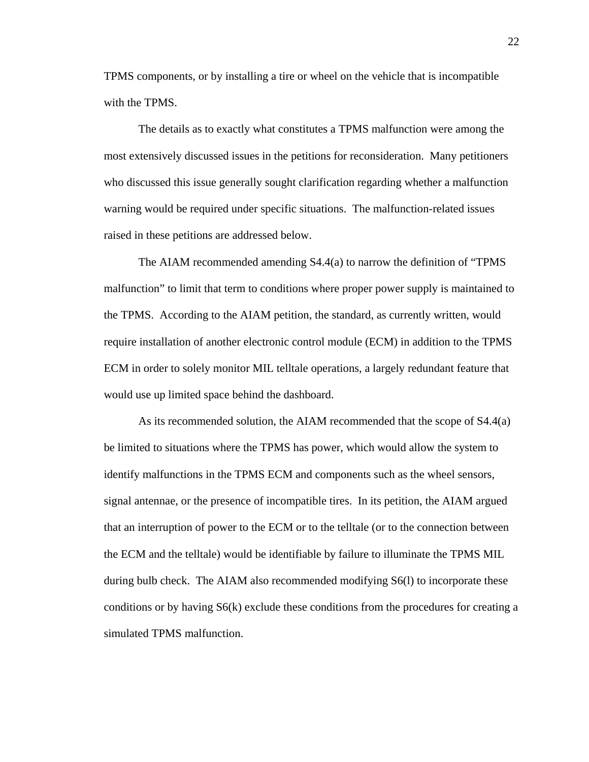TPMS components, or by installing a tire or wheel on the vehicle that is incompatible with the TPMS.

The details as to exactly what constitutes a TPMS malfunction were among the most extensively discussed issues in the petitions for reconsideration. Many petitioners who discussed this issue generally sought clarification regarding whether a malfunction warning would be required under specific situations. The malfunction-related issues raised in these petitions are addressed below.

The AIAM recommended amending  $S4.4(a)$  to narrow the definition of "TPMS" malfunction" to limit that term to conditions where proper power supply is maintained to the TPMS. According to the AIAM petition, the standard, as currently written, would require installation of another electronic control module (ECM) in addition to the TPMS ECM in order to solely monitor MIL telltale operations, a largely redundant feature that would use up limited space behind the dashboard.

As its recommended solution, the AIAM recommended that the scope of S4.4(a) be limited to situations where the TPMS has power, which would allow the system to identify malfunctions in the TPMS ECM and components such as the wheel sensors, signal antennae, or the presence of incompatible tires. In its petition, the AIAM argued that an interruption of power to the ECM or to the telltale (or to the connection between the ECM and the telltale) would be identifiable by failure to illuminate the TPMS MIL during bulb check. The AIAM also recommended modifying S6(l) to incorporate these conditions or by having S6(k) exclude these conditions from the procedures for creating a simulated TPMS malfunction.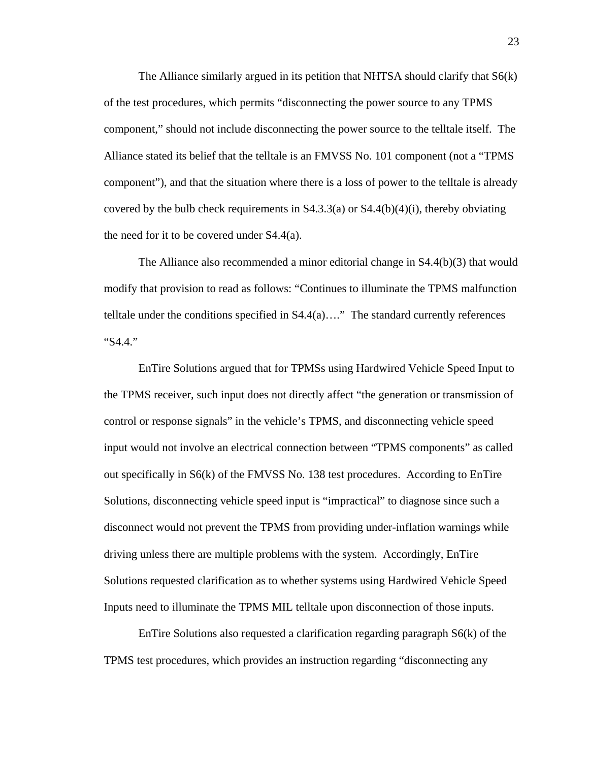The Alliance similarly argued in its petition that NHTSA should clarify that S6(k) of the test procedures, which permits "disconnecting the power source to any TPMS component," should not include disconnecting the power source to the telltale itself. The Alliance stated its belief that the telltale is an FMVSS No. 101 component (not a "TPMS component"), and that the situation where there is a loss of power to the telltale is already covered by the bulb check requirements in  $S4.3.3(a)$  or  $S4.4(b)(4)(i)$ , thereby obviating the need for it to be covered under S4.4(a).

The Alliance also recommended a minor editorial change in S4.4(b)(3) that would modify that provision to read as follows: "Continues to illuminate the TPMS malfunction telltale under the conditions specified in S4.4(a)…." The standard currently references "S4.4."

EnTire Solutions argued that for TPMSs using Hardwired Vehicle Speed Input to the TPMS receiver, such input does not directly affect "the generation or transmission of control or response signals" in the vehicle's TPMS, and disconnecting vehicle speed input would not involve an electrical connection between "TPMS components" as called out specifically in  $S6(k)$  of the FMVSS No. 138 test procedures. According to EnTire Solutions, disconnecting vehicle speed input is "impractical" to diagnose since such a disconnect would not prevent the TPMS from providing under-inflation warnings while driving unless there are multiple problems with the system. Accordingly, EnTire Solutions requested clarification as to whether systems using Hardwired Vehicle Speed Inputs need to illuminate the TPMS MIL telltale upon disconnection of those inputs.

EnTire Solutions also requested a clarification regarding paragraph S6(k) of the TPMS test procedures, which provides an instruction regarding "disconnecting any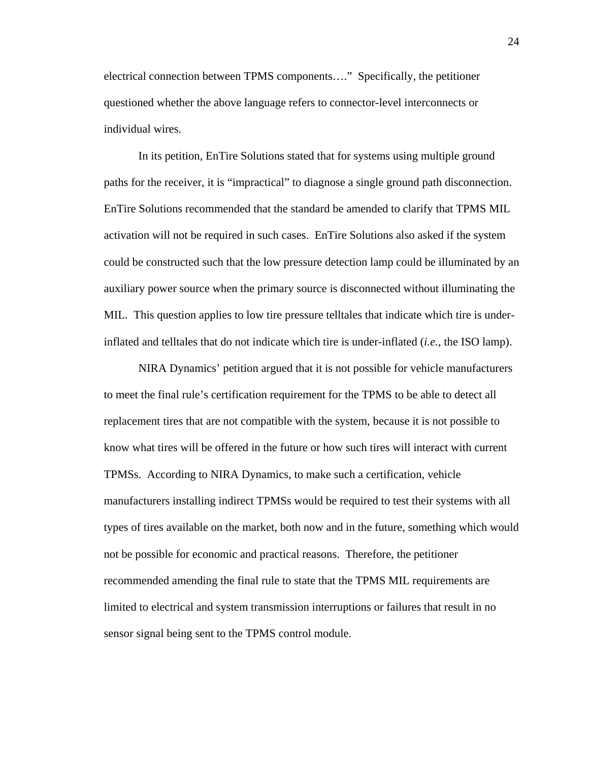electrical connection between TPMS components…." Specifically, the petitioner questioned whether the above language refers to connector-level interconnects or individual wires.

In its petition, EnTire Solutions stated that for systems using multiple ground paths for the receiver, it is "impractical" to diagnose a single ground path disconnection. EnTire Solutions recommended that the standard be amended to clarify that TPMS MIL activation will not be required in such cases. EnTire Solutions also asked if the system could be constructed such that the low pressure detection lamp could be illuminated by an auxiliary power source when the primary source is disconnected without illuminating the MIL. This question applies to low tire pressure telltales that indicate which tire is underinflated and telltales that do not indicate which tire is under-inflated (*i.e.*, the ISO lamp).

NIRA Dynamics' petition argued that it is not possible for vehicle manufacturers to meet the final rule's certification requirement for the TPMS to be able to detect all replacement tires that are not compatible with the system, because it is not possible to know what tires will be offered in the future or how such tires will interact with current TPMSs. According to NIRA Dynamics, to make such a certification, vehicle manufacturers installing indirect TPMSs would be required to test their systems with all types of tires available on the market, both now and in the future, something which would not be possible for economic and practical reasons. Therefore, the petitioner recommended amending the final rule to state that the TPMS MIL requirements are limited to electrical and system transmission interruptions or failures that result in no sensor signal being sent to the TPMS control module.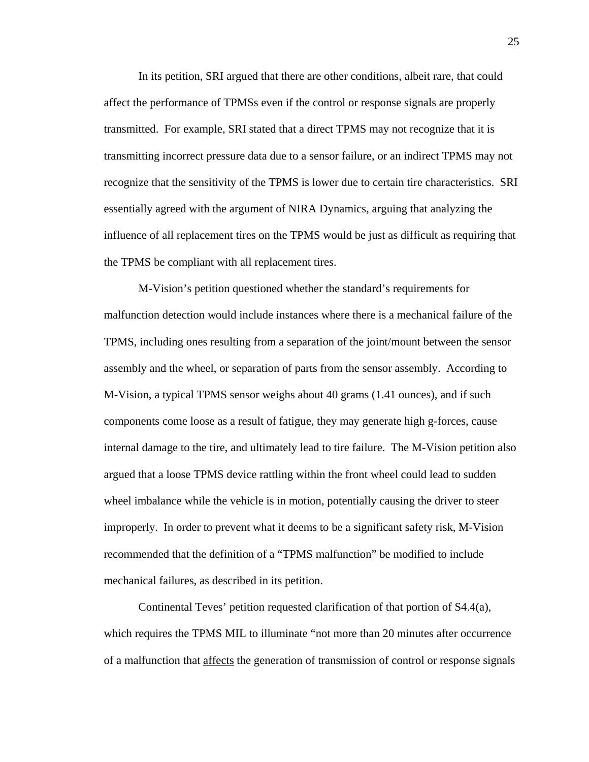In its petition, SRI argued that there are other conditions, albeit rare, that could affect the performance of TPMSs even if the control or response signals are properly transmitted. For example, SRI stated that a direct TPMS may not recognize that it is transmitting incorrect pressure data due to a sensor failure, or an indirect TPMS may not recognize that the sensitivity of the TPMS is lower due to certain tire characteristics. SRI essentially agreed with the argument of NIRA Dynamics, arguing that analyzing the influence of all replacement tires on the TPMS would be just as difficult as requiring that the TPMS be compliant with all replacement tires.

M-Vision's petition questioned whether the standard's requirements for malfunction detection would include instances where there is a mechanical failure of the TPMS, including ones resulting from a separation of the joint/mount between the sensor assembly and the wheel, or separation of parts from the sensor assembly. According to M-Vision, a typical TPMS sensor weighs about 40 grams (1.41 ounces), and if such components come loose as a result of fatigue, they may generate high g-forces, cause internal damage to the tire, and ultimately lead to tire failure. The M-Vision petition also argued that a loose TPMS device rattling within the front wheel could lead to sudden wheel imbalance while the vehicle is in motion, potentially causing the driver to steer improperly. In order to prevent what it deems to be a significant safety risk, M-Vision recommended that the definition of a "TPMS malfunction" be modified to include mechanical failures, as described in its petition.

 Continental Teves' petition requested clarification of that portion of S4.4(a), which requires the TPMS MIL to illuminate "not more than 20 minutes after occurrence of a malfunction that affects the generation of transmission of control or response signals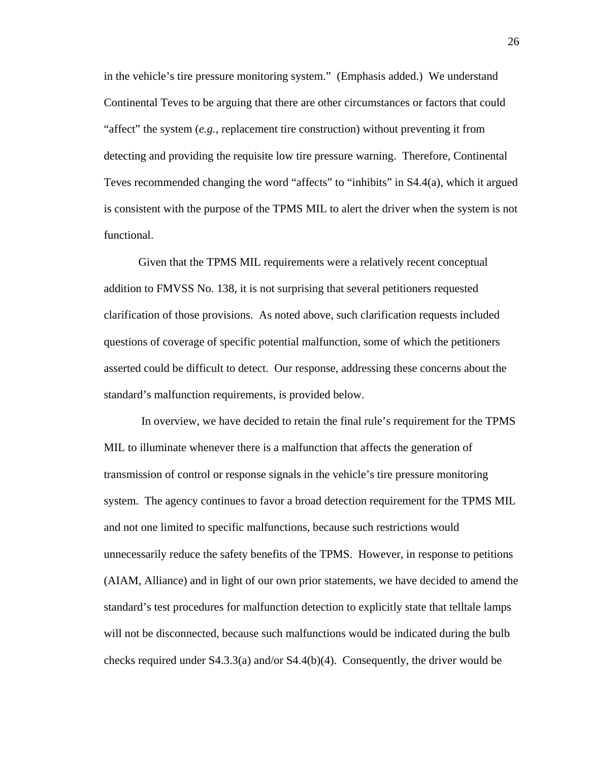in the vehicle's tire pressure monitoring system." (Emphasis added.) We understand Continental Teves to be arguing that there are other circumstances or factors that could "affect" the system (*e.g.*, replacement tire construction) without preventing it from detecting and providing the requisite low tire pressure warning. Therefore, Continental Teves recommended changing the word "affects" to "inhibits" in S4.4(a), which it argued is consistent with the purpose of the TPMS MIL to alert the driver when the system is not functional.

Given that the TPMS MIL requirements were a relatively recent conceptual addition to FMVSS No. 138, it is not surprising that several petitioners requested clarification of those provisions. As noted above, such clarification requests included questions of coverage of specific potential malfunction, some of which the petitioners asserted could be difficult to detect. Our response, addressing these concerns about the standard's malfunction requirements, is provided below.

 In overview, we have decided to retain the final rule's requirement for the TPMS MIL to illuminate whenever there is a malfunction that affects the generation of transmission of control or response signals in the vehicle's tire pressure monitoring system. The agency continues to favor a broad detection requirement for the TPMS MIL and not one limited to specific malfunctions, because such restrictions would unnecessarily reduce the safety benefits of the TPMS. However, in response to petitions (AIAM, Alliance) and in light of our own prior statements, we have decided to amend the standard's test procedures for malfunction detection to explicitly state that telltale lamps will not be disconnected, because such malfunctions would be indicated during the bulb checks required under  $S4.3.3(a)$  and/or  $S4.4(b)(4)$ . Consequently, the driver would be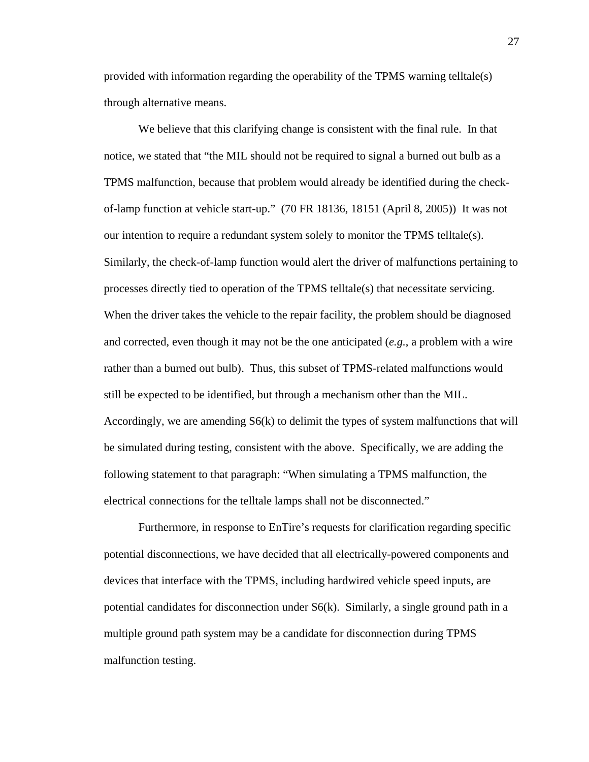provided with information regarding the operability of the TPMS warning telltale(s) through alternative means.

We believe that this clarifying change is consistent with the final rule. In that notice, we stated that "the MIL should not be required to signal a burned out bulb as a TPMS malfunction, because that problem would already be identified during the checkof-lamp function at vehicle start-up." (70 FR 18136, 18151 (April 8, 2005)) It was not our intention to require a redundant system solely to monitor the TPMS telltale(s). Similarly, the check-of-lamp function would alert the driver of malfunctions pertaining to processes directly tied to operation of the TPMS telltale(s) that necessitate servicing. When the driver takes the vehicle to the repair facility, the problem should be diagnosed and corrected, even though it may not be the one anticipated (*e.g.*, a problem with a wire rather than a burned out bulb). Thus, this subset of TPMS-related malfunctions would still be expected to be identified, but through a mechanism other than the MIL. Accordingly, we are amending  $S6(k)$  to delimit the types of system malfunctions that will be simulated during testing, consistent with the above. Specifically, we are adding the following statement to that paragraph: "When simulating a TPMS malfunction, the electrical connections for the telltale lamps shall not be disconnected."

Furthermore, in response to EnTire's requests for clarification regarding specific potential disconnections, we have decided that all electrically-powered components and devices that interface with the TPMS, including hardwired vehicle speed inputs, are potential candidates for disconnection under  $S6(k)$ . Similarly, a single ground path in a multiple ground path system may be a candidate for disconnection during TPMS malfunction testing.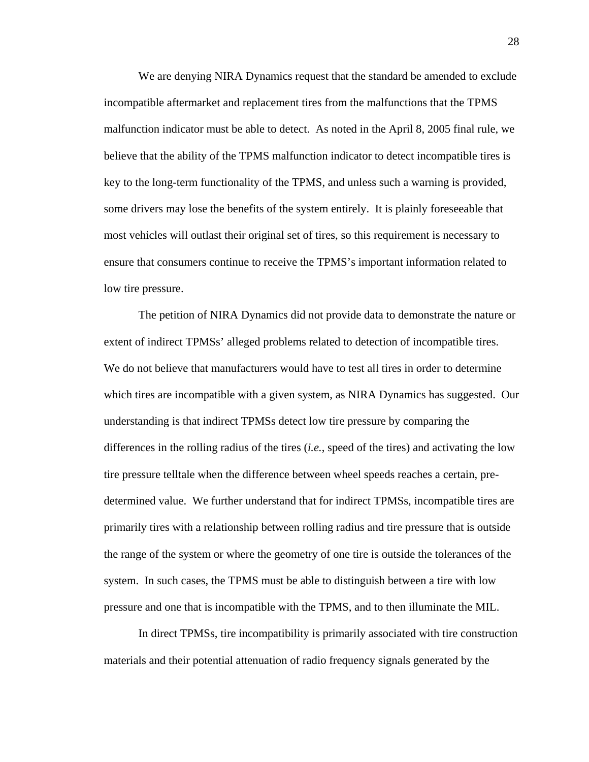We are denying NIRA Dynamics request that the standard be amended to exclude incompatible aftermarket and replacement tires from the malfunctions that the TPMS malfunction indicator must be able to detect. As noted in the April 8, 2005 final rule, we believe that the ability of the TPMS malfunction indicator to detect incompatible tires is key to the long-term functionality of the TPMS, and unless such a warning is provided, some drivers may lose the benefits of the system entirely. It is plainly foreseeable that most vehicles will outlast their original set of tires, so this requirement is necessary to ensure that consumers continue to receive the TPMS's important information related to low tire pressure.

The petition of NIRA Dynamics did not provide data to demonstrate the nature or extent of indirect TPMSs' alleged problems related to detection of incompatible tires. We do not believe that manufacturers would have to test all tires in order to determine which tires are incompatible with a given system, as NIRA Dynamics has suggested. Our understanding is that indirect TPMSs detect low tire pressure by comparing the differences in the rolling radius of the tires (*i.e.*, speed of the tires) and activating the low tire pressure telltale when the difference between wheel speeds reaches a certain, predetermined value. We further understand that for indirect TPMSs, incompatible tires are primarily tires with a relationship between rolling radius and tire pressure that is outside the range of the system or where the geometry of one tire is outside the tolerances of the system. In such cases, the TPMS must be able to distinguish between a tire with low pressure and one that is incompatible with the TPMS, and to then illuminate the MIL.

In direct TPMSs, tire incompatibility is primarily associated with tire construction materials and their potential attenuation of radio frequency signals generated by the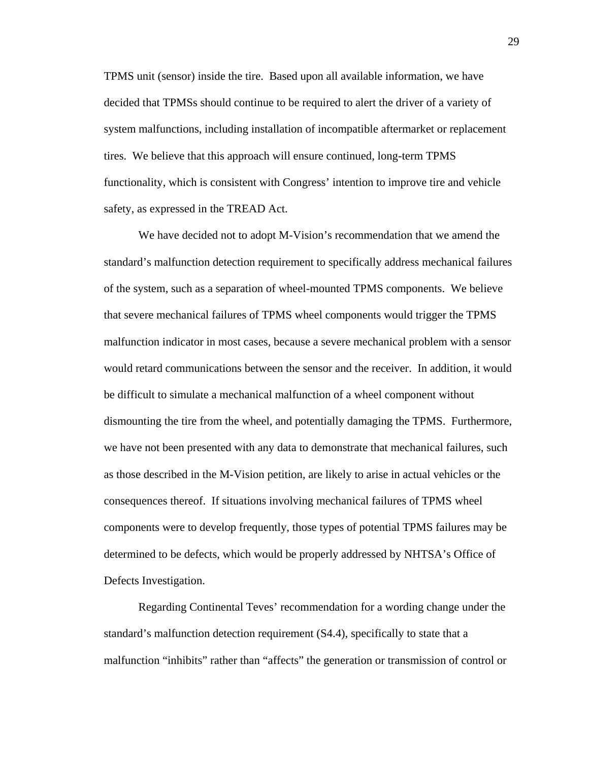TPMS unit (sensor) inside the tire. Based upon all available information, we have decided that TPMSs should continue to be required to alert the driver of a variety of system malfunctions, including installation of incompatible aftermarket or replacement tires. We believe that this approach will ensure continued, long-term TPMS functionality, which is consistent with Congress' intention to improve tire and vehicle safety, as expressed in the TREAD Act.

We have decided not to adopt M-Vision's recommendation that we amend the standard's malfunction detection requirement to specifically address mechanical failures of the system, such as a separation of wheel-mounted TPMS components. We believe that severe mechanical failures of TPMS wheel components would trigger the TPMS malfunction indicator in most cases, because a severe mechanical problem with a sensor would retard communications between the sensor and the receiver. In addition, it would be difficult to simulate a mechanical malfunction of a wheel component without dismounting the tire from the wheel, and potentially damaging the TPMS. Furthermore, we have not been presented with any data to demonstrate that mechanical failures, such as those described in the M-Vision petition, are likely to arise in actual vehicles or the consequences thereof. If situations involving mechanical failures of TPMS wheel components were to develop frequently, those types of potential TPMS failures may be determined to be defects, which would be properly addressed by NHTSA's Office of Defects Investigation.

Regarding Continental Teves' recommendation for a wording change under the standard's malfunction detection requirement (S4.4), specifically to state that a malfunction "inhibits" rather than "affects" the generation or transmission of control or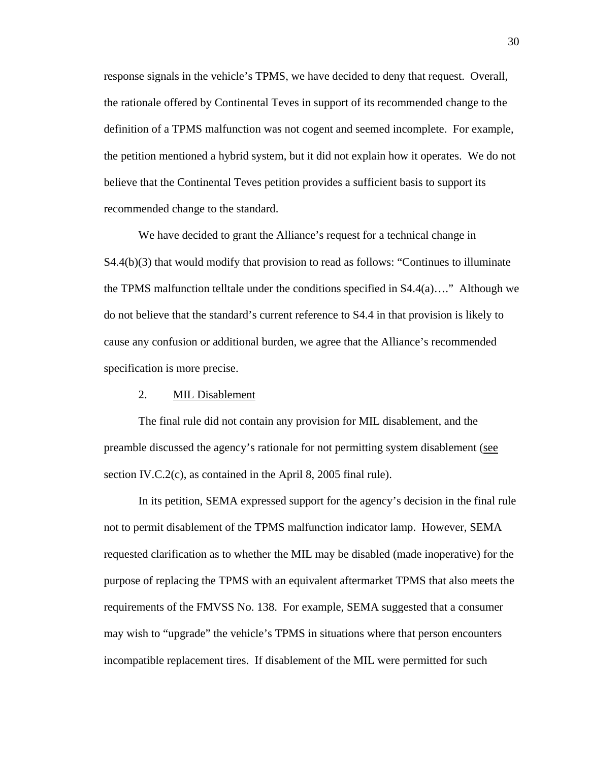response signals in the vehicle's TPMS, we have decided to deny that request. Overall, the rationale offered by Continental Teves in support of its recommended change to the definition of a TPMS malfunction was not cogent and seemed incomplete. For example, the petition mentioned a hybrid system, but it did not explain how it operates. We do not believe that the Continental Teves petition provides a sufficient basis to support its recommended change to the standard.

We have decided to grant the Alliance's request for a technical change in S4.4(b)(3) that would modify that provision to read as follows: "Continues to illuminate the TPMS malfunction telltale under the conditions specified in S4.4(a)…." Although we do not believe that the standard's current reference to S4.4 in that provision is likely to cause any confusion or additional burden, we agree that the Alliance's recommended specification is more precise.

## 2. MIL Disablement

The final rule did not contain any provision for MIL disablement, and the preamble discussed the agency's rationale for not permitting system disablement (see section IV.C.2(c), as contained in the April 8, 2005 final rule).

In its petition, SEMA expressed support for the agency's decision in the final rule not to permit disablement of the TPMS malfunction indicator lamp. However, SEMA requested clarification as to whether the MIL may be disabled (made inoperative) for the purpose of replacing the TPMS with an equivalent aftermarket TPMS that also meets the requirements of the FMVSS No. 138. For example, SEMA suggested that a consumer may wish to "upgrade" the vehicle's TPMS in situations where that person encounters incompatible replacement tires. If disablement of the MIL were permitted for such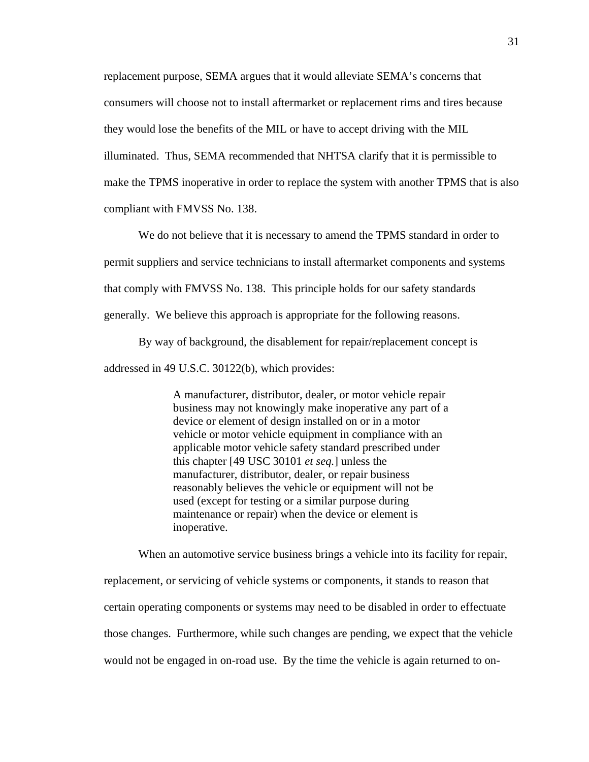replacement purpose, SEMA argues that it would alleviate SEMA's concerns that consumers will choose not to install aftermarket or replacement rims and tires because they would lose the benefits of the MIL or have to accept driving with the MIL illuminated. Thus, SEMA recommended that NHTSA clarify that it is permissible to make the TPMS inoperative in order to replace the system with another TPMS that is also compliant with FMVSS No. 138.

We do not believe that it is necessary to amend the TPMS standard in order to permit suppliers and service technicians to install aftermarket components and systems that comply with FMVSS No. 138. This principle holds for our safety standards generally. We believe this approach is appropriate for the following reasons.

By way of background, the disablement for repair/replacement concept is addressed in 49 U.S.C. 30122(b), which provides:

> A manufacturer, distributor, dealer, or motor vehicle repair business may not knowingly make inoperative any part of a device or element of design installed on or in a motor vehicle or motor vehicle equipment in compliance with an applicable motor vehicle safety standard prescribed under this chapter [49 USC 30101 *et seq.*] unless the manufacturer, distributor, dealer, or repair business reasonably believes the vehicle or equipment will not be used (except for testing or a similar purpose during maintenance or repair) when the device or element is inoperative.

When an automotive service business brings a vehicle into its facility for repair, replacement, or servicing of vehicle systems or components, it stands to reason that certain operating components or systems may need to be disabled in order to effectuate those changes. Furthermore, while such changes are pending, we expect that the vehicle would not be engaged in on-road use. By the time the vehicle is again returned to on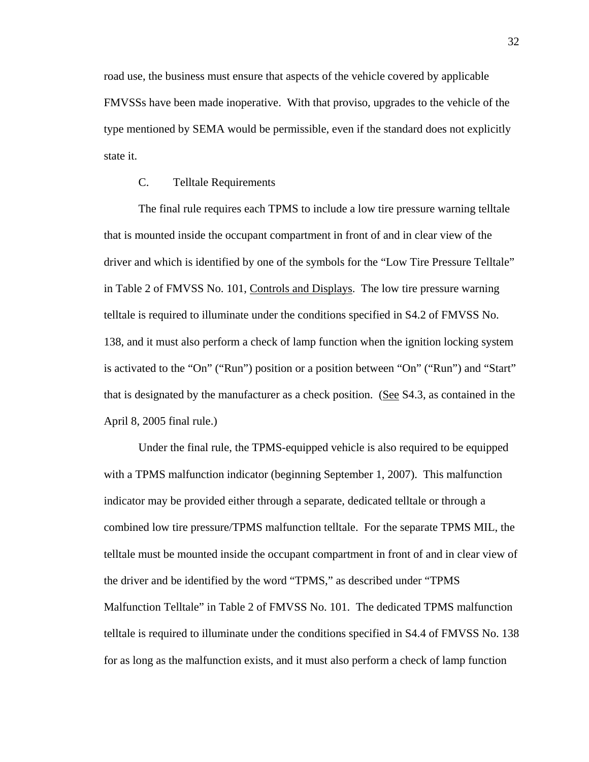road use, the business must ensure that aspects of the vehicle covered by applicable FMVSSs have been made inoperative. With that proviso, upgrades to the vehicle of the type mentioned by SEMA would be permissible, even if the standard does not explicitly state it.

## C. Telltale Requirements

The final rule requires each TPMS to include a low tire pressure warning telltale that is mounted inside the occupant compartment in front of and in clear view of the driver and which is identified by one of the symbols for the "Low Tire Pressure Telltale" in Table 2 of FMVSS No. 101, Controls and Displays. The low tire pressure warning telltale is required to illuminate under the conditions specified in S4.2 of FMVSS No. 138, and it must also perform a check of lamp function when the ignition locking system is activated to the "On" ("Run") position or a position between "On" ("Run") and "Start" that is designated by the manufacturer as a check position. (See S4.3, as contained in the April 8, 2005 final rule.)

Under the final rule, the TPMS-equipped vehicle is also required to be equipped with a TPMS malfunction indicator (beginning September 1, 2007). This malfunction indicator may be provided either through a separate, dedicated telltale or through a combined low tire pressure/TPMS malfunction telltale. For the separate TPMS MIL, the telltale must be mounted inside the occupant compartment in front of and in clear view of the driver and be identified by the word "TPMS," as described under "TPMS Malfunction Telltale" in Table 2 of FMVSS No. 101. The dedicated TPMS malfunction telltale is required to illuminate under the conditions specified in S4.4 of FMVSS No. 138 for as long as the malfunction exists, and it must also perform a check of lamp function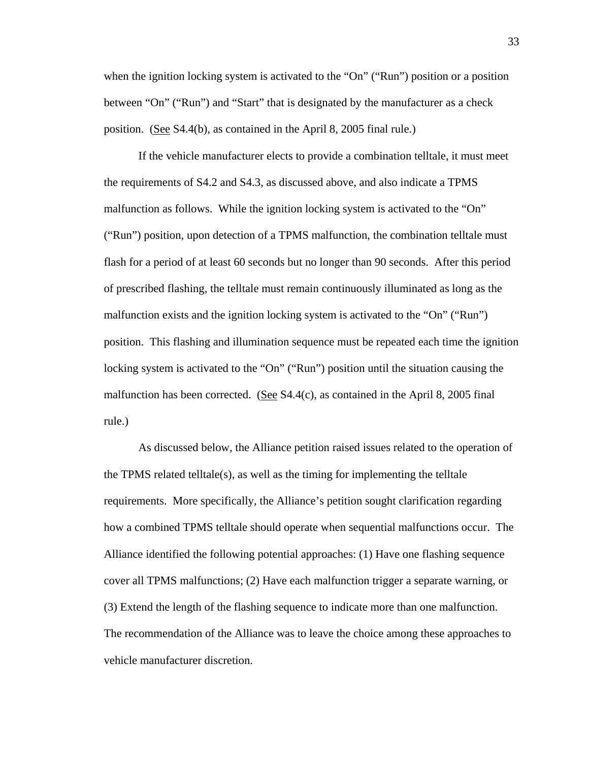when the ignition locking system is activated to the "On" ("Run") position or a position between "On" ("Run") and "Start" that is designated by the manufacturer as a check position. (See S4.4(b), as contained in the April 8, 2005 final rule.)

If the vehicle manufacturer elects to provide a combination telltale, it must meet the requirements of S4.2 and S4.3, as discussed above, and also indicate a TPMS malfunction as follows. While the ignition locking system is activated to the "On" ("Run") position, upon detection of a TPMS malfunction, the combination telltale must flash for a period of at least 60 seconds but no longer than 90 seconds. After this period of prescribed flashing, the telltale must remain continuously illuminated as long as the malfunction exists and the ignition locking system is activated to the "On" ("Run") position. This flashing and illumination sequence must be repeated each time the ignition locking system is activated to the "On" ("Run") position until the situation causing the malfunction has been corrected. (See S4.4(c), as contained in the April 8, 2005 final rule.)

As discussed below, the Alliance petition raised issues related to the operation of the TPMS related telltale(s), as well as the timing for implementing the telltale requirements. More specifically, the Alliance's petition sought clarification regarding how a combined TPMS telltale should operate when sequential malfunctions occur. The Alliance identified the following potential approaches: (1) Have one flashing sequence cover all TPMS malfunctions; (2) Have each malfunction trigger a separate warning, or (3) Extend the length of the flashing sequence to indicate more than one malfunction. The recommendation of the Alliance was to leave the choice among these approaches to vehicle manufacturer discretion.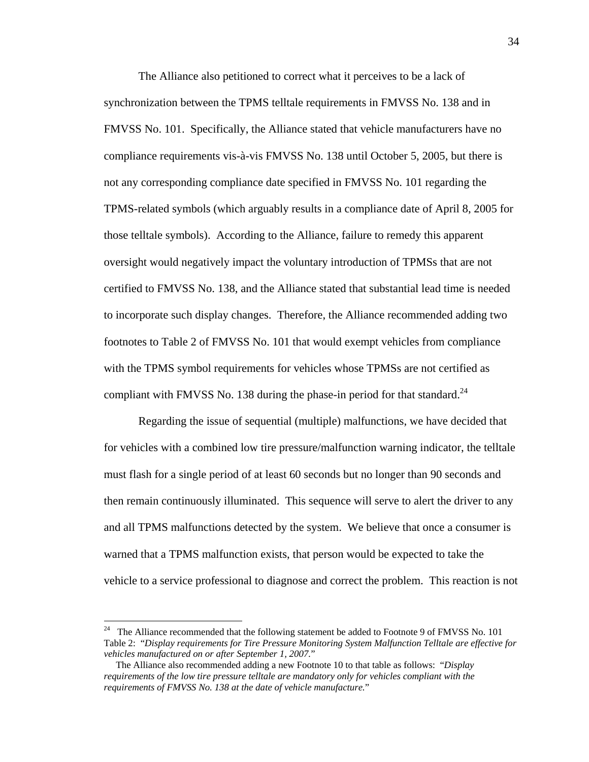The Alliance also petitioned to correct what it perceives to be a lack of synchronization between the TPMS telltale requirements in FMVSS No. 138 and in FMVSS No. 101. Specifically, the Alliance stated that vehicle manufacturers have no compliance requirements vis-à-vis FMVSS No. 138 until October 5, 2005, but there is not any corresponding compliance date specified in FMVSS No. 101 regarding the TPMS-related symbols (which arguably results in a compliance date of April 8, 2005 for those telltale symbols). According to the Alliance, failure to remedy this apparent oversight would negatively impact the voluntary introduction of TPMSs that are not certified to FMVSS No. 138, and the Alliance stated that substantial lead time is needed to incorporate such display changes. Therefore, the Alliance recommended adding two footnotes to Table 2 of FMVSS No. 101 that would exempt vehicles from compliance with the TPMS symbol requirements for vehicles whose TPMSs are not certified as compliant with FMVSS No. 138 during the phase-in period for that standard.<sup>[24](#page-33-0)</sup>

Regarding the issue of sequential (multiple) malfunctions, we have decided that for vehicles with a combined low tire pressure/malfunction warning indicator, the telltale must flash for a single period of at least 60 seconds but no longer than 90 seconds and then remain continuously illuminated. This sequence will serve to alert the driver to any and all TPMS malfunctions detected by the system. We believe that once a consumer is warned that a TPMS malfunction exists, that person would be expected to take the vehicle to a service professional to diagnose and correct the problem. This reaction is not

 $\overline{a}$ 

<span id="page-33-0"></span> $24$  The Alliance recommended that the following statement be added to Footnote 9 of FMVSS No. 101 Table 2: "*Display requirements for Tire Pressure Monitoring System Malfunction Telltale are effective for vehicles manufactured on or after September 1, 2007.*"

The Alliance also recommended adding a new Footnote 10 to that table as follows: "*Display requirements of the low tire pressure telltale are mandatory only for vehicles compliant with the requirements of FMVSS No. 138 at the date of vehicle manufacture.*"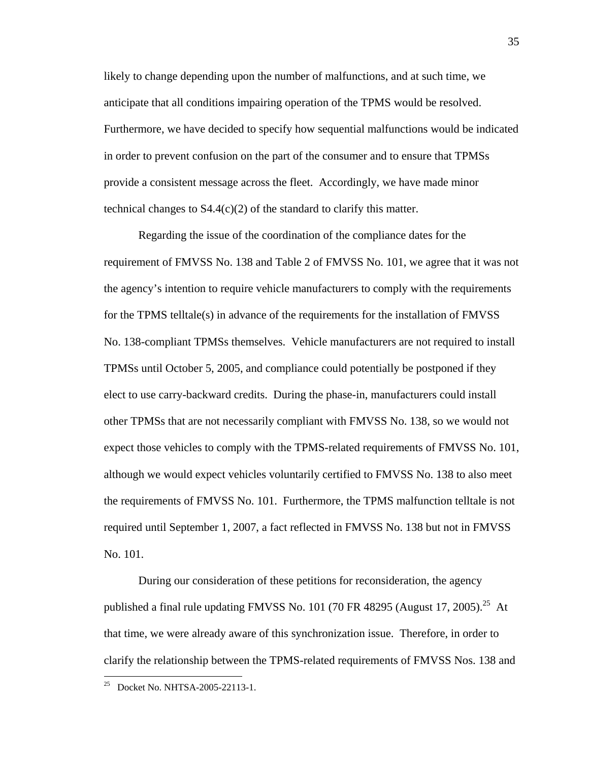likely to change depending upon the number of malfunctions, and at such time, we anticipate that all conditions impairing operation of the TPMS would be resolved. Furthermore, we have decided to specify how sequential malfunctions would be indicated in order to prevent confusion on the part of the consumer and to ensure that TPMSs provide a consistent message across the fleet. Accordingly, we have made minor technical changes to  $S4.4(c)(2)$  of the standard to clarify this matter.

Regarding the issue of the coordination of the compliance dates for the requirement of FMVSS No. 138 and Table 2 of FMVSS No. 101, we agree that it was not the agency's intention to require vehicle manufacturers to comply with the requirements for the TPMS telltale(s) in advance of the requirements for the installation of FMVSS No. 138-compliant TPMSs themselves. Vehicle manufacturers are not required to install TPMSs until October 5, 2005, and compliance could potentially be postponed if they elect to use carry-backward credits. During the phase-in, manufacturers could install other TPMSs that are not necessarily compliant with FMVSS No. 138, so we would not expect those vehicles to comply with the TPMS-related requirements of FMVSS No. 101, although we would expect vehicles voluntarily certified to FMVSS No. 138 to also meet the requirements of FMVSS No. 101. Furthermore, the TPMS malfunction telltale is not required until September 1, 2007, a fact reflected in FMVSS No. 138 but not in FMVSS No. 101.

During our consideration of these petitions for reconsideration, the agency published a final rule updating FMVSS No. 101 (70 FR 48295 (August 17, 2005).<sup>25</sup> At that time, we were already aware of this synchronization issue. Therefore, in order to clarify the relationship between the TPMS-related requirements of FMVSS Nos. 138 and

<u>.</u>

<span id="page-34-0"></span> $^{25}$  Docket No. NHTSA-2005-22113-1.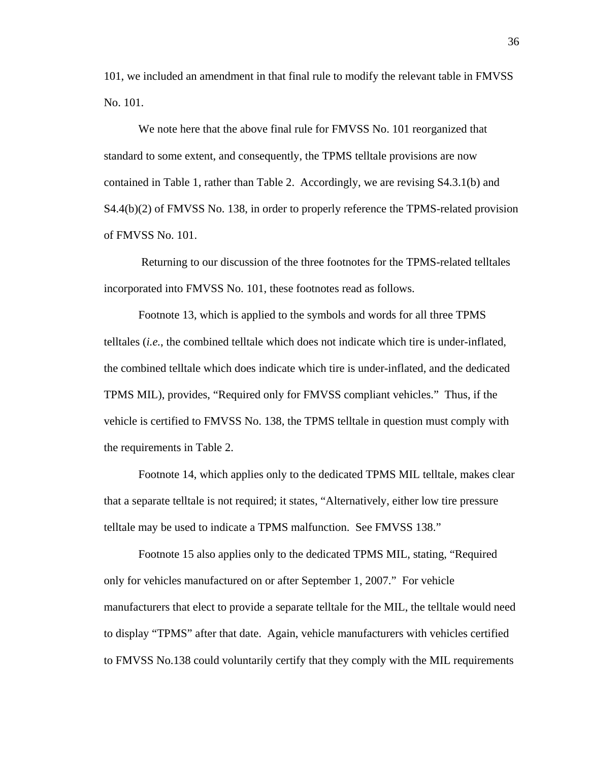101, we included an amendment in that final rule to modify the relevant table in FMVSS No. 101.

We note here that the above final rule for FMVSS No. 101 reorganized that standard to some extent, and consequently, the TPMS telltale provisions are now contained in Table 1, rather than Table 2. Accordingly, we are revising S4.3.1(b) and S4.4(b)(2) of FMVSS No. 138, in order to properly reference the TPMS-related provision of FMVSS No. 101.

 Returning to our discussion of the three footnotes for the TPMS-related telltales incorporated into FMVSS No. 101, these footnotes read as follows.

Footnote 13, which is applied to the symbols and words for all three TPMS telltales (*i.e.*, the combined telltale which does not indicate which tire is under-inflated, the combined telltale which does indicate which tire is under-inflated, and the dedicated TPMS MIL), provides, "Required only for FMVSS compliant vehicles." Thus, if the vehicle is certified to FMVSS No. 138, the TPMS telltale in question must comply with the requirements in Table 2.

Footnote 14, which applies only to the dedicated TPMS MIL telltale, makes clear that a separate telltale is not required; it states, "Alternatively, either low tire pressure telltale may be used to indicate a TPMS malfunction. See FMVSS 138."

Footnote 15 also applies only to the dedicated TPMS MIL, stating, "Required only for vehicles manufactured on or after September 1, 2007." For vehicle manufacturers that elect to provide a separate telltale for the MIL, the telltale would need to display "TPMS" after that date. Again, vehicle manufacturers with vehicles certified to FMVSS No.138 could voluntarily certify that they comply with the MIL requirements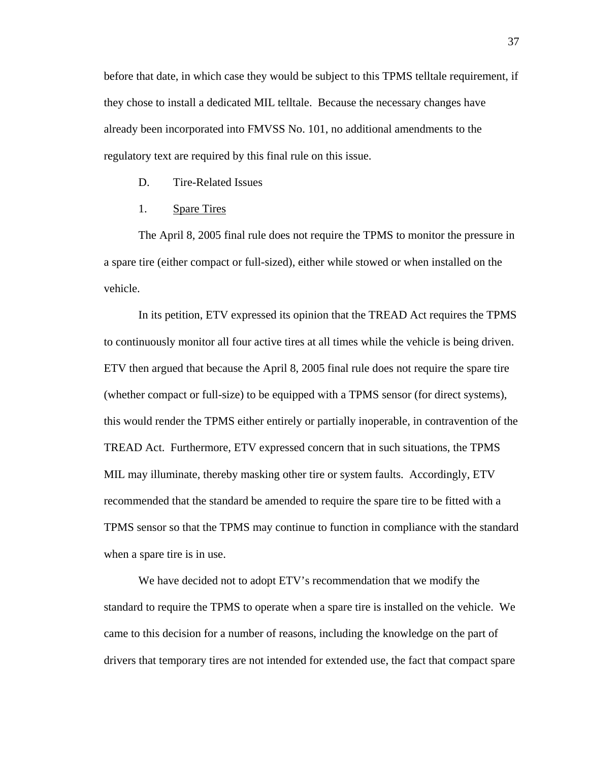before that date, in which case they would be subject to this TPMS telltale requirement, if they chose to install a dedicated MIL telltale. Because the necessary changes have already been incorporated into FMVSS No. 101, no additional amendments to the regulatory text are required by this final rule on this issue.

- D. Tire-Related Issues
- 1. Spare Tires

The April 8, 2005 final rule does not require the TPMS to monitor the pressure in a spare tire (either compact or full-sized), either while stowed or when installed on the vehicle.

In its petition, ETV expressed its opinion that the TREAD Act requires the TPMS to continuously monitor all four active tires at all times while the vehicle is being driven. ETV then argued that because the April 8, 2005 final rule does not require the spare tire (whether compact or full-size) to be equipped with a TPMS sensor (for direct systems), this would render the TPMS either entirely or partially inoperable, in contravention of the TREAD Act. Furthermore, ETV expressed concern that in such situations, the TPMS MIL may illuminate, thereby masking other tire or system faults. Accordingly, ETV recommended that the standard be amended to require the spare tire to be fitted with a TPMS sensor so that the TPMS may continue to function in compliance with the standard when a spare tire is in use.

We have decided not to adopt ETV's recommendation that we modify the standard to require the TPMS to operate when a spare tire is installed on the vehicle. We came to this decision for a number of reasons, including the knowledge on the part of drivers that temporary tires are not intended for extended use, the fact that compact spare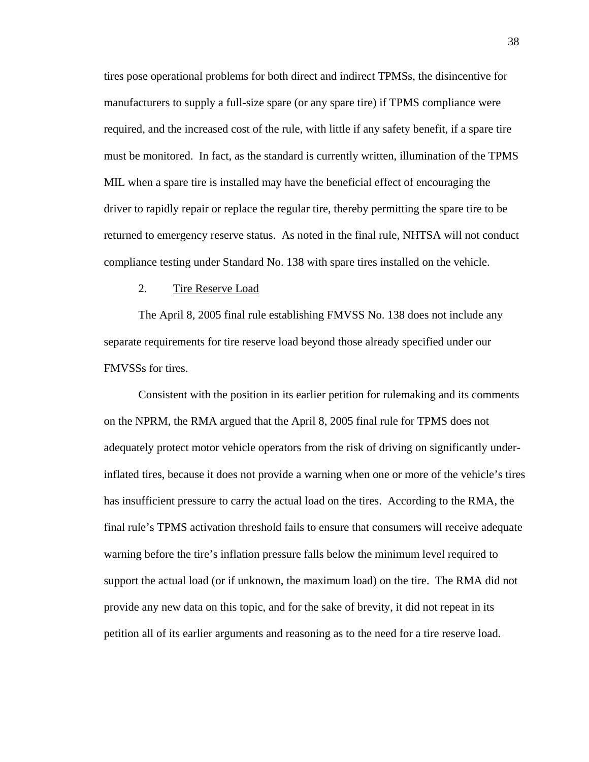tires pose operational problems for both direct and indirect TPMSs, the disincentive for manufacturers to supply a full-size spare (or any spare tire) if TPMS compliance were required, and the increased cost of the rule, with little if any safety benefit, if a spare tire must be monitored. In fact, as the standard is currently written, illumination of the TPMS MIL when a spare tire is installed may have the beneficial effect of encouraging the driver to rapidly repair or replace the regular tire, thereby permitting the spare tire to be returned to emergency reserve status. As noted in the final rule, NHTSA will not conduct compliance testing under Standard No. 138 with spare tires installed on the vehicle.

## 2. Tire Reserve Load

The April 8, 2005 final rule establishing FMVSS No. 138 does not include any separate requirements for tire reserve load beyond those already specified under our FMVSSs for tires.

Consistent with the position in its earlier petition for rulemaking and its comments on the NPRM, the RMA argued that the April 8, 2005 final rule for TPMS does not adequately protect motor vehicle operators from the risk of driving on significantly underinflated tires, because it does not provide a warning when one or more of the vehicle's tires has insufficient pressure to carry the actual load on the tires. According to the RMA, the final rule's TPMS activation threshold fails to ensure that consumers will receive adequate warning before the tire's inflation pressure falls below the minimum level required to support the actual load (or if unknown, the maximum load) on the tire. The RMA did not provide any new data on this topic, and for the sake of brevity, it did not repeat in its petition all of its earlier arguments and reasoning as to the need for a tire reserve load.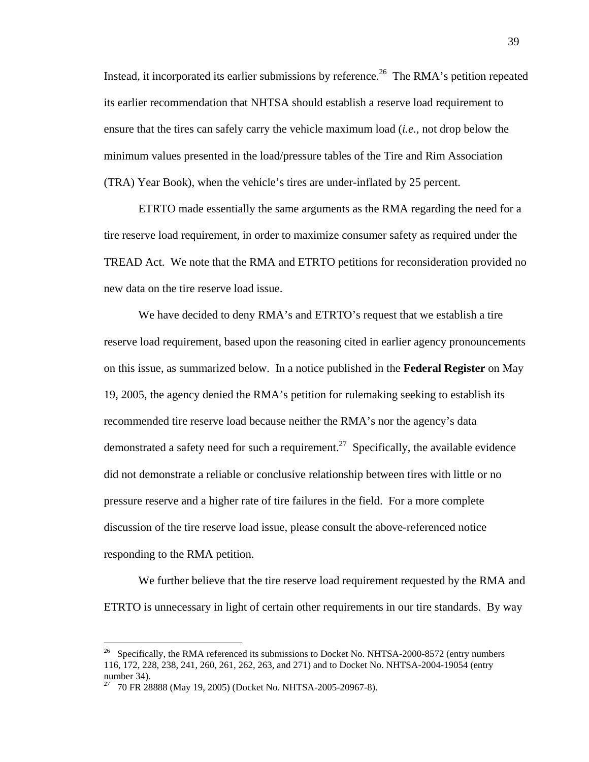Instead, it incorporated its earlier submissions by reference.<sup>26</sup> The RMA's petition repeated its earlier recommendation that NHTSA should establish a reserve load requirement to ensure that the tires can safely carry the vehicle maximum load (*i.e.*, not drop below the minimum values presented in the load/pressure tables of the Tire and Rim Association (TRA) Year Book), when the vehicle's tires are under-inflated by 25 percent.

ETRTO made essentially the same arguments as the RMA regarding the need for a tire reserve load requirement, in order to maximize consumer safety as required under the TREAD Act. We note that the RMA and ETRTO petitions for reconsideration provided no new data on the tire reserve load issue.

We have decided to deny RMA's and ETRTO's request that we establish a tire reserve load requirement, based upon the reasoning cited in earlier agency pronouncements on this issue, as summarized below. In a notice published in the **Federal Register** on May 19, 2005, the agency denied the RMA's petition for rulemaking seeking to establish its recommended tire reserve load because neither the RMA's nor the agency's data demonstrated a safety need for such a requirement.<sup>27</sup> Specifically, the available evidence did not demonstrate a reliable or conclusive relationship between tires with little or no pressure reserve and a higher rate of tire failures in the field. For a more complete discussion of the tire reserve load issue, please consult the above-referenced notice responding to the RMA petition.

We further believe that the tire reserve load requirement requested by the RMA and ETRTO is unnecessary in light of certain other requirements in our tire standards. By way

 $\overline{a}$ 

<span id="page-38-0"></span><sup>&</sup>lt;sup>26</sup> Specifically, the RMA referenced its submissions to Docket No. NHTSA-2000-8572 (entry numbers 116, 172, 228, 238, 241, 260, 261, 262, 263, and 271) and to Docket No. NHTSA-2004-19054 (entry number 34).<br><sup>27</sup> 70 FR 28888 (May 19, 2005) (Docket No. NHTSA-2005-20967-8).

<span id="page-38-1"></span>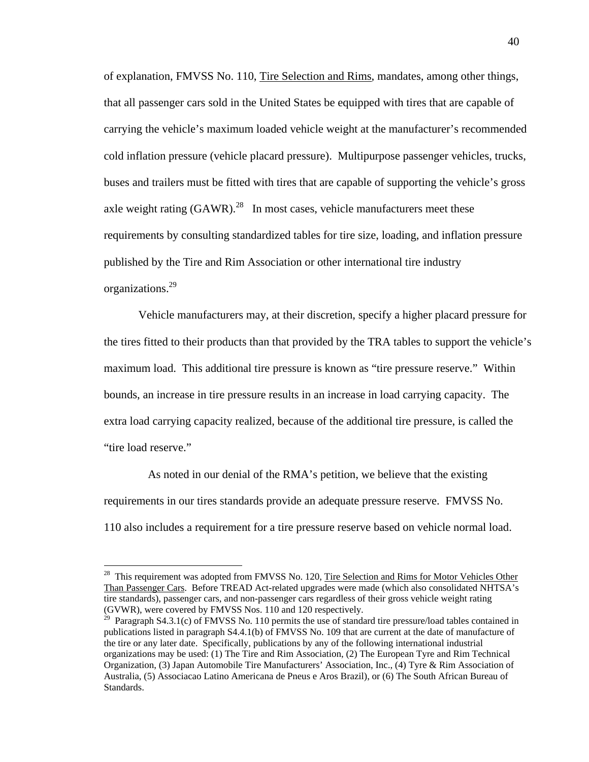of explanation, FMVSS No. 110, Tire Selection and Rims, mandates, among other things, that all passenger cars sold in the United States be equipped with tires that are capable of carrying the vehicle's maximum loaded vehicle weight at the manufacturer's recommended cold inflation pressure (vehicle placard pressure). Multipurpose passenger vehicles, trucks, buses and trailers must be fitted with tires that are capable of supporting the vehicle's gross axle weight rating  $(GAWR)$ <sup>28</sup> In most cases, vehicle manufacturers meet these requirements by consulting standardized tables for tire size, loading, and inflation pressure published by the Tire and Rim Association or other international tire industry organizations.[29](#page-39-1) 

Vehicle manufacturers may, at their discretion, specify a higher placard pressure for the tires fitted to their products than that provided by the TRA tables to support the vehicle's maximum load. This additional tire pressure is known as "tire pressure reserve." Within bounds, an increase in tire pressure results in an increase in load carrying capacity. The extra load carrying capacity realized, because of the additional tire pressure, is called the "tire load reserve."

As noted in our denial of the RMA's petition, we believe that the existing requirements in our tires standards provide an adequate pressure reserve. FMVSS No. 110 also includes a requirement for a tire pressure reserve based on vehicle normal load.

 $\overline{a}$ 

<span id="page-39-0"></span><sup>&</sup>lt;sup>28</sup> This requirement was adopted from FMVSS No. 120, Tire Selection and Rims for Motor Vehicles Other Than Passenger Cars. Before TREAD Act-related upgrades were made (which also consolidated NHTSA's tire standards), passenger cars, and non-passenger cars regardless of their gross vehicle weight rating (GVWR), were covered by FMVSS Nos. 110 and 120 respectively.

<span id="page-39-1"></span>Paragraph S4.3.1(c) of FMVSS No. 110 permits the use of standard tire pressure/load tables contained in publications listed in paragraph S4.4.1(b) of FMVSS No. 109 that are current at the date of manufacture of the tire or any later date. Specifically, publications by any of the following international industrial organizations may be used: (1) The Tire and Rim Association, (2) The European Tyre and Rim Technical Organization, (3) Japan Automobile Tire Manufacturers' Association, Inc., (4) Tyre & Rim Association of Australia, (5) Associacao Latino Americana de Pneus e Aros Brazil), or (6) The South African Bureau of Standards.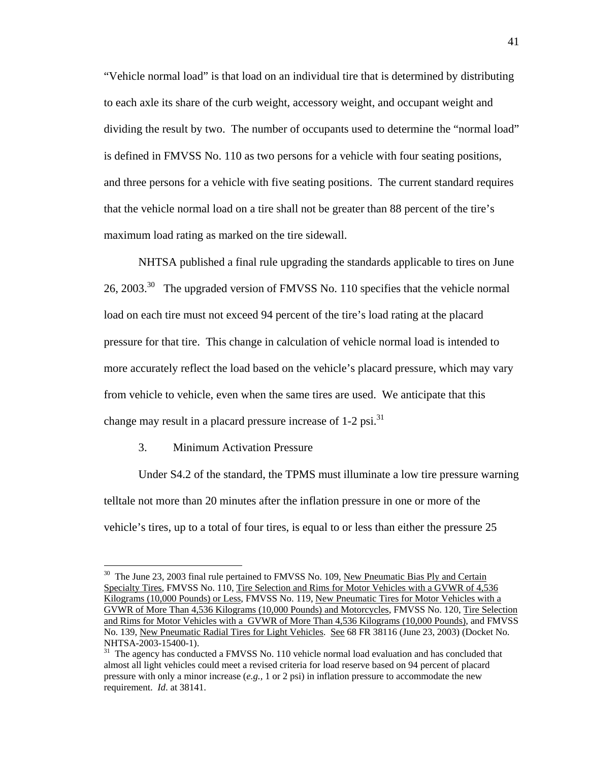"Vehicle normal load" is that load on an individual tire that is determined by distributing to each axle its share of the curb weight, accessory weight, and occupant weight and dividing the result by two. The number of occupants used to determine the "normal load" is defined in FMVSS No. 110 as two persons for a vehicle with four seating positions, and three persons for a vehicle with five seating positions. The current standard requires that the vehicle normal load on a tire shall not be greater than 88 percent of the tire's maximum load rating as marked on the tire sidewall.

NHTSA published a final rule upgrading the standards applicable to tires on June 26, 2003.<sup>30</sup> The upgraded version of FMVSS No. 110 specifies that the vehicle normal load on each tire must not exceed 94 percent of the tire's load rating at the placard pressure for that tire. This change in calculation of vehicle normal load is intended to more accurately reflect the load based on the vehicle's placard pressure, which may vary from vehicle to vehicle, even when the same tires are used. We anticipate that this change may result in a placard pressure increase of  $1-2$  psi.<sup>[31](#page-40-1)</sup>

# 3. Minimum Activation Pressure

 $\overline{a}$ 

Under S4.2 of the standard, the TPMS must illuminate a low tire pressure warning telltale not more than 20 minutes after the inflation pressure in one or more of the vehicle's tires, up to a total of four tires, is equal to or less than either the pressure 25

<span id="page-40-0"></span> $30$  The June 23, 2003 final rule pertained to FMVSS No. 109, New Pneumatic Bias Ply and Certain Specialty Tires, FMVSS No. 110, Tire Selection and Rims for Motor Vehicles with a GVWR of 4,536 Kilograms (10,000 Pounds) or Less, FMVSS No. 119, New Pneumatic Tires for Motor Vehicles with a GVWR of More Than 4,536 Kilograms (10,000 Pounds) and Motorcycles, FMVSS No. 120, Tire Selection and Rims for Motor Vehicles with a GVWR of More Than 4,536 Kilograms (10,000 Pounds), and FMVSS No. 139, New Pneumatic Radial Tires for Light Vehicles. See 68 FR 38116 (June 23, 2003) (Docket No. NHTSA-2003-15400-1).<br><sup>31</sup> The agency has conducted a FMVSS No. 110 vehicle normal load evaluation and has concluded that

<span id="page-40-1"></span>almost all light vehicles could meet a revised criteria for load reserve based on 94 percent of placard pressure with only a minor increase (*e.g.,* 1 or 2 psi) in inflation pressure to accommodate the new requirement. *Id*. at 38141.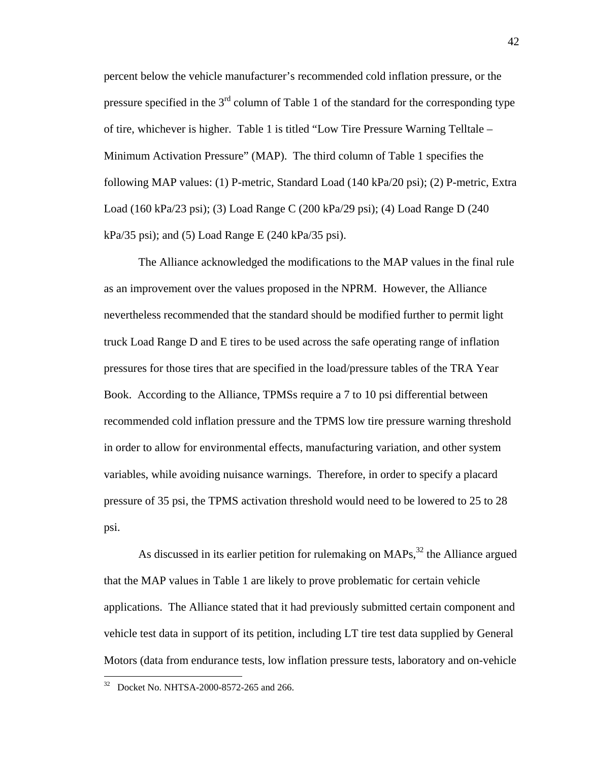percent below the vehicle manufacturer's recommended cold inflation pressure, or the pressure specified in the  $3<sup>rd</sup>$  column of Table 1 of the standard for the corresponding type of tire, whichever is higher. Table 1 is titled "Low Tire Pressure Warning Telltale – Minimum Activation Pressure" (MAP). The third column of Table 1 specifies the following MAP values: (1) P-metric, Standard Load (140 kPa/20 psi); (2) P-metric, Extra Load (160 kPa/23 psi); (3) Load Range C (200 kPa/29 psi); (4) Load Range D (240  $kPa/35$  psi); and (5) Load Range E (240 kPa/35 psi).

The Alliance acknowledged the modifications to the MAP values in the final rule as an improvement over the values proposed in the NPRM. However, the Alliance nevertheless recommended that the standard should be modified further to permit light truck Load Range D and E tires to be used across the safe operating range of inflation pressures for those tires that are specified in the load/pressure tables of the TRA Year Book. According to the Alliance, TPMSs require a 7 to 10 psi differential between recommended cold inflation pressure and the TPMS low tire pressure warning threshold in order to allow for environmental effects, manufacturing variation, and other system variables, while avoiding nuisance warnings. Therefore, in order to specify a placard pressure of 35 psi, the TPMS activation threshold would need to be lowered to 25 to 28 psi.

As discussed in its earlier petition for rulemaking on MAPs,<sup>32</sup> the Alliance argued that the MAP values in Table 1 are likely to prove problematic for certain vehicle applications. The Alliance stated that it had previously submitted certain component and vehicle test data in support of its petition, including LT tire test data supplied by General Motors (data from endurance tests, low inflation pressure tests, laboratory and on-vehicle

<u>.</u>

<span id="page-41-0"></span><sup>32</sup> Docket No. NHTSA-2000-8572-265 and 266.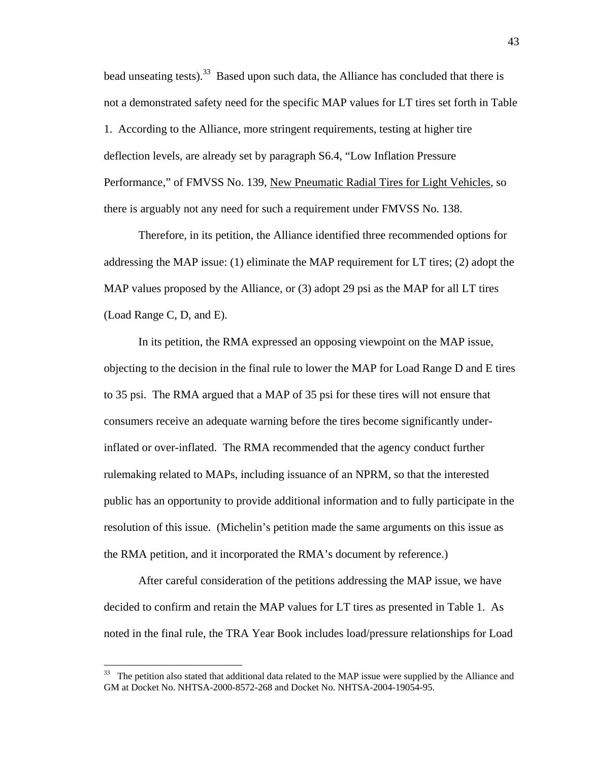bead unseating tests). $33$  Based upon such data, the Alliance has concluded that there is not a demonstrated safety need for the specific MAP values for LT tires set forth in Table 1. According to the Alliance, more stringent requirements, testing at higher tire deflection levels, are already set by paragraph S6.4, "Low Inflation Pressure Performance," of FMVSS No. 139, New Pneumatic Radial Tires for Light Vehicles, so there is arguably not any need for such a requirement under FMVSS No. 138.

Therefore, in its petition, the Alliance identified three recommended options for addressing the MAP issue: (1) eliminate the MAP requirement for LT tires; (2) adopt the MAP values proposed by the Alliance, or (3) adopt 29 psi as the MAP for all LT tires (Load Range C, D, and E).

In its petition, the RMA expressed an opposing viewpoint on the MAP issue, objecting to the decision in the final rule to lower the MAP for Load Range D and E tires to 35 psi. The RMA argued that a MAP of 35 psi for these tires will not ensure that consumers receive an adequate warning before the tires become significantly underinflated or over-inflated. The RMA recommended that the agency conduct further rulemaking related to MAPs, including issuance of an NPRM, so that the interested public has an opportunity to provide additional information and to fully participate in the resolution of this issue. (Michelin's petition made the same arguments on this issue as the RMA petition, and it incorporated the RMA's document by reference.)

After careful consideration of the petitions addressing the MAP issue, we have decided to confirm and retain the MAP values for LT tires as presented in Table 1. As noted in the final rule, the TRA Year Book includes load/pressure relationships for Load

1

<span id="page-42-0"></span><sup>&</sup>lt;sup>33</sup> The petition also stated that additional data related to the MAP issue were supplied by the Alliance and GM at Docket No. NHTSA-2000-8572-268 and Docket No. NHTSA-2004-19054-95.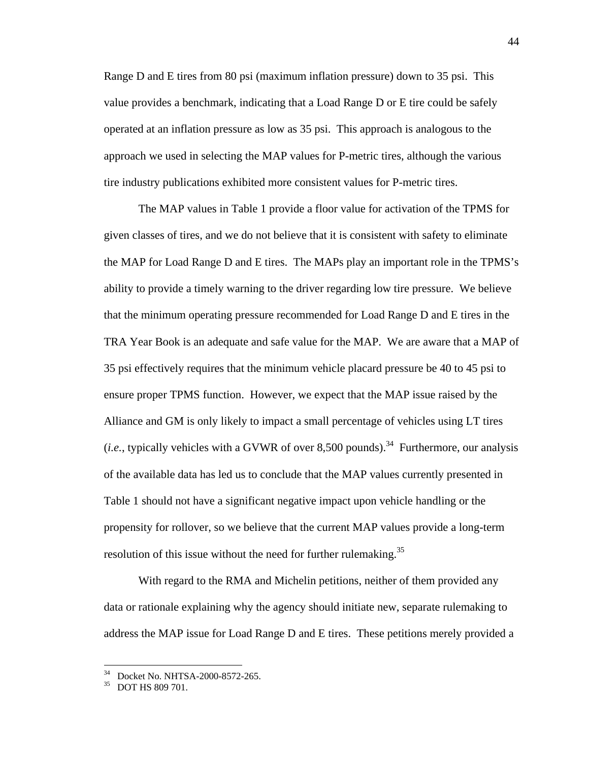Range D and E tires from 80 psi (maximum inflation pressure) down to 35 psi. This value provides a benchmark, indicating that a Load Range D or E tire could be safely operated at an inflation pressure as low as 35 psi. This approach is analogous to the approach we used in selecting the MAP values for P-metric tires, although the various tire industry publications exhibited more consistent values for P-metric tires.

The MAP values in Table 1 provide a floor value for activation of the TPMS for given classes of tires, and we do not believe that it is consistent with safety to eliminate the MAP for Load Range D and E tires. The MAPs play an important role in the TPMS's ability to provide a timely warning to the driver regarding low tire pressure. We believe that the minimum operating pressure recommended for Load Range D and E tires in the TRA Year Book is an adequate and safe value for the MAP. We are aware that a MAP of 35 psi effectively requires that the minimum vehicle placard pressure be 40 to 45 psi to ensure proper TPMS function. However, we expect that the MAP issue raised by the Alliance and GM is only likely to impact a small percentage of vehicles using LT tires (*i.e.*, typically vehicles with a GVWR of over 8,500 pounds).<sup>34</sup> Furthermore, our analysis of the available data has led us to conclude that the MAP values currently presented in Table 1 should not have a significant negative impact upon vehicle handling or the propensity for rollover, so we believe that the current MAP values provide a long-term resolution of this issue without the need for further rulemaking.<sup>[35](#page-43-1)</sup>

With regard to the RMA and Michelin petitions, neither of them provided any data or rationale explaining why the agency should initiate new, separate rulemaking to address the MAP issue for Load Range D and E tires. These petitions merely provided a

 $\overline{a}$ 

<span id="page-43-0"></span> $^{34}$  Docket No. NHTSA-2000-8572-265.<br> $^{35}$  DOT HS 809 701.

<span id="page-43-1"></span>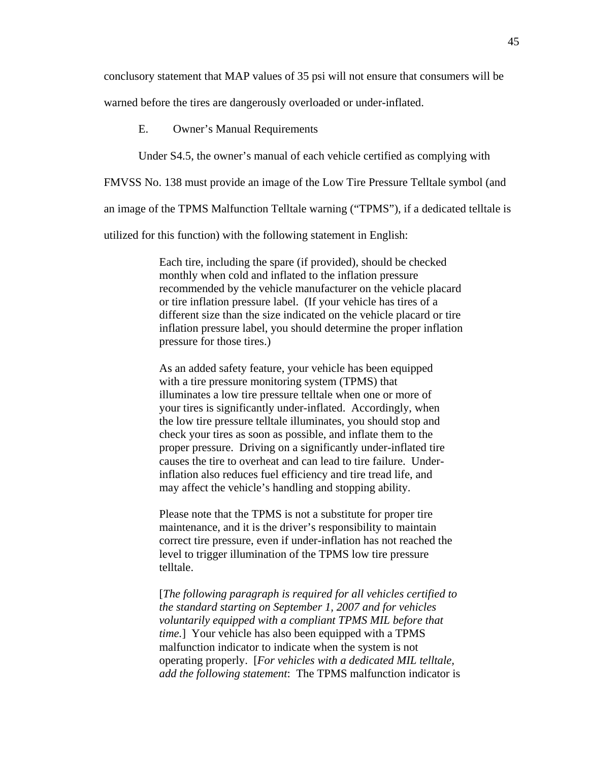conclusory statement that MAP values of 35 psi will not ensure that consumers will be

warned before the tires are dangerously overloaded or under-inflated.

E. Owner's Manual Requirements

Under S4.5, the owner's manual of each vehicle certified as complying with

FMVSS No. 138 must provide an image of the Low Tire Pressure Telltale symbol (and

an image of the TPMS Malfunction Telltale warning ("TPMS"), if a dedicated telltale is

utilized for this function) with the following statement in English:

Each tire, including the spare (if provided), should be checked monthly when cold and inflated to the inflation pressure recommended by the vehicle manufacturer on the vehicle placard or tire inflation pressure label. (If your vehicle has tires of a different size than the size indicated on the vehicle placard or tire inflation pressure label, you should determine the proper inflation pressure for those tires.)

As an added safety feature, your vehicle has been equipped with a tire pressure monitoring system (TPMS) that illuminates a low tire pressure telltale when one or more of your tires is significantly under-inflated. Accordingly, when the low tire pressure telltale illuminates, you should stop and check your tires as soon as possible, and inflate them to the proper pressure. Driving on a significantly under-inflated tire causes the tire to overheat and can lead to tire failure. Underinflation also reduces fuel efficiency and tire tread life, and may affect the vehicle's handling and stopping ability.

Please note that the TPMS is not a substitute for proper tire maintenance, and it is the driver's responsibility to maintain correct tire pressure, even if under-inflation has not reached the level to trigger illumination of the TPMS low tire pressure telltale.

[*The following paragraph is required for all vehicles certified to the standard starting on September 1, 2007 and for vehicles voluntarily equipped with a compliant TPMS MIL before that time.*] Your vehicle has also been equipped with a TPMS malfunction indicator to indicate when the system is not operating properly. [*For vehicles with a dedicated MIL telltale, add the following statement*: The TPMS malfunction indicator is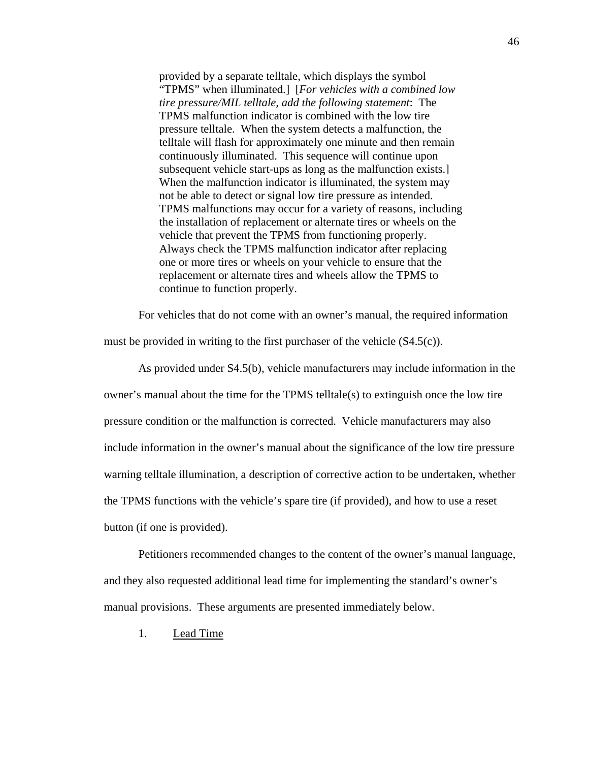provided by a separate telltale, which displays the symbol "TPMS" when illuminated.] [*For vehicles with a combined low tire pressure/MIL telltale, add the following statement*: The TPMS malfunction indicator is combined with the low tire pressure telltale. When the system detects a malfunction, the telltale will flash for approximately one minute and then remain continuously illuminated. This sequence will continue upon subsequent vehicle start-ups as long as the malfunction exists.] When the malfunction indicator is illuminated, the system may not be able to detect or signal low tire pressure as intended. TPMS malfunctions may occur for a variety of reasons, including the installation of replacement or alternate tires or wheels on the vehicle that prevent the TPMS from functioning properly. Always check the TPMS malfunction indicator after replacing one or more tires or wheels on your vehicle to ensure that the replacement or alternate tires and wheels allow the TPMS to continue to function properly.

For vehicles that do not come with an owner's manual, the required information

must be provided in writing to the first purchaser of the vehicle (S4.5(c)).

As provided under S4.5(b), vehicle manufacturers may include information in the owner's manual about the time for the TPMS telltale(s) to extinguish once the low tire pressure condition or the malfunction is corrected. Vehicle manufacturers may also include information in the owner's manual about the significance of the low tire pressure warning telltale illumination, a description of corrective action to be undertaken, whether the TPMS functions with the vehicle's spare tire (if provided), and how to use a reset button (if one is provided).

Petitioners recommended changes to the content of the owner's manual language, and they also requested additional lead time for implementing the standard's owner's manual provisions. These arguments are presented immediately below.

1. Lead Time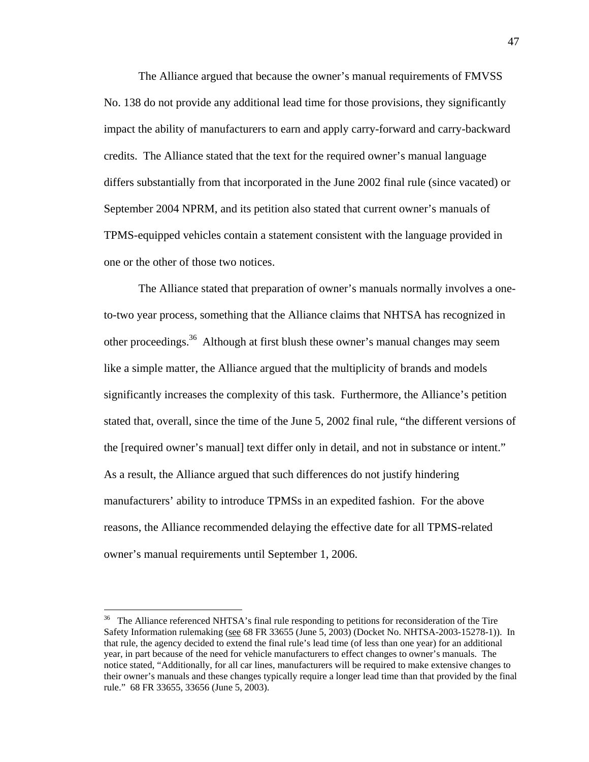The Alliance argued that because the owner's manual requirements of FMVSS No. 138 do not provide any additional lead time for those provisions, they significantly impact the ability of manufacturers to earn and apply carry-forward and carry-backward credits. The Alliance stated that the text for the required owner's manual language differs substantially from that incorporated in the June 2002 final rule (since vacated) or September 2004 NPRM, and its petition also stated that current owner's manuals of TPMS-equipped vehicles contain a statement consistent with the language provided in one or the other of those two notices.

The Alliance stated that preparation of owner's manuals normally involves a oneto-two year process, something that the Alliance claims that NHTSA has recognized in other proceedings.[36](#page-46-0) Although at first blush these owner's manual changes may seem like a simple matter, the Alliance argued that the multiplicity of brands and models significantly increases the complexity of this task. Furthermore, the Alliance's petition stated that, overall, since the time of the June 5, 2002 final rule, "the different versions of the [required owner's manual] text differ only in detail, and not in substance or intent." As a result, the Alliance argued that such differences do not justify hindering manufacturers' ability to introduce TPMSs in an expedited fashion. For the above reasons, the Alliance recommended delaying the effective date for all TPMS-related owner's manual requirements until September 1, 2006.

 $\overline{a}$ 

<span id="page-46-0"></span><sup>&</sup>lt;sup>36</sup> The Alliance referenced NHTSA's final rule responding to petitions for reconsideration of the Tire Safety Information rulemaking (see 68 FR 33655 (June 5, 2003) (Docket No. NHTSA-2003-15278-1)). In that rule, the agency decided to extend the final rule's lead time (of less than one year) for an additional year, in part because of the need for vehicle manufacturers to effect changes to owner's manuals. The notice stated, "Additionally, for all car lines, manufacturers will be required to make extensive changes to their owner's manuals and these changes typically require a longer lead time than that provided by the final rule." 68 FR 33655, 33656 (June 5, 2003).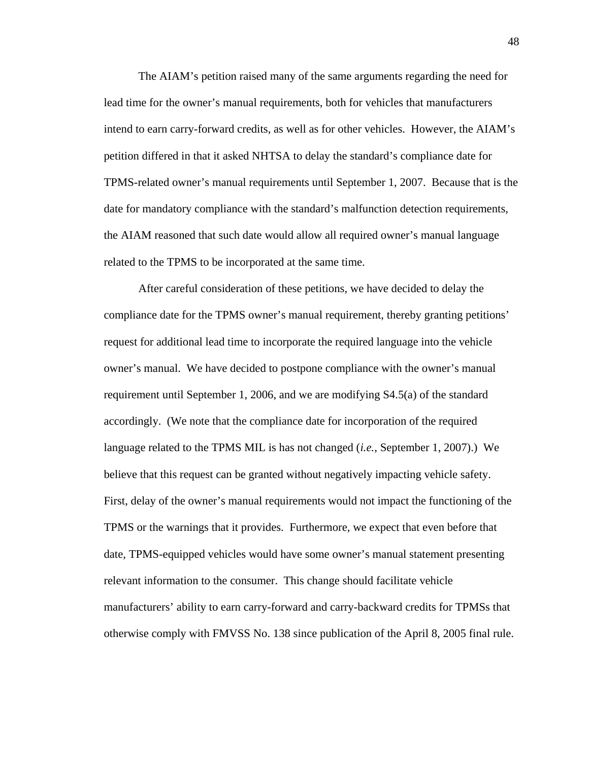The AIAM's petition raised many of the same arguments regarding the need for lead time for the owner's manual requirements, both for vehicles that manufacturers intend to earn carry-forward credits, as well as for other vehicles. However, the AIAM's petition differed in that it asked NHTSA to delay the standard's compliance date for TPMS-related owner's manual requirements until September 1, 2007. Because that is the date for mandatory compliance with the standard's malfunction detection requirements, the AIAM reasoned that such date would allow all required owner's manual language related to the TPMS to be incorporated at the same time.

After careful consideration of these petitions, we have decided to delay the compliance date for the TPMS owner's manual requirement, thereby granting petitions' request for additional lead time to incorporate the required language into the vehicle owner's manual. We have decided to postpone compliance with the owner's manual requirement until September 1, 2006, and we are modifying S4.5(a) of the standard accordingly. (We note that the compliance date for incorporation of the required language related to the TPMS MIL is has not changed (*i.e.*, September 1, 2007).) We believe that this request can be granted without negatively impacting vehicle safety. First, delay of the owner's manual requirements would not impact the functioning of the TPMS or the warnings that it provides. Furthermore, we expect that even before that date, TPMS-equipped vehicles would have some owner's manual statement presenting relevant information to the consumer. This change should facilitate vehicle manufacturers' ability to earn carry-forward and carry-backward credits for TPMSs that otherwise comply with FMVSS No. 138 since publication of the April 8, 2005 final rule.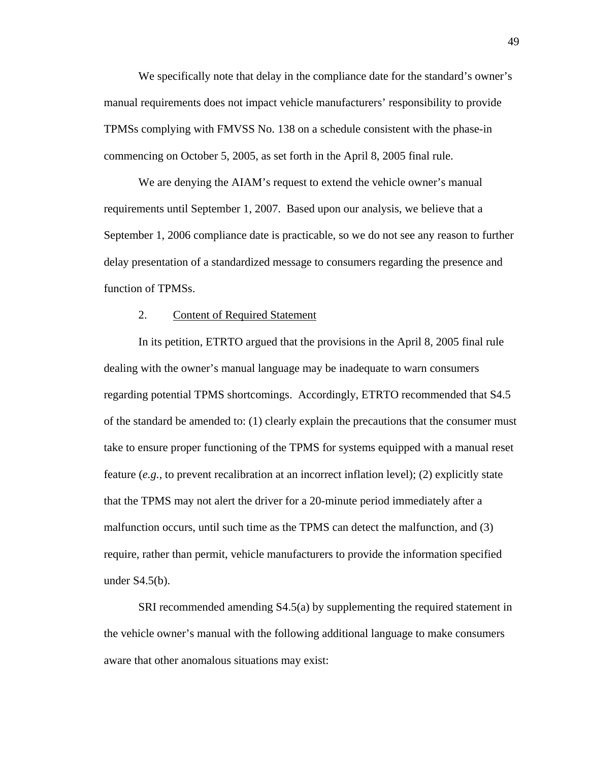We specifically note that delay in the compliance date for the standard's owner's manual requirements does not impact vehicle manufacturers' responsibility to provide TPMSs complying with FMVSS No. 138 on a schedule consistent with the phase-in commencing on October 5, 2005, as set forth in the April 8, 2005 final rule.

We are denying the AIAM's request to extend the vehicle owner's manual requirements until September 1, 2007. Based upon our analysis, we believe that a September 1, 2006 compliance date is practicable, so we do not see any reason to further delay presentation of a standardized message to consumers regarding the presence and function of TPMSs.

## 2. Content of Required Statement

In its petition, ETRTO argued that the provisions in the April 8, 2005 final rule dealing with the owner's manual language may be inadequate to warn consumers regarding potential TPMS shortcomings. Accordingly, ETRTO recommended that S4.5 of the standard be amended to: (1) clearly explain the precautions that the consumer must take to ensure proper functioning of the TPMS for systems equipped with a manual reset feature (*e.g.*, to prevent recalibration at an incorrect inflation level); (2) explicitly state that the TPMS may not alert the driver for a 20-minute period immediately after a malfunction occurs, until such time as the TPMS can detect the malfunction, and (3) require, rather than permit, vehicle manufacturers to provide the information specified under S4.5(b).

SRI recommended amending S4.5(a) by supplementing the required statement in the vehicle owner's manual with the following additional language to make consumers aware that other anomalous situations may exist: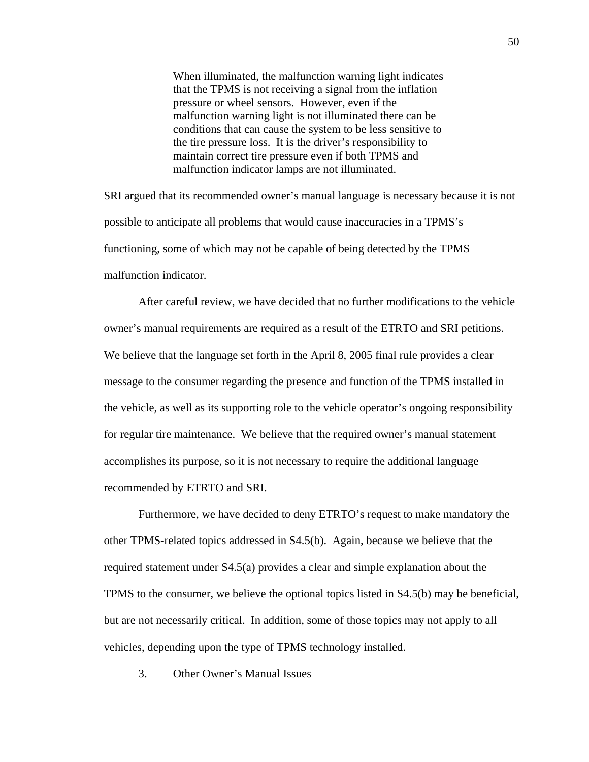When illuminated, the malfunction warning light indicates that the TPMS is not receiving a signal from the inflation pressure or wheel sensors. However, even if the malfunction warning light is not illuminated there can be conditions that can cause the system to be less sensitive to the tire pressure loss. It is the driver's responsibility to maintain correct tire pressure even if both TPMS and malfunction indicator lamps are not illuminated.

SRI argued that its recommended owner's manual language is necessary because it is not possible to anticipate all problems that would cause inaccuracies in a TPMS's functioning, some of which may not be capable of being detected by the TPMS malfunction indicator.

After careful review, we have decided that no further modifications to the vehicle owner's manual requirements are required as a result of the ETRTO and SRI petitions. We believe that the language set forth in the April 8, 2005 final rule provides a clear message to the consumer regarding the presence and function of the TPMS installed in the vehicle, as well as its supporting role to the vehicle operator's ongoing responsibility for regular tire maintenance. We believe that the required owner's manual statement accomplishes its purpose, so it is not necessary to require the additional language recommended by ETRTO and SRI.

Furthermore, we have decided to deny ETRTO's request to make mandatory the other TPMS-related topics addressed in S4.5(b). Again, because we believe that the required statement under S4.5(a) provides a clear and simple explanation about the TPMS to the consumer, we believe the optional topics listed in S4.5(b) may be beneficial, but are not necessarily critical. In addition, some of those topics may not apply to all vehicles, depending upon the type of TPMS technology installed.

3. Other Owner's Manual Issues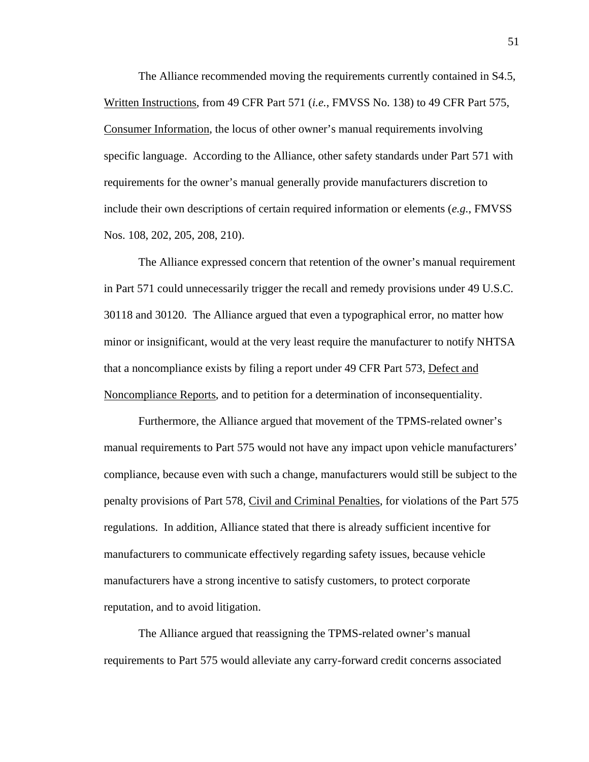The Alliance recommended moving the requirements currently contained in S4.5, Written Instructions, from 49 CFR Part 571 (*i.e.*, FMVSS No. 138) to 49 CFR Part 575, Consumer Information, the locus of other owner's manual requirements involving specific language. According to the Alliance, other safety standards under Part 571 with requirements for the owner's manual generally provide manufacturers discretion to include their own descriptions of certain required information or elements (*e.g.*, FMVSS Nos. 108, 202, 205, 208, 210).

The Alliance expressed concern that retention of the owner's manual requirement in Part 571 could unnecessarily trigger the recall and remedy provisions under 49 U.S.C. 30118 and 30120. The Alliance argued that even a typographical error, no matter how minor or insignificant, would at the very least require the manufacturer to notify NHTSA that a noncompliance exists by filing a report under 49 CFR Part 573, Defect and Noncompliance Reports, and to petition for a determination of inconsequentiality.

Furthermore, the Alliance argued that movement of the TPMS-related owner's manual requirements to Part 575 would not have any impact upon vehicle manufacturers' compliance, because even with such a change, manufacturers would still be subject to the penalty provisions of Part 578, Civil and Criminal Penalties, for violations of the Part 575 regulations. In addition, Alliance stated that there is already sufficient incentive for manufacturers to communicate effectively regarding safety issues, because vehicle manufacturers have a strong incentive to satisfy customers, to protect corporate reputation, and to avoid litigation.

The Alliance argued that reassigning the TPMS-related owner's manual requirements to Part 575 would alleviate any carry-forward credit concerns associated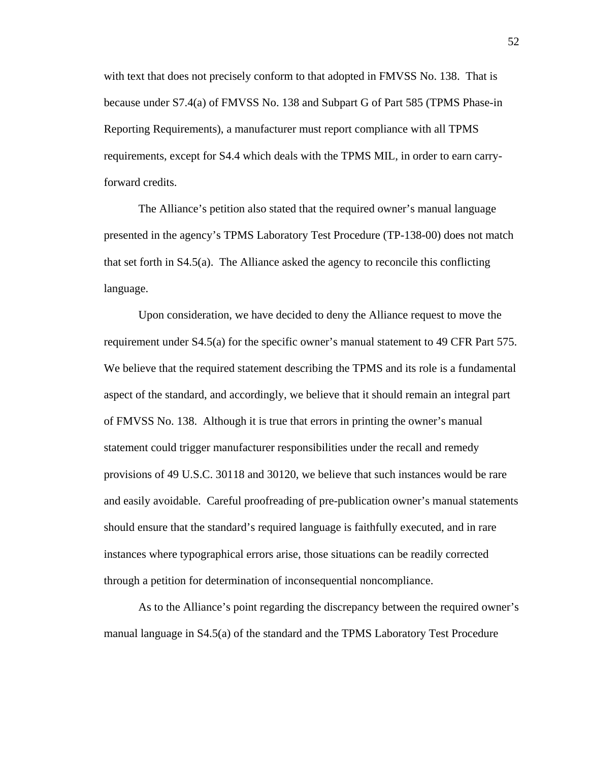with text that does not precisely conform to that adopted in FMVSS No. 138. That is because under S7.4(a) of FMVSS No. 138 and Subpart G of Part 585 (TPMS Phase-in Reporting Requirements), a manufacturer must report compliance with all TPMS requirements, except for S4.4 which deals with the TPMS MIL, in order to earn carryforward credits.

The Alliance's petition also stated that the required owner's manual language presented in the agency's TPMS Laboratory Test Procedure (TP-138-00) does not match that set forth in S4.5(a). The Alliance asked the agency to reconcile this conflicting language.

Upon consideration, we have decided to deny the Alliance request to move the requirement under S4.5(a) for the specific owner's manual statement to 49 CFR Part 575. We believe that the required statement describing the TPMS and its role is a fundamental aspect of the standard, and accordingly, we believe that it should remain an integral part of FMVSS No. 138. Although it is true that errors in printing the owner's manual statement could trigger manufacturer responsibilities under the recall and remedy provisions of 49 U.S.C. 30118 and 30120, we believe that such instances would be rare and easily avoidable. Careful proofreading of pre-publication owner's manual statements should ensure that the standard's required language is faithfully executed, and in rare instances where typographical errors arise, those situations can be readily corrected through a petition for determination of inconsequential noncompliance.

As to the Alliance's point regarding the discrepancy between the required owner's manual language in S4.5(a) of the standard and the TPMS Laboratory Test Procedure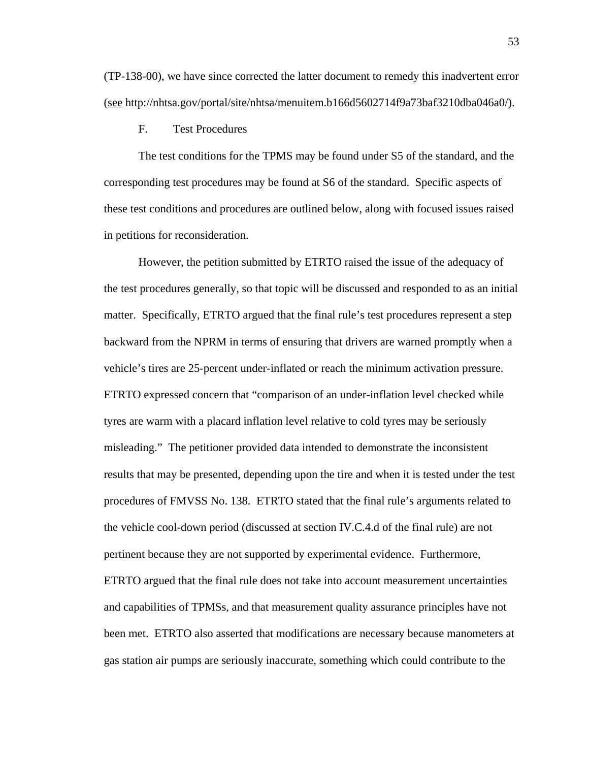(TP-138-00), we have since corrected the latter document to remedy this inadvertent error (see http://nhtsa.gov/portal/site/nhtsa/menuitem.b166d5602714f9a73baf3210dba046a0/).

F. Test Procedures

The test conditions for the TPMS may be found under S5 of the standard, and the corresponding test procedures may be found at S6 of the standard. Specific aspects of these test conditions and procedures are outlined below, along with focused issues raised in petitions for reconsideration.

However, the petition submitted by ETRTO raised the issue of the adequacy of the test procedures generally, so that topic will be discussed and responded to as an initial matter. Specifically, ETRTO argued that the final rule's test procedures represent a step backward from the NPRM in terms of ensuring that drivers are warned promptly when a vehicle's tires are 25-percent under-inflated or reach the minimum activation pressure. ETRTO expressed concern that "comparison of an under-inflation level checked while tyres are warm with a placard inflation level relative to cold tyres may be seriously misleading." The petitioner provided data intended to demonstrate the inconsistent results that may be presented, depending upon the tire and when it is tested under the test procedures of FMVSS No. 138. ETRTO stated that the final rule's arguments related to the vehicle cool-down period (discussed at section IV.C.4.d of the final rule) are not pertinent because they are not supported by experimental evidence. Furthermore, ETRTO argued that the final rule does not take into account measurement uncertainties and capabilities of TPMSs, and that measurement quality assurance principles have not been met. ETRTO also asserted that modifications are necessary because manometers at gas station air pumps are seriously inaccurate, something which could contribute to the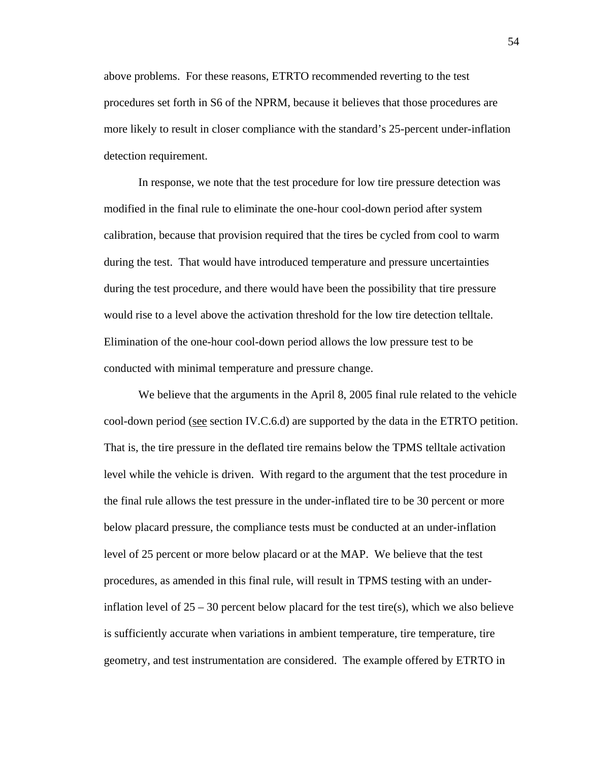above problems. For these reasons, ETRTO recommended reverting to the test procedures set forth in S6 of the NPRM, because it believes that those procedures are more likely to result in closer compliance with the standard's 25-percent under-inflation detection requirement.

In response, we note that the test procedure for low tire pressure detection was modified in the final rule to eliminate the one-hour cool-down period after system calibration, because that provision required that the tires be cycled from cool to warm during the test. That would have introduced temperature and pressure uncertainties during the test procedure, and there would have been the possibility that tire pressure would rise to a level above the activation threshold for the low tire detection telltale. Elimination of the one-hour cool-down period allows the low pressure test to be conducted with minimal temperature and pressure change.

We believe that the arguments in the April 8, 2005 final rule related to the vehicle cool-down period (see section IV.C.6.d) are supported by the data in the ETRTO petition. That is, the tire pressure in the deflated tire remains below the TPMS telltale activation level while the vehicle is driven. With regard to the argument that the test procedure in the final rule allows the test pressure in the under-inflated tire to be 30 percent or more below placard pressure, the compliance tests must be conducted at an under-inflation level of 25 percent or more below placard or at the MAP. We believe that the test procedures, as amended in this final rule, will result in TPMS testing with an underinflation level of  $25 - 30$  percent below placard for the test tire(s), which we also believe is sufficiently accurate when variations in ambient temperature, tire temperature, tire geometry, and test instrumentation are considered. The example offered by ETRTO in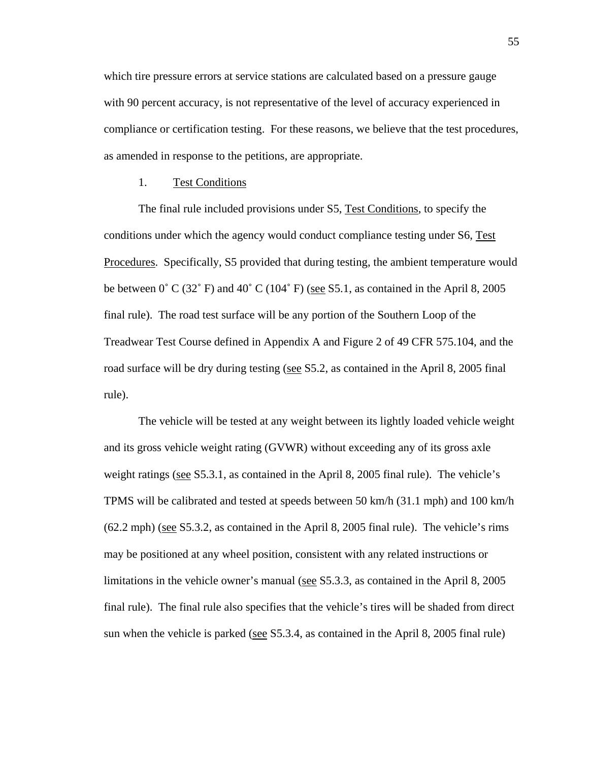which tire pressure errors at service stations are calculated based on a pressure gauge with 90 percent accuracy, is not representative of the level of accuracy experienced in compliance or certification testing. For these reasons, we believe that the test procedures, as amended in response to the petitions, are appropriate.

## 1. Test Conditions

The final rule included provisions under S5, Test Conditions, to specify the conditions under which the agency would conduct compliance testing under S6, Test Procedures. Specifically, S5 provided that during testing, the ambient temperature would be between  $0^{\circ}$  C (32 $^{\circ}$  F) and 40 $^{\circ}$  C (104 $^{\circ}$  F) (see S5.1, as contained in the April 8, 2005 final rule). The road test surface will be any portion of the Southern Loop of the Treadwear Test Course defined in Appendix A and Figure 2 of 49 CFR 575.104, and the road surface will be dry during testing (see S5.2, as contained in the April 8, 2005 final rule).

The vehicle will be tested at any weight between its lightly loaded vehicle weight and its gross vehicle weight rating (GVWR) without exceeding any of its gross axle weight ratings (see S5.3.1, as contained in the April 8, 2005 final rule). The vehicle's TPMS will be calibrated and tested at speeds between 50 km/h (31.1 mph) and 100 km/h (62.2 mph) (see S5.3.2, as contained in the April 8, 2005 final rule). The vehicle's rims may be positioned at any wheel position, consistent with any related instructions or limitations in the vehicle owner's manual (see S5.3.3, as contained in the April 8, 2005 final rule). The final rule also specifies that the vehicle's tires will be shaded from direct sun when the vehicle is parked (see S5.3.4, as contained in the April 8, 2005 final rule)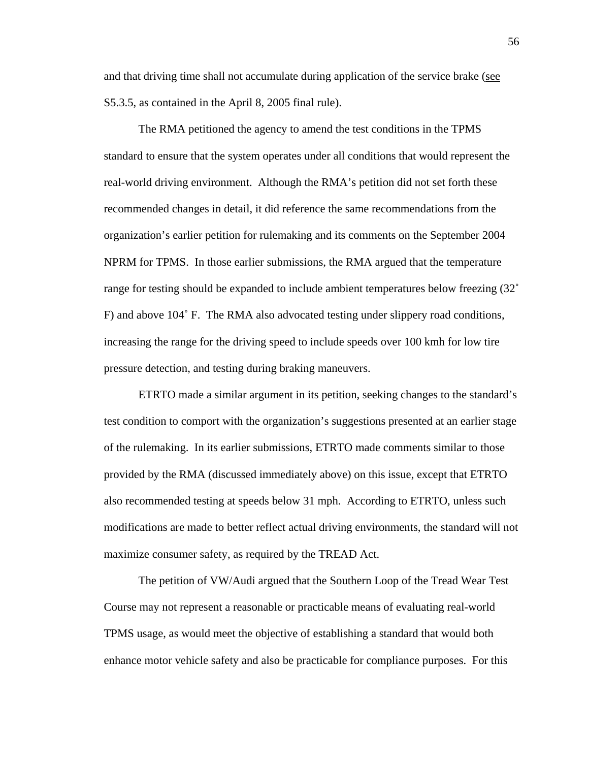and that driving time shall not accumulate during application of the service brake (see S5.3.5, as contained in the April 8, 2005 final rule).

The RMA petitioned the agency to amend the test conditions in the TPMS standard to ensure that the system operates under all conditions that would represent the real-world driving environment. Although the RMA's petition did not set forth these recommended changes in detail, it did reference the same recommendations from the organization's earlier petition for rulemaking and its comments on the September 2004 NPRM for TPMS. In those earlier submissions, the RMA argued that the temperature range for testing should be expanded to include ambient temperatures below freezing (32˚ F) and above 104˚ F. The RMA also advocated testing under slippery road conditions, increasing the range for the driving speed to include speeds over 100 kmh for low tire pressure detection, and testing during braking maneuvers.

ETRTO made a similar argument in its petition, seeking changes to the standard's test condition to comport with the organization's suggestions presented at an earlier stage of the rulemaking. In its earlier submissions, ETRTO made comments similar to those provided by the RMA (discussed immediately above) on this issue, except that ETRTO also recommended testing at speeds below 31 mph. According to ETRTO, unless such modifications are made to better reflect actual driving environments, the standard will not maximize consumer safety, as required by the TREAD Act.

The petition of VW/Audi argued that the Southern Loop of the Tread Wear Test Course may not represent a reasonable or practicable means of evaluating real-world TPMS usage, as would meet the objective of establishing a standard that would both enhance motor vehicle safety and also be practicable for compliance purposes. For this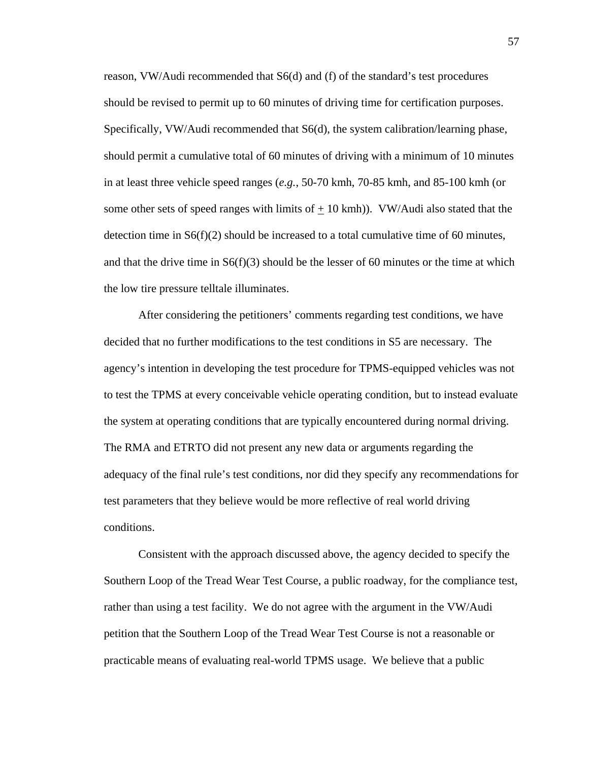reason, VW/Audi recommended that S6(d) and (f) of the standard's test procedures should be revised to permit up to 60 minutes of driving time for certification purposes. Specifically, VW/Audi recommended that S6(d), the system calibration/learning phase, should permit a cumulative total of 60 minutes of driving with a minimum of 10 minutes in at least three vehicle speed ranges (*e.g.*, 50-70 kmh, 70-85 kmh, and 85-100 kmh (or some other sets of speed ranges with limits of  $\pm$  10 kmh)). VW/Audi also stated that the detection time in  $S6(f)(2)$  should be increased to a total cumulative time of 60 minutes, and that the drive time in  $S6(f)(3)$  should be the lesser of 60 minutes or the time at which the low tire pressure telltale illuminates.

After considering the petitioners' comments regarding test conditions, we have decided that no further modifications to the test conditions in S5 are necessary. The agency's intention in developing the test procedure for TPMS-equipped vehicles was not to test the TPMS at every conceivable vehicle operating condition, but to instead evaluate the system at operating conditions that are typically encountered during normal driving. The RMA and ETRTO did not present any new data or arguments regarding the adequacy of the final rule's test conditions, nor did they specify any recommendations for test parameters that they believe would be more reflective of real world driving conditions.

Consistent with the approach discussed above, the agency decided to specify the Southern Loop of the Tread Wear Test Course, a public roadway, for the compliance test, rather than using a test facility. We do not agree with the argument in the VW/Audi petition that the Southern Loop of the Tread Wear Test Course is not a reasonable or practicable means of evaluating real-world TPMS usage. We believe that a public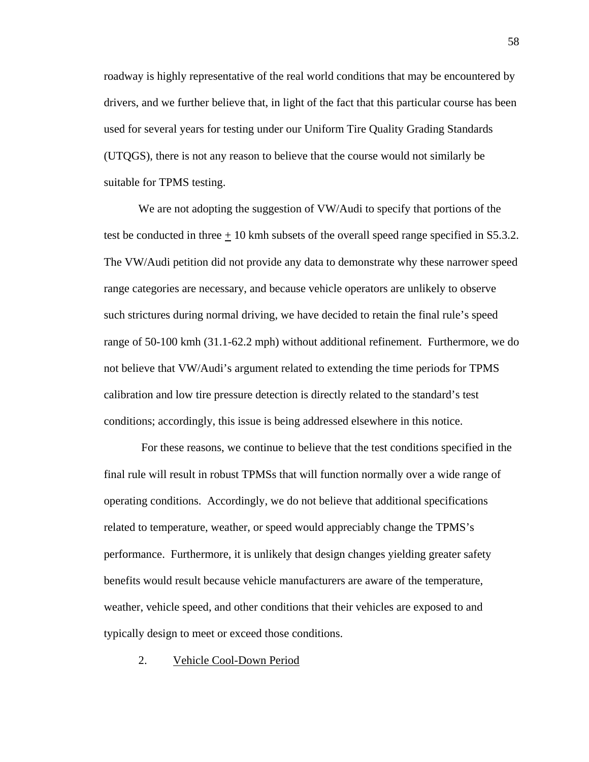roadway is highly representative of the real world conditions that may be encountered by drivers, and we further believe that, in light of the fact that this particular course has been used for several years for testing under our Uniform Tire Quality Grading Standards (UTQGS), there is not any reason to believe that the course would not similarly be suitable for TPMS testing.

We are not adopting the suggestion of VW/Audi to specify that portions of the test be conducted in three  $+10$  kmh subsets of the overall speed range specified in S5.3.2. The VW/Audi petition did not provide any data to demonstrate why these narrower speed range categories are necessary, and because vehicle operators are unlikely to observe such strictures during normal driving, we have decided to retain the final rule's speed range of 50-100 kmh (31.1-62.2 mph) without additional refinement. Furthermore, we do not believe that VW/Audi's argument related to extending the time periods for TPMS calibration and low tire pressure detection is directly related to the standard's test conditions; accordingly, this issue is being addressed elsewhere in this notice.

 For these reasons, we continue to believe that the test conditions specified in the final rule will result in robust TPMSs that will function normally over a wide range of operating conditions. Accordingly, we do not believe that additional specifications related to temperature, weather, or speed would appreciably change the TPMS's performance. Furthermore, it is unlikely that design changes yielding greater safety benefits would result because vehicle manufacturers are aware of the temperature, weather, vehicle speed, and other conditions that their vehicles are exposed to and typically design to meet or exceed those conditions.

2. Vehicle Cool-Down Period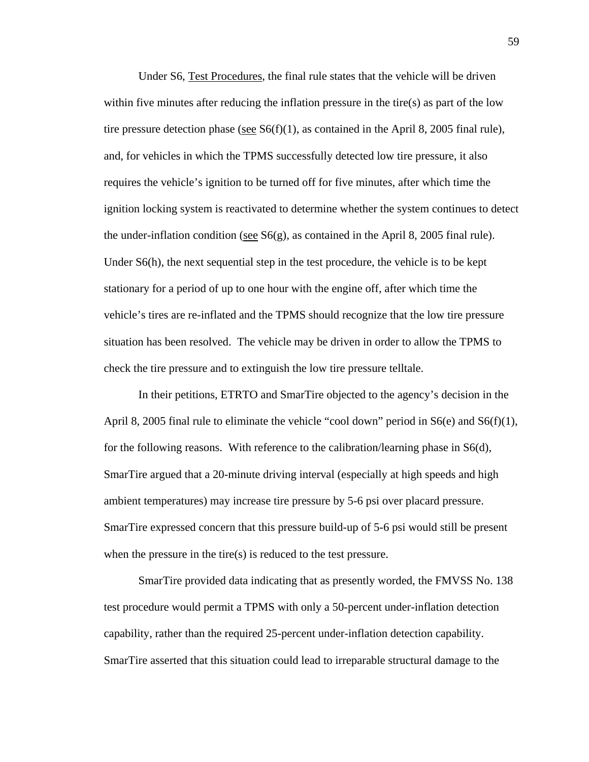Under S6, Test Procedures, the final rule states that the vehicle will be driven within five minutes after reducing the inflation pressure in the tire(s) as part of the low tire pressure detection phase (see  $S6(f)(1)$ , as contained in the April 8, 2005 final rule), and, for vehicles in which the TPMS successfully detected low tire pressure, it also requires the vehicle's ignition to be turned off for five minutes, after which time the ignition locking system is reactivated to determine whether the system continues to detect the under-inflation condition (see  $S6(g)$ , as contained in the April 8, 2005 final rule). Under S6(h), the next sequential step in the test procedure, the vehicle is to be kept stationary for a period of up to one hour with the engine off, after which time the vehicle's tires are re-inflated and the TPMS should recognize that the low tire pressure situation has been resolved. The vehicle may be driven in order to allow the TPMS to check the tire pressure and to extinguish the low tire pressure telltale.

In their petitions, ETRTO and SmarTire objected to the agency's decision in the April 8, 2005 final rule to eliminate the vehicle "cool down" period in  $S6(e)$  and  $S6(f)(1)$ , for the following reasons. With reference to the calibration/learning phase in S6(d), SmarTire argued that a 20-minute driving interval (especially at high speeds and high ambient temperatures) may increase tire pressure by 5-6 psi over placard pressure. SmarTire expressed concern that this pressure build-up of 5-6 psi would still be present when the pressure in the tire(s) is reduced to the test pressure.

SmarTire provided data indicating that as presently worded, the FMVSS No. 138 test procedure would permit a TPMS with only a 50-percent under-inflation detection capability, rather than the required 25-percent under-inflation detection capability. SmarTire asserted that this situation could lead to irreparable structural damage to the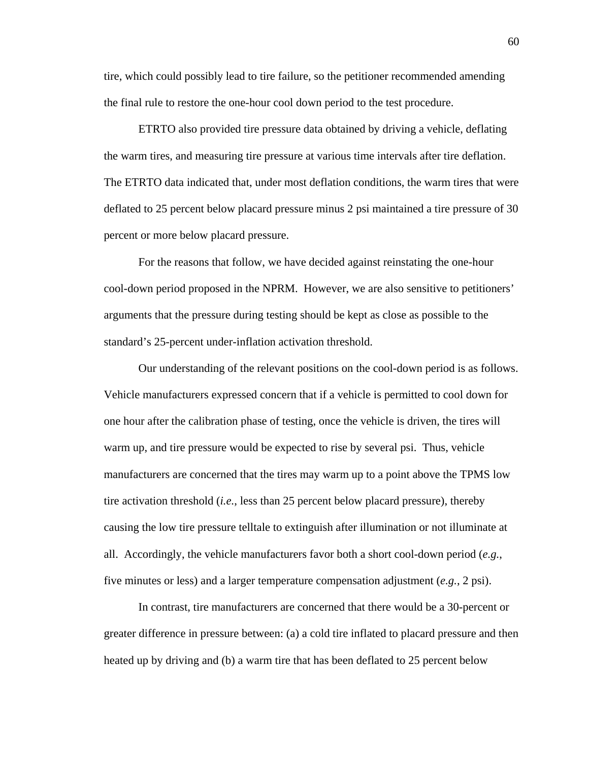tire, which could possibly lead to tire failure, so the petitioner recommended amending the final rule to restore the one-hour cool down period to the test procedure.

ETRTO also provided tire pressure data obtained by driving a vehicle, deflating the warm tires, and measuring tire pressure at various time intervals after tire deflation. The ETRTO data indicated that, under most deflation conditions, the warm tires that were deflated to 25 percent below placard pressure minus 2 psi maintained a tire pressure of 30 percent or more below placard pressure.

For the reasons that follow, we have decided against reinstating the one-hour cool-down period proposed in the NPRM. However, we are also sensitive to petitioners' arguments that the pressure during testing should be kept as close as possible to the standard's 25-percent under-inflation activation threshold.

Our understanding of the relevant positions on the cool-down period is as follows. Vehicle manufacturers expressed concern that if a vehicle is permitted to cool down for one hour after the calibration phase of testing, once the vehicle is driven, the tires will warm up, and tire pressure would be expected to rise by several psi. Thus, vehicle manufacturers are concerned that the tires may warm up to a point above the TPMS low tire activation threshold (*i.e.*, less than 25 percent below placard pressure), thereby causing the low tire pressure telltale to extinguish after illumination or not illuminate at all. Accordingly, the vehicle manufacturers favor both a short cool-down period (*e.g.*, five minutes or less) and a larger temperature compensation adjustment (*e.g.*, 2 psi).

In contrast, tire manufacturers are concerned that there would be a 30-percent or greater difference in pressure between: (a) a cold tire inflated to placard pressure and then heated up by driving and (b) a warm tire that has been deflated to 25 percent below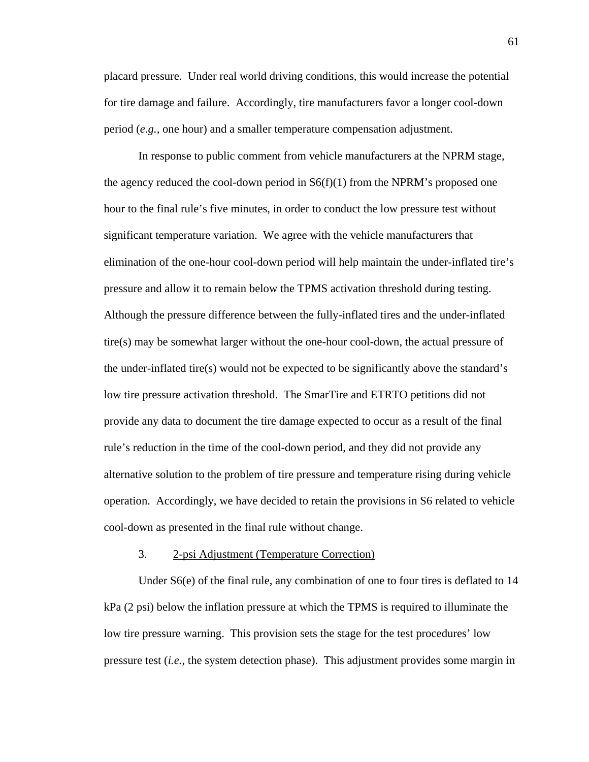placard pressure. Under real world driving conditions, this would increase the potential for tire damage and failure. Accordingly, tire manufacturers favor a longer cool-down period (*e.g.*, one hour) and a smaller temperature compensation adjustment.

In response to public comment from vehicle manufacturers at the NPRM stage, the agency reduced the cool-down period in  $S6(f)(1)$  from the NPRM's proposed one hour to the final rule's five minutes, in order to conduct the low pressure test without significant temperature variation. We agree with the vehicle manufacturers that elimination of the one-hour cool-down period will help maintain the under-inflated tire's pressure and allow it to remain below the TPMS activation threshold during testing. Although the pressure difference between the fully-inflated tires and the under-inflated tire(s) may be somewhat larger without the one-hour cool-down, the actual pressure of the under-inflated tire(s) would not be expected to be significantly above the standard's low tire pressure activation threshold. The SmarTire and ETRTO petitions did not provide any data to document the tire damage expected to occur as a result of the final rule's reduction in the time of the cool-down period, and they did not provide any alternative solution to the problem of tire pressure and temperature rising during vehicle operation. Accordingly, we have decided to retain the provisions in S6 related to vehicle cool-down as presented in the final rule without change.

#### 3. 2-psi Adjustment (Temperature Correction)

Under S6(e) of the final rule, any combination of one to four tires is deflated to 14 kPa (2 psi) below the inflation pressure at which the TPMS is required to illuminate the low tire pressure warning. This provision sets the stage for the test procedures' low pressure test (*i.e.*, the system detection phase). This adjustment provides some margin in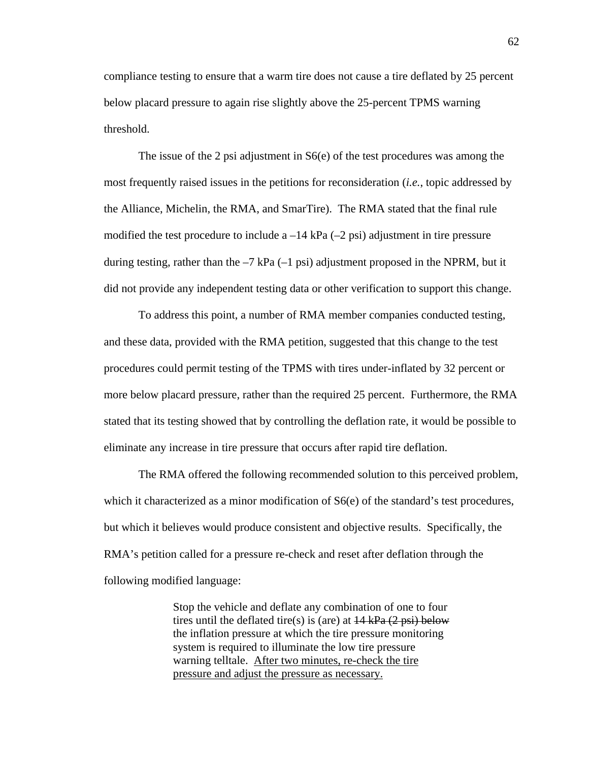compliance testing to ensure that a warm tire does not cause a tire deflated by 25 percent below placard pressure to again rise slightly above the 25-percent TPMS warning threshold.

The issue of the 2 psi adjustment in  $S6(e)$  of the test procedures was among the most frequently raised issues in the petitions for reconsideration (*i.e.*, topic addressed by the Alliance, Michelin, the RMA, and SmarTire). The RMA stated that the final rule modified the test procedure to include a  $-14$  kPa  $(-2 \text{ psi})$  adjustment in tire pressure during testing, rather than the  $-7$  kPa  $(-1 \text{ psi})$  adjustment proposed in the NPRM, but it did not provide any independent testing data or other verification to support this change.

To address this point, a number of RMA member companies conducted testing, and these data, provided with the RMA petition, suggested that this change to the test procedures could permit testing of the TPMS with tires under-inflated by 32 percent or more below placard pressure, rather than the required 25 percent. Furthermore, the RMA stated that its testing showed that by controlling the deflation rate, it would be possible to eliminate any increase in tire pressure that occurs after rapid tire deflation.

The RMA offered the following recommended solution to this perceived problem, which it characterized as a minor modification of  $S6(e)$  of the standard's test procedures, but which it believes would produce consistent and objective results. Specifically, the RMA's petition called for a pressure re-check and reset after deflation through the following modified language:

> Stop the vehicle and deflate any combination of one to four tires until the deflated tire(s) is (are) at  $14 \text{ kPa}$  (2 psi) below the inflation pressure at which the tire pressure monitoring system is required to illuminate the low tire pressure warning telltale. After two minutes, re-check the tire pressure and adjust the pressure as necessary.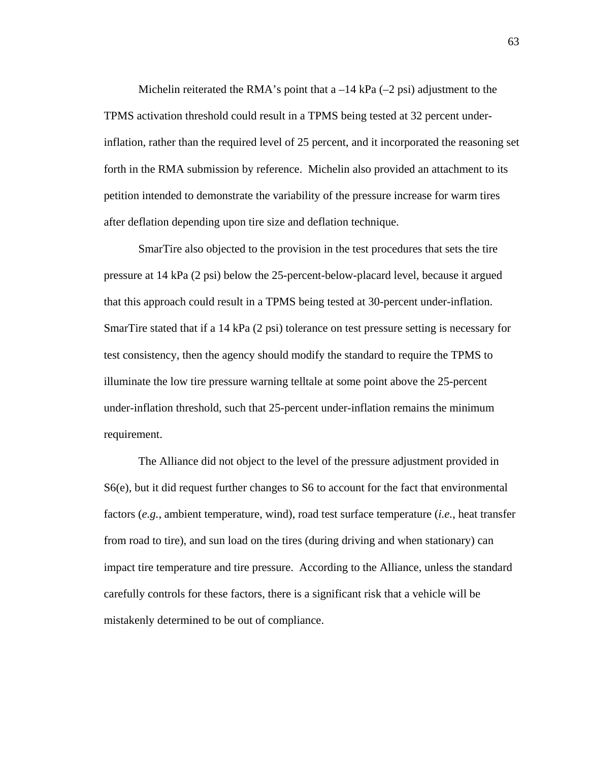Michelin reiterated the RMA's point that  $a - 14$  kPa  $(-2 \text{ psi})$  adjustment to the TPMS activation threshold could result in a TPMS being tested at 32 percent underinflation, rather than the required level of 25 percent, and it incorporated the reasoning set forth in the RMA submission by reference. Michelin also provided an attachment to its petition intended to demonstrate the variability of the pressure increase for warm tires after deflation depending upon tire size and deflation technique.

SmarTire also objected to the provision in the test procedures that sets the tire pressure at 14 kPa (2 psi) below the 25-percent-below-placard level, because it argued that this approach could result in a TPMS being tested at 30-percent under-inflation. SmarTire stated that if a 14 kPa (2 psi) tolerance on test pressure setting is necessary for test consistency, then the agency should modify the standard to require the TPMS to illuminate the low tire pressure warning telltale at some point above the 25-percent under-inflation threshold, such that 25-percent under-inflation remains the minimum requirement.

The Alliance did not object to the level of the pressure adjustment provided in S6(e), but it did request further changes to S6 to account for the fact that environmental factors (*e.g.*, ambient temperature, wind), road test surface temperature (*i.e.*, heat transfer from road to tire), and sun load on the tires (during driving and when stationary) can impact tire temperature and tire pressure. According to the Alliance, unless the standard carefully controls for these factors, there is a significant risk that a vehicle will be mistakenly determined to be out of compliance.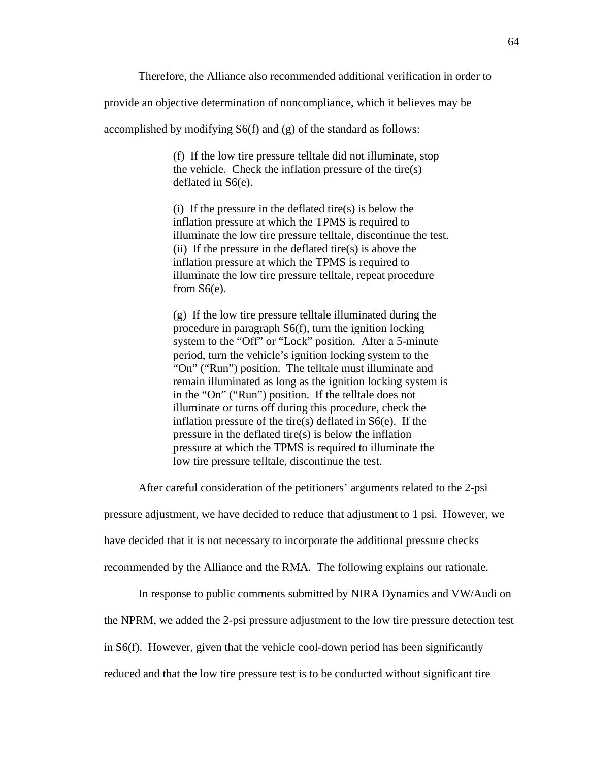Therefore, the Alliance also recommended additional verification in order to

provide an objective determination of noncompliance, which it believes may be

accomplished by modifying S6(f) and (g) of the standard as follows:

(f) If the low tire pressure telltale did not illuminate, stop the vehicle. Check the inflation pressure of the tire $(s)$ deflated in S6(e).

(i) If the pressure in the deflated tire(s) is below the inflation pressure at which the TPMS is required to illuminate the low tire pressure telltale, discontinue the test. (ii) If the pressure in the deflated tire(s) is above the inflation pressure at which the TPMS is required to illuminate the low tire pressure telltale, repeat procedure from S6(e).

(g) If the low tire pressure telltale illuminated during the procedure in paragraph S6(f), turn the ignition locking system to the "Off" or "Lock" position. After a 5-minute period, turn the vehicle's ignition locking system to the "On" ("Run") position. The telltale must illuminate and remain illuminated as long as the ignition locking system is in the "On" ("Run") position. If the telltale does not illuminate or turns off during this procedure, check the inflation pressure of the tire(s) deflated in S6(e). If the pressure in the deflated tire(s) is below the inflation pressure at which the TPMS is required to illuminate the low tire pressure telltale, discontinue the test.

After careful consideration of the petitioners' arguments related to the 2-psi

pressure adjustment, we have decided to reduce that adjustment to 1 psi. However, we have decided that it is not necessary to incorporate the additional pressure checks

recommended by the Alliance and the RMA. The following explains our rationale.

In response to public comments submitted by NIRA Dynamics and VW/Audi on the NPRM, we added the 2-psi pressure adjustment to the low tire pressure detection test in S6(f). However, given that the vehicle cool-down period has been significantly reduced and that the low tire pressure test is to be conducted without significant tire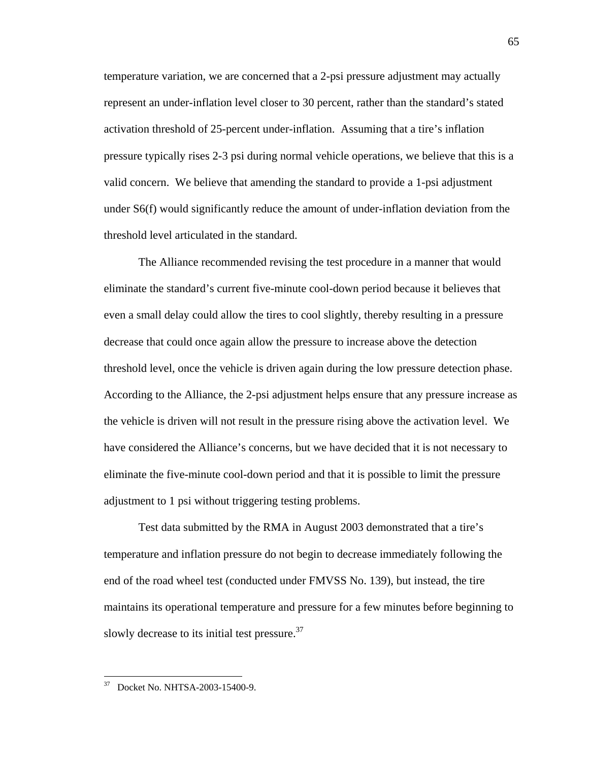temperature variation, we are concerned that a 2-psi pressure adjustment may actually represent an under-inflation level closer to 30 percent, rather than the standard's stated activation threshold of 25-percent under-inflation. Assuming that a tire's inflation pressure typically rises 2-3 psi during normal vehicle operations, we believe that this is a valid concern. We believe that amending the standard to provide a 1-psi adjustment under S6(f) would significantly reduce the amount of under-inflation deviation from the threshold level articulated in the standard.

The Alliance recommended revising the test procedure in a manner that would eliminate the standard's current five-minute cool-down period because it believes that even a small delay could allow the tires to cool slightly, thereby resulting in a pressure decrease that could once again allow the pressure to increase above the detection threshold level, once the vehicle is driven again during the low pressure detection phase. According to the Alliance, the 2-psi adjustment helps ensure that any pressure increase as the vehicle is driven will not result in the pressure rising above the activation level. We have considered the Alliance's concerns, but we have decided that it is not necessary to eliminate the five-minute cool-down period and that it is possible to limit the pressure adjustment to 1 psi without triggering testing problems.

Test data submitted by the RMA in August 2003 demonstrated that a tire's temperature and inflation pressure do not begin to decrease immediately following the end of the road wheel test (conducted under FMVSS No. 139), but instead, the tire maintains its operational temperature and pressure for a few minutes before beginning to slowly decrease to its initial test pressure.  $37$ 

 $\overline{a}$ 

<span id="page-64-0"></span><sup>37</sup> Docket No. NHTSA-2003-15400-9.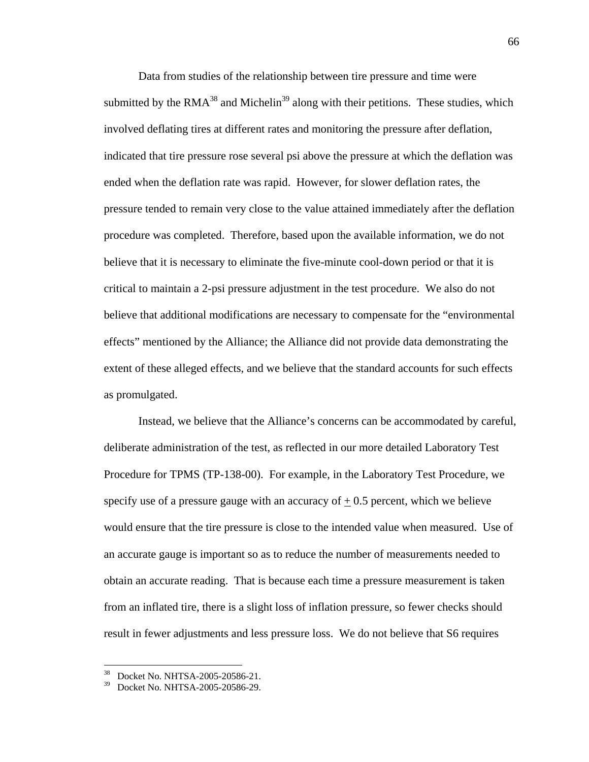Data from studies of the relationship between tire pressure and time were submitted by the  $\text{RMA}^{38}$  and Michelin<sup>39</sup> along with their petitions. These studies, which involved deflating tires at different rates and monitoring the pressure after deflation, indicated that tire pressure rose several psi above the pressure at which the deflation was ended when the deflation rate was rapid. However, for slower deflation rates, the pressure tended to remain very close to the value attained immediately after the deflation procedure was completed. Therefore, based upon the available information, we do not believe that it is necessary to eliminate the five-minute cool-down period or that it is critical to maintain a 2-psi pressure adjustment in the test procedure. We also do not believe that additional modifications are necessary to compensate for the "environmental effects" mentioned by the Alliance; the Alliance did not provide data demonstrating the extent of these alleged effects, and we believe that the standard accounts for such effects as promulgated.

Instead, we believe that the Alliance's concerns can be accommodated by careful, deliberate administration of the test, as reflected in our more detailed Laboratory Test Procedure for TPMS (TP-138-00). For example, in the Laboratory Test Procedure, we specify use of a pressure gauge with an accuracy of  $+0.5$  percent, which we believe would ensure that the tire pressure is close to the intended value when measured. Use of an accurate gauge is important so as to reduce the number of measurements needed to obtain an accurate reading. That is because each time a pressure measurement is taken from an inflated tire, there is a slight loss of inflation pressure, so fewer checks should result in fewer adjustments and less pressure loss. We do not believe that S6 requires

 $\overline{a}$ 

<span id="page-65-0"></span><sup>38</sup> Docket No. NHTSA-2005-20586-21. 39 Docket No. NHTSA-2005-20586-29.

<span id="page-65-1"></span>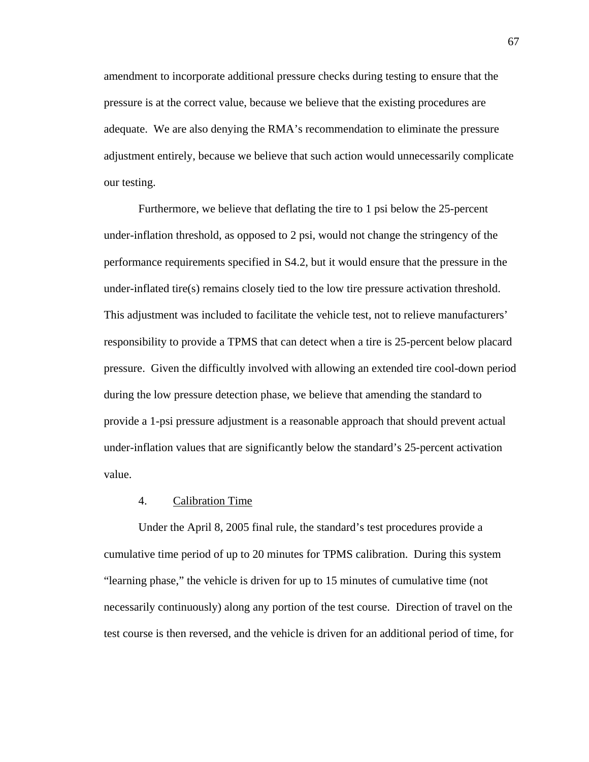amendment to incorporate additional pressure checks during testing to ensure that the pressure is at the correct value, because we believe that the existing procedures are adequate. We are also denying the RMA's recommendation to eliminate the pressure adjustment entirely, because we believe that such action would unnecessarily complicate our testing.

Furthermore, we believe that deflating the tire to 1 psi below the 25-percent under-inflation threshold, as opposed to 2 psi, would not change the stringency of the performance requirements specified in S4.2, but it would ensure that the pressure in the under-inflated tire(s) remains closely tied to the low tire pressure activation threshold. This adjustment was included to facilitate the vehicle test, not to relieve manufacturers' responsibility to provide a TPMS that can detect when a tire is 25-percent below placard pressure. Given the difficultly involved with allowing an extended tire cool-down period during the low pressure detection phase, we believe that amending the standard to provide a 1-psi pressure adjustment is a reasonable approach that should prevent actual under-inflation values that are significantly below the standard's 25-percent activation value.

#### 4. Calibration Time

Under the April 8, 2005 final rule, the standard's test procedures provide a cumulative time period of up to 20 minutes for TPMS calibration. During this system "learning phase," the vehicle is driven for up to 15 minutes of cumulative time (not necessarily continuously) along any portion of the test course. Direction of travel on the test course is then reversed, and the vehicle is driven for an additional period of time, for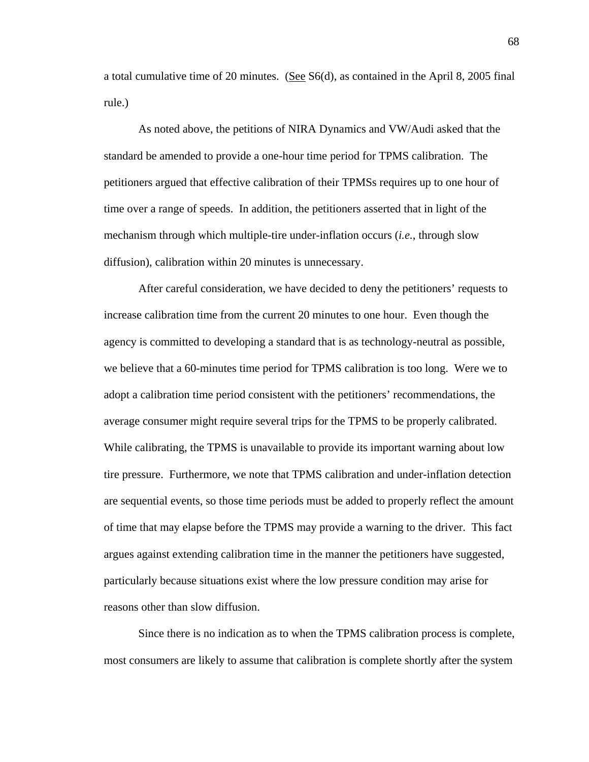a total cumulative time of 20 minutes. (See  $S6(d)$ , as contained in the April 8, 2005 final rule.)

As noted above, the petitions of NIRA Dynamics and VW/Audi asked that the standard be amended to provide a one-hour time period for TPMS calibration. The petitioners argued that effective calibration of their TPMSs requires up to one hour of time over a range of speeds. In addition, the petitioners asserted that in light of the mechanism through which multiple-tire under-inflation occurs (*i.e.*, through slow diffusion), calibration within 20 minutes is unnecessary.

After careful consideration, we have decided to deny the petitioners' requests to increase calibration time from the current 20 minutes to one hour. Even though the agency is committed to developing a standard that is as technology-neutral as possible, we believe that a 60-minutes time period for TPMS calibration is too long. Were we to adopt a calibration time period consistent with the petitioners' recommendations, the average consumer might require several trips for the TPMS to be properly calibrated. While calibrating, the TPMS is unavailable to provide its important warning about low tire pressure. Furthermore, we note that TPMS calibration and under-inflation detection are sequential events, so those time periods must be added to properly reflect the amount of time that may elapse before the TPMS may provide a warning to the driver. This fact argues against extending calibration time in the manner the petitioners have suggested, particularly because situations exist where the low pressure condition may arise for reasons other than slow diffusion.

Since there is no indication as to when the TPMS calibration process is complete, most consumers are likely to assume that calibration is complete shortly after the system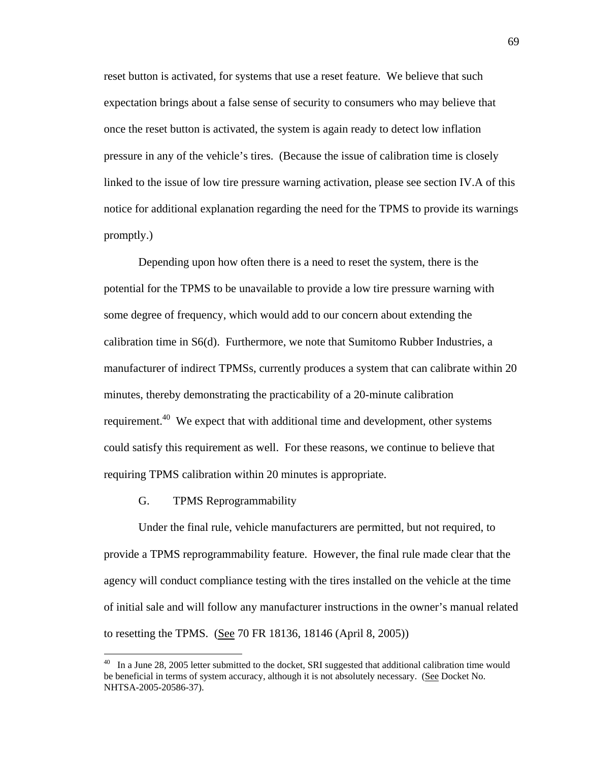reset button is activated, for systems that use a reset feature. We believe that such expectation brings about a false sense of security to consumers who may believe that once the reset button is activated, the system is again ready to detect low inflation pressure in any of the vehicle's tires. (Because the issue of calibration time is closely linked to the issue of low tire pressure warning activation, please see section IV.A of this notice for additional explanation regarding the need for the TPMS to provide its warnings promptly.)

Depending upon how often there is a need to reset the system, there is the potential for the TPMS to be unavailable to provide a low tire pressure warning with some degree of frequency, which would add to our concern about extending the calibration time in S6(d). Furthermore, we note that Sumitomo Rubber Industries, a manufacturer of indirect TPMSs, currently produces a system that can calibrate within 20 minutes, thereby demonstrating the practicability of a 20-minute calibration requirement.<sup>40</sup> We expect that with additional time and development, other systems could satisfy this requirement as well. For these reasons, we continue to believe that requiring TPMS calibration within 20 minutes is appropriate.

G. TPMS Reprogrammability

1

Under the final rule, vehicle manufacturers are permitted, but not required, to provide a TPMS reprogrammability feature. However, the final rule made clear that the agency will conduct compliance testing with the tires installed on the vehicle at the time of initial sale and will follow any manufacturer instructions in the owner's manual related to resetting the TPMS. (See 70 FR 18136, 18146 (April 8, 2005))

<span id="page-68-0"></span> $40$  In a June 28, 2005 letter submitted to the docket, SRI suggested that additional calibration time would be beneficial in terms of system accuracy, although it is not absolutely necessary. (See Docket No. NHTSA-2005-20586-37).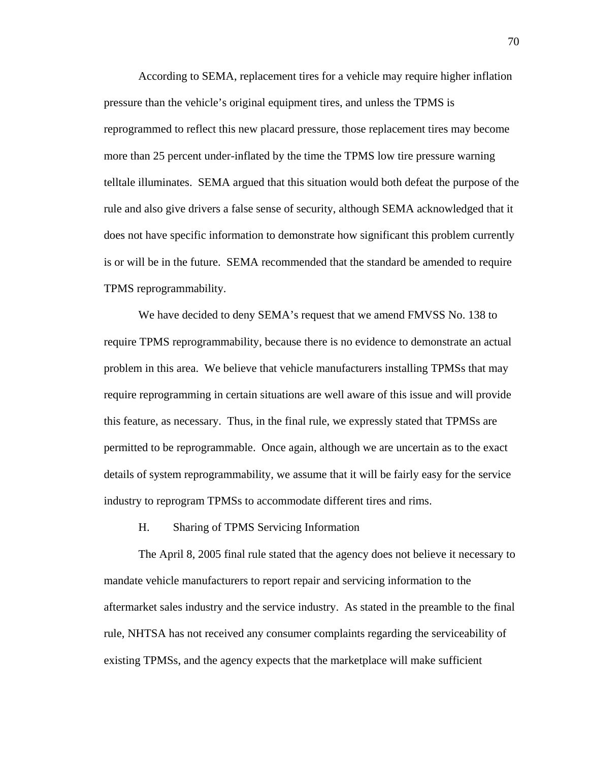According to SEMA, replacement tires for a vehicle may require higher inflation pressure than the vehicle's original equipment tires, and unless the TPMS is reprogrammed to reflect this new placard pressure, those replacement tires may become more than 25 percent under-inflated by the time the TPMS low tire pressure warning telltale illuminates. SEMA argued that this situation would both defeat the purpose of the rule and also give drivers a false sense of security, although SEMA acknowledged that it does not have specific information to demonstrate how significant this problem currently is or will be in the future. SEMA recommended that the standard be amended to require TPMS reprogrammability.

We have decided to deny SEMA's request that we amend FMVSS No. 138 to require TPMS reprogrammability, because there is no evidence to demonstrate an actual problem in this area. We believe that vehicle manufacturers installing TPMSs that may require reprogramming in certain situations are well aware of this issue and will provide this feature, as necessary. Thus, in the final rule, we expressly stated that TPMSs are permitted to be reprogrammable. Once again, although we are uncertain as to the exact details of system reprogrammability, we assume that it will be fairly easy for the service industry to reprogram TPMSs to accommodate different tires and rims.

H. Sharing of TPMS Servicing Information

The April 8, 2005 final rule stated that the agency does not believe it necessary to mandate vehicle manufacturers to report repair and servicing information to the aftermarket sales industry and the service industry. As stated in the preamble to the final rule, NHTSA has not received any consumer complaints regarding the serviceability of existing TPMSs, and the agency expects that the marketplace will make sufficient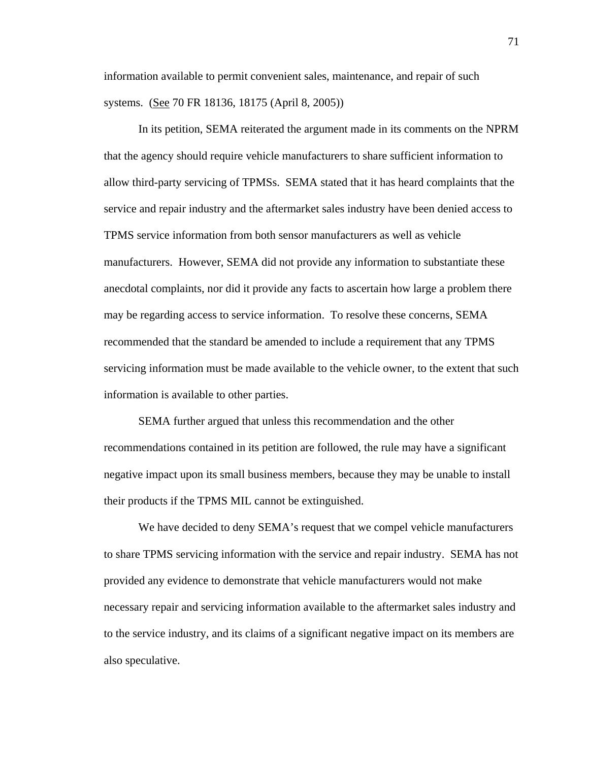information available to permit convenient sales, maintenance, and repair of such systems. (See 70 FR 18136, 18175 (April 8, 2005))

In its petition, SEMA reiterated the argument made in its comments on the NPRM that the agency should require vehicle manufacturers to share sufficient information to allow third-party servicing of TPMSs. SEMA stated that it has heard complaints that the service and repair industry and the aftermarket sales industry have been denied access to TPMS service information from both sensor manufacturers as well as vehicle manufacturers. However, SEMA did not provide any information to substantiate these anecdotal complaints, nor did it provide any facts to ascertain how large a problem there may be regarding access to service information. To resolve these concerns, SEMA recommended that the standard be amended to include a requirement that any TPMS servicing information must be made available to the vehicle owner, to the extent that such information is available to other parties.

SEMA further argued that unless this recommendation and the other recommendations contained in its petition are followed, the rule may have a significant negative impact upon its small business members, because they may be unable to install their products if the TPMS MIL cannot be extinguished.

We have decided to deny SEMA's request that we compel vehicle manufacturers to share TPMS servicing information with the service and repair industry. SEMA has not provided any evidence to demonstrate that vehicle manufacturers would not make necessary repair and servicing information available to the aftermarket sales industry and to the service industry, and its claims of a significant negative impact on its members are also speculative.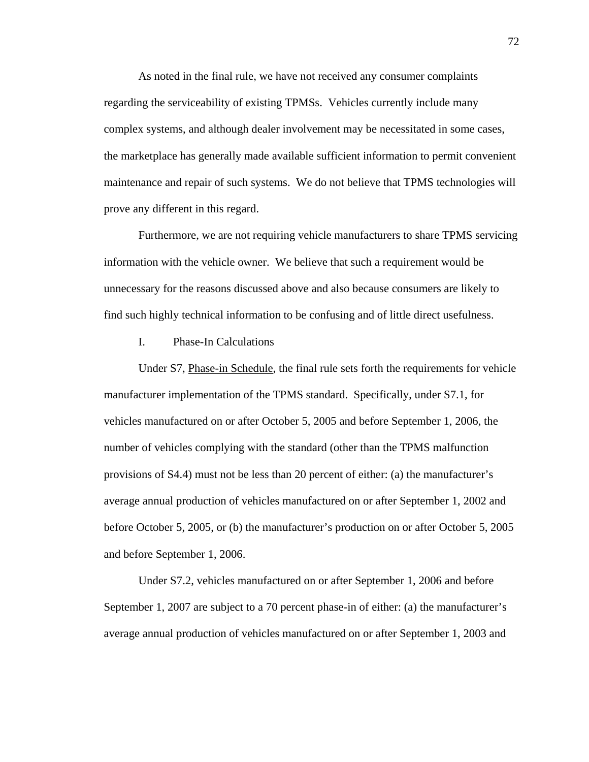As noted in the final rule, we have not received any consumer complaints regarding the serviceability of existing TPMSs. Vehicles currently include many complex systems, and although dealer involvement may be necessitated in some cases, the marketplace has generally made available sufficient information to permit convenient maintenance and repair of such systems. We do not believe that TPMS technologies will prove any different in this regard.

Furthermore, we are not requiring vehicle manufacturers to share TPMS servicing information with the vehicle owner. We believe that such a requirement would be unnecessary for the reasons discussed above and also because consumers are likely to find such highly technical information to be confusing and of little direct usefulness.

I. Phase-In Calculations

 Under S7, Phase-in Schedule, the final rule sets forth the requirements for vehicle manufacturer implementation of the TPMS standard. Specifically, under S7.1, for vehicles manufactured on or after October 5, 2005 and before September 1, 2006, the number of vehicles complying with the standard (other than the TPMS malfunction provisions of S4.4) must not be less than 20 percent of either: (a) the manufacturer's average annual production of vehicles manufactured on or after September 1, 2002 and before October 5, 2005, or (b) the manufacturer's production on or after October 5, 2005 and before September 1, 2006.

Under S7.2, vehicles manufactured on or after September 1, 2006 and before September 1, 2007 are subject to a 70 percent phase-in of either: (a) the manufacturer's average annual production of vehicles manufactured on or after September 1, 2003 and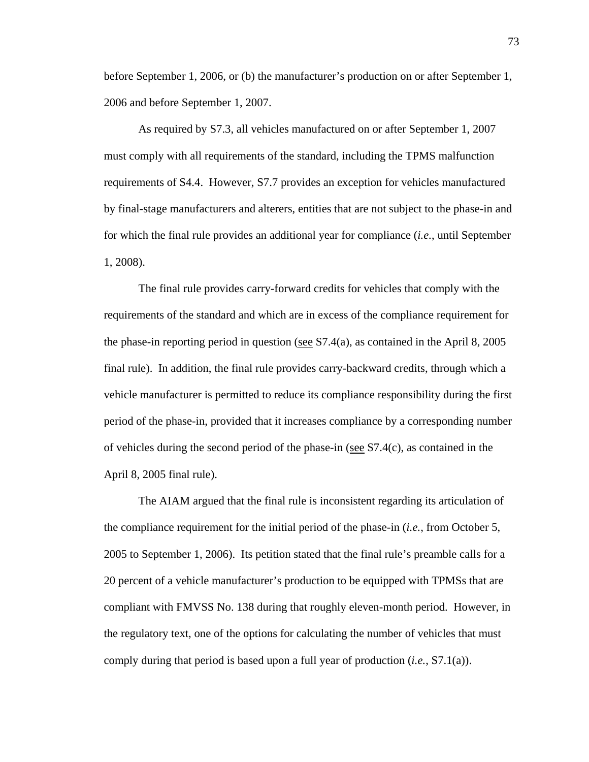before September 1, 2006, or (b) the manufacturer's production on or after September 1, 2006 and before September 1, 2007.

As required by S7.3, all vehicles manufactured on or after September 1, 2007 must comply with all requirements of the standard, including the TPMS malfunction requirements of S4.4. However, S7.7 provides an exception for vehicles manufactured by final-stage manufacturers and alterers, entities that are not subject to the phase-in and for which the final rule provides an additional year for compliance (*i.e.*, until September 1, 2008).

The final rule provides carry-forward credits for vehicles that comply with the requirements of the standard and which are in excess of the compliance requirement for the phase-in reporting period in question (see S7.4(a), as contained in the April 8, 2005 final rule). In addition, the final rule provides carry-backward credits, through which a vehicle manufacturer is permitted to reduce its compliance responsibility during the first period of the phase-in, provided that it increases compliance by a corresponding number of vehicles during the second period of the phase-in (see S7.4(c), as contained in the April 8, 2005 final rule).

The AIAM argued that the final rule is inconsistent regarding its articulation of the compliance requirement for the initial period of the phase-in (*i.e.*, from October 5, 2005 to September 1, 2006). Its petition stated that the final rule's preamble calls for a 20 percent of a vehicle manufacturer's production to be equipped with TPMSs that are compliant with FMVSS No. 138 during that roughly eleven-month period. However, in the regulatory text, one of the options for calculating the number of vehicles that must comply during that period is based upon a full year of production (*i.e.*, S7.1(a)).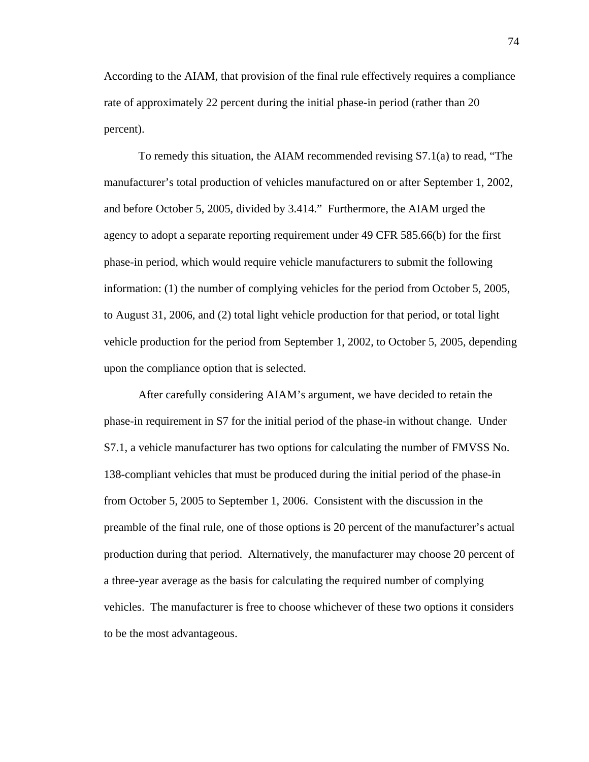According to the AIAM, that provision of the final rule effectively requires a compliance rate of approximately 22 percent during the initial phase-in period (rather than 20 percent).

To remedy this situation, the AIAM recommended revising S7.1(a) to read, "The manufacturer's total production of vehicles manufactured on or after September 1, 2002, and before October 5, 2005, divided by 3.414." Furthermore, the AIAM urged the agency to adopt a separate reporting requirement under 49 CFR 585.66(b) for the first phase-in period, which would require vehicle manufacturers to submit the following information: (1) the number of complying vehicles for the period from October 5, 2005, to August 31, 2006, and (2) total light vehicle production for that period, or total light vehicle production for the period from September 1, 2002, to October 5, 2005, depending upon the compliance option that is selected.

After carefully considering AIAM's argument, we have decided to retain the phase-in requirement in S7 for the initial period of the phase-in without change. Under S7.1, a vehicle manufacturer has two options for calculating the number of FMVSS No. 138-compliant vehicles that must be produced during the initial period of the phase-in from October 5, 2005 to September 1, 2006. Consistent with the discussion in the preamble of the final rule, one of those options is 20 percent of the manufacturer's actual production during that period. Alternatively, the manufacturer may choose 20 percent of a three-year average as the basis for calculating the required number of complying vehicles. The manufacturer is free to choose whichever of these two options it considers to be the most advantageous.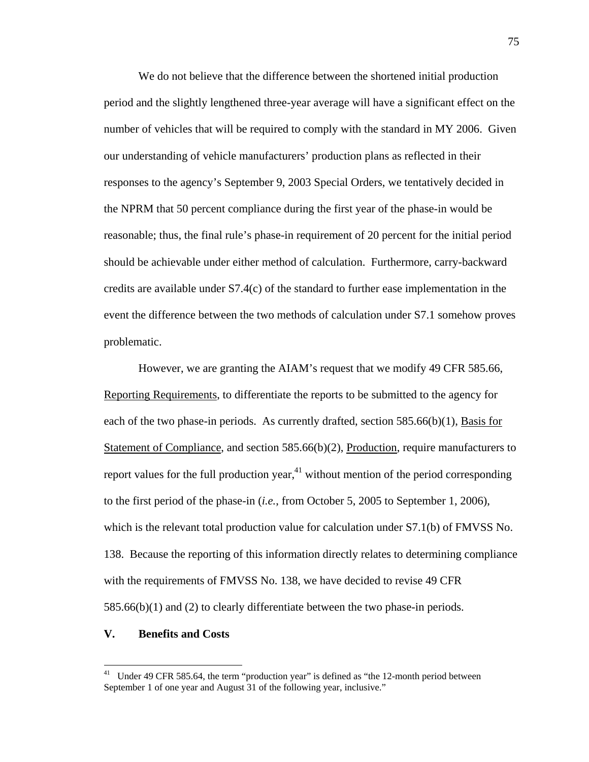We do not believe that the difference between the shortened initial production period and the slightly lengthened three-year average will have a significant effect on the number of vehicles that will be required to comply with the standard in MY 2006. Given our understanding of vehicle manufacturers' production plans as reflected in their responses to the agency's September 9, 2003 Special Orders, we tentatively decided in the NPRM that 50 percent compliance during the first year of the phase-in would be reasonable; thus, the final rule's phase-in requirement of 20 percent for the initial period should be achievable under either method of calculation. Furthermore, carry-backward credits are available under S7.4(c) of the standard to further ease implementation in the event the difference between the two methods of calculation under S7.1 somehow proves problematic.

However, we are granting the AIAM's request that we modify 49 CFR 585.66, Reporting Requirements, to differentiate the reports to be submitted to the agency for each of the two phase-in periods. As currently drafted, section 585.66(b)(1), Basis for Statement of Compliance, and section 585.66(b)(2), Production, require manufacturers to report values for the full production year,  $41$  without mention of the period corresponding to the first period of the phase-in (*i.e.*, from October 5, 2005 to September 1, 2006), which is the relevant total production value for calculation under  $S7.1(b)$  of FMVSS No. 138. Because the reporting of this information directly relates to determining compliance with the requirements of FMVSS No. 138, we have decided to revise 49 CFR 585.66(b)(1) and (2) to clearly differentiate between the two phase-in periods.

#### **V. Benefits and Costs**

1

<span id="page-74-0"></span> $41$  Under 49 CFR 585.64, the term "production year" is defined as "the 12-month period between September 1 of one year and August 31 of the following year, inclusive."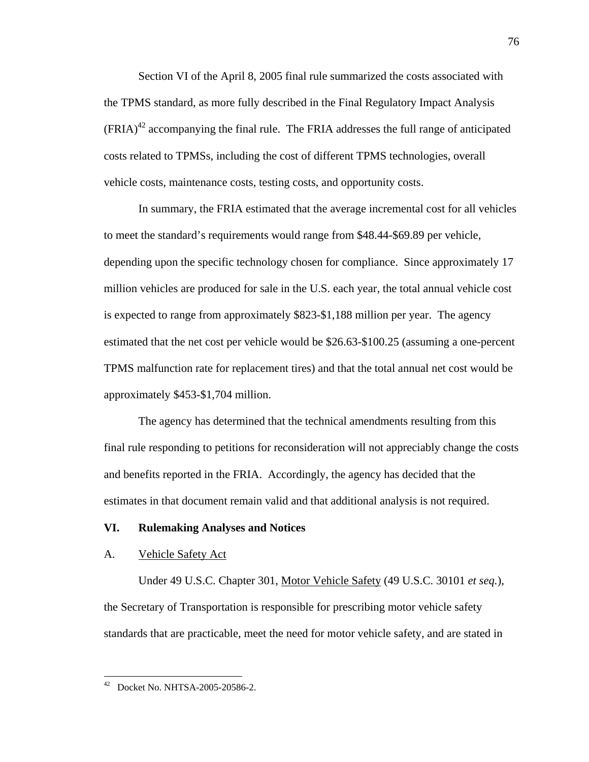Section VI of the April 8, 2005 final rule summarized the costs associated with the TPMS standard, as more fully described in the Final Regulatory Impact Analysis  $(FRIA)^{42}$  accompanying the final rule. The FRIA addresses the full range of anticipated costs related to TPMSs, including the cost of different TPMS technologies, overall vehicle costs, maintenance costs, testing costs, and opportunity costs.

In summary, the FRIA estimated that the average incremental cost for all vehicles to meet the standard's requirements would range from \$48.44-\$69.89 per vehicle, depending upon the specific technology chosen for compliance. Since approximately 17 million vehicles are produced for sale in the U.S. each year, the total annual vehicle cost is expected to range from approximately \$823-\$1,188 million per year. The agency estimated that the net cost per vehicle would be \$26.63-\$100.25 (assuming a one-percent TPMS malfunction rate for replacement tires) and that the total annual net cost would be approximately \$453-\$1,704 million.

The agency has determined that the technical amendments resulting from this final rule responding to petitions for reconsideration will not appreciably change the costs and benefits reported in the FRIA. Accordingly, the agency has decided that the estimates in that document remain valid and that additional analysis is not required.

## **VI. Rulemaking Analyses and Notices**

#### A. Vehicle Safety Act

Under 49 U.S.C. Chapter 301, Motor Vehicle Safety (49 U.S.C. 30101 *et seq.*), the Secretary of Transportation is responsible for prescribing motor vehicle safety standards that are practicable, meet the need for motor vehicle safety, and are stated in

<span id="page-75-0"></span><sup>42</sup> Docket No. NHTSA-2005-20586-2.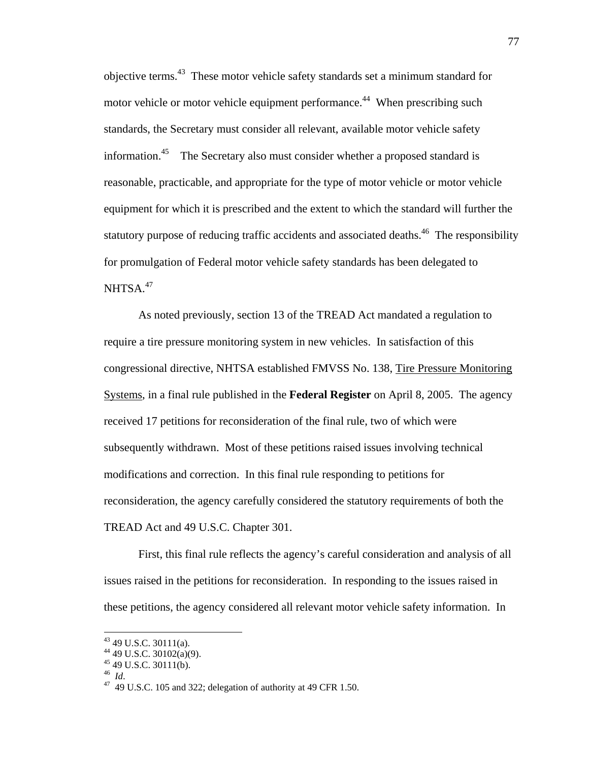objective terms.<sup>43</sup> These motor vehicle safety standards set a minimum standard for motor vehicle or motor vehicle equipment performance.<sup>44</sup> When prescribing such standards, the Secretary must consider all relevant, available motor vehicle safety information.<sup>45</sup> The Secretary also must consider whether a proposed standard is reasonable, practicable, and appropriate for the type of motor vehicle or motor vehicle equipment for which it is prescribed and the extent to which the standard will further the statutory purpose of reducing traffic accidents and associated deaths.<sup>46</sup> The responsibility for promulgation of Federal motor vehicle safety standards has been delegated to NHTSA.<sup>[47](#page-76-4)</sup>

As noted previously, section 13 of the TREAD Act mandated a regulation to require a tire pressure monitoring system in new vehicles. In satisfaction of this congressional directive, NHTSA established FMVSS No. 138, Tire Pressure Monitoring Systems, in a final rule published in the **Federal Register** on April 8, 2005. The agency received 17 petitions for reconsideration of the final rule, two of which were subsequently withdrawn. Most of these petitions raised issues involving technical modifications and correction. In this final rule responding to petitions for reconsideration, the agency carefully considered the statutory requirements of both the TREAD Act and 49 U.S.C. Chapter 301.

First, this final rule reflects the agency's careful consideration and analysis of all issues raised in the petitions for reconsideration. In responding to the issues raised in these petitions, the agency considered all relevant motor vehicle safety information. In

<span id="page-76-0"></span><sup>&</sup>lt;sup>43</sup> 49 U.S.C. 30111(a).

<span id="page-76-2"></span>

<span id="page-76-4"></span><span id="page-76-3"></span>

<span id="page-76-1"></span><sup>&</sup>lt;sup>44</sup> 49 U.S.C. 30102(a)(9).<br><sup>45</sup> 49 U.S.C. 30111(b).<br><sup>46</sup> *Id.* 47 49 U.S.C. 105 and 322; delegation of authority at 49 CFR 1.50.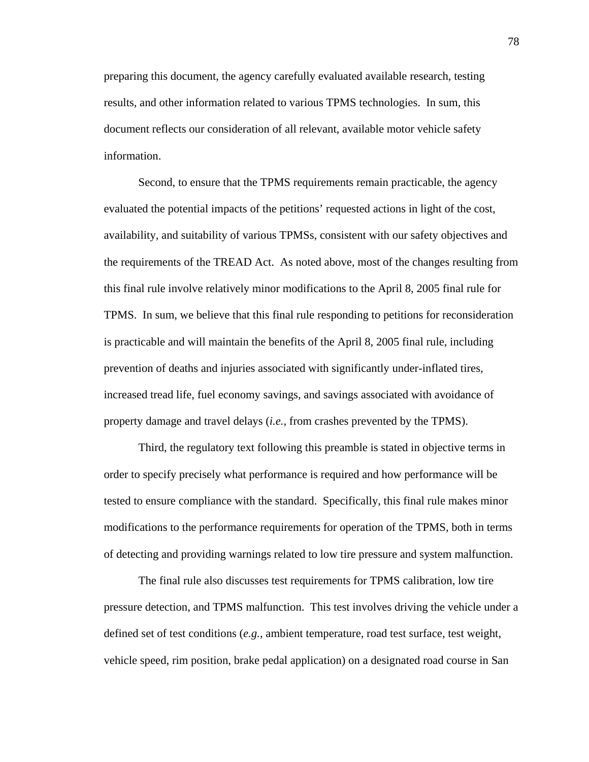preparing this document, the agency carefully evaluated available research, testing results, and other information related to various TPMS technologies. In sum, this document reflects our consideration of all relevant, available motor vehicle safety information.

Second, to ensure that the TPMS requirements remain practicable, the agency evaluated the potential impacts of the petitions' requested actions in light of the cost, availability, and suitability of various TPMSs, consistent with our safety objectives and the requirements of the TREAD Act. As noted above, most of the changes resulting from this final rule involve relatively minor modifications to the April 8, 2005 final rule for TPMS. In sum, we believe that this final rule responding to petitions for reconsideration is practicable and will maintain the benefits of the April 8, 2005 final rule, including prevention of deaths and injuries associated with significantly under-inflated tires, increased tread life, fuel economy savings, and savings associated with avoidance of property damage and travel delays (*i.e.*, from crashes prevented by the TPMS).

Third, the regulatory text following this preamble is stated in objective terms in order to specify precisely what performance is required and how performance will be tested to ensure compliance with the standard. Specifically, this final rule makes minor modifications to the performance requirements for operation of the TPMS, both in terms of detecting and providing warnings related to low tire pressure and system malfunction.

The final rule also discusses test requirements for TPMS calibration, low tire pressure detection, and TPMS malfunction. This test involves driving the vehicle under a defined set of test conditions (*e.g.*, ambient temperature, road test surface, test weight, vehicle speed, rim position, brake pedal application) on a designated road course in San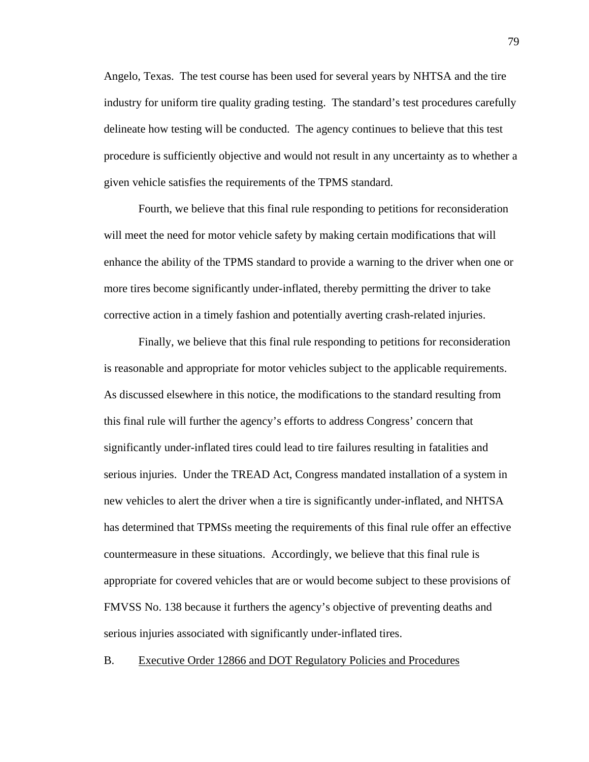Angelo, Texas. The test course has been used for several years by NHTSA and the tire industry for uniform tire quality grading testing. The standard's test procedures carefully delineate how testing will be conducted. The agency continues to believe that this test procedure is sufficiently objective and would not result in any uncertainty as to whether a given vehicle satisfies the requirements of the TPMS standard.

Fourth, we believe that this final rule responding to petitions for reconsideration will meet the need for motor vehicle safety by making certain modifications that will enhance the ability of the TPMS standard to provide a warning to the driver when one or more tires become significantly under-inflated, thereby permitting the driver to take corrective action in a timely fashion and potentially averting crash-related injuries.

Finally, we believe that this final rule responding to petitions for reconsideration is reasonable and appropriate for motor vehicles subject to the applicable requirements. As discussed elsewhere in this notice, the modifications to the standard resulting from this final rule will further the agency's efforts to address Congress' concern that significantly under-inflated tires could lead to tire failures resulting in fatalities and serious injuries. Under the TREAD Act, Congress mandated installation of a system in new vehicles to alert the driver when a tire is significantly under-inflated, and NHTSA has determined that TPMSs meeting the requirements of this final rule offer an effective countermeasure in these situations.Accordingly, we believe that this final rule is appropriate for covered vehicles that are or would become subject to these provisions of FMVSS No. 138 because it furthers the agency's objective of preventing deaths and serious injuries associated with significantly under-inflated tires.

B. Executive Order 12866 and DOT Regulatory Policies and Procedures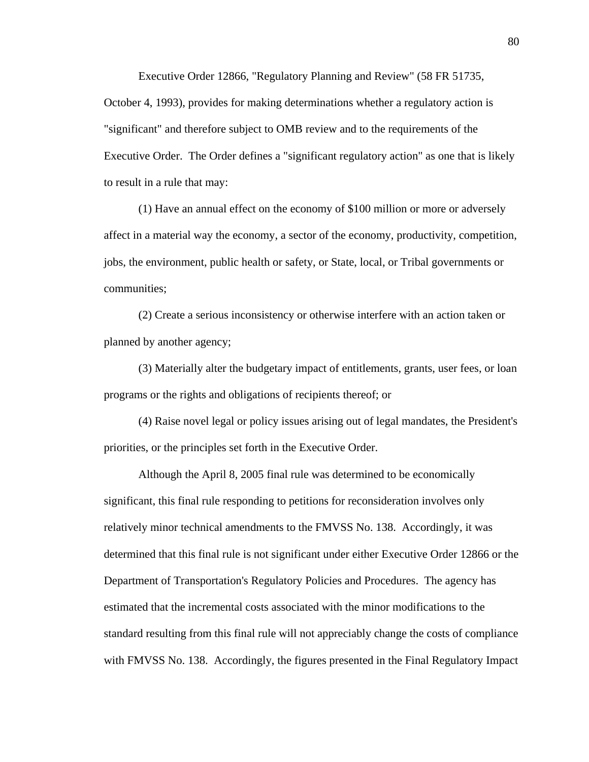Executive Order 12866, "Regulatory Planning and Review" (58 FR 51735, October 4, 1993), provides for making determinations whether a regulatory action is "significant" and therefore subject to OMB review and to the requirements of the Executive Order. The Order defines a "significant regulatory action" as one that is likely to result in a rule that may:

(1) Have an annual effect on the economy of \$100 million or more or adversely affect in a material way the economy, a sector of the economy, productivity, competition, jobs, the environment, public health or safety, or State, local, or Tribal governments or communities;

(2) Create a serious inconsistency or otherwise interfere with an action taken or planned by another agency;

(3) Materially alter the budgetary impact of entitlements, grants, user fees, or loan programs or the rights and obligations of recipients thereof; or

(4) Raise novel legal or policy issues arising out of legal mandates, the President's priorities, or the principles set forth in the Executive Order.

Although the April 8, 2005 final rule was determined to be economically significant, this final rule responding to petitions for reconsideration involves only relatively minor technical amendments to the FMVSS No. 138. Accordingly, it was determined that this final rule is not significant under either Executive Order 12866 or the Department of Transportation's Regulatory Policies and Procedures. The agency has estimated that the incremental costs associated with the minor modifications to the standard resulting from this final rule will not appreciably change the costs of compliance with FMVSS No. 138. Accordingly, the figures presented in the Final Regulatory Impact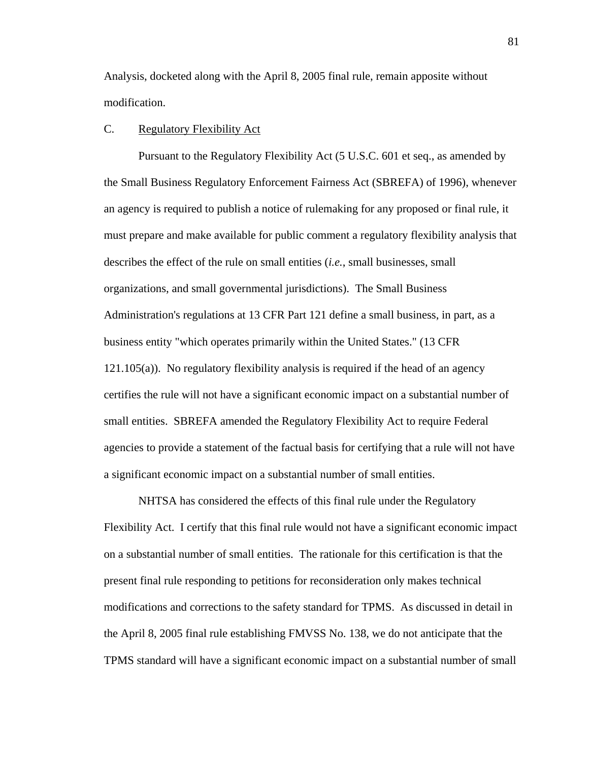Analysis, docketed along with the April 8, 2005 final rule, remain apposite without modification.

### C. Regulatory Flexibility Act

Pursuant to the Regulatory Flexibility Act (5 U.S.C. 601 et seq., as amended by the Small Business Regulatory Enforcement Fairness Act (SBREFA) of 1996), whenever an agency is required to publish a notice of rulemaking for any proposed or final rule, it must prepare and make available for public comment a regulatory flexibility analysis that describes the effect of the rule on small entities (*i.e.*, small businesses, small organizations, and small governmental jurisdictions). The Small Business Administration's regulations at 13 CFR Part 121 define a small business, in part, as a business entity "which operates primarily within the United States." (13 CFR 121.105(a)). No regulatory flexibility analysis is required if the head of an agency certifies the rule will not have a significant economic impact on a substantial number of small entities. SBREFA amended the Regulatory Flexibility Act to require Federal agencies to provide a statement of the factual basis for certifying that a rule will not have a significant economic impact on a substantial number of small entities.

NHTSA has considered the effects of this final rule under the Regulatory Flexibility Act. I certify that this final rule would not have a significant economic impact on a substantial number of small entities. The rationale for this certification is that the present final rule responding to petitions for reconsideration only makes technical modifications and corrections to the safety standard for TPMS. As discussed in detail in the April 8, 2005 final rule establishing FMVSS No. 138, we do not anticipate that the TPMS standard will have a significant economic impact on a substantial number of small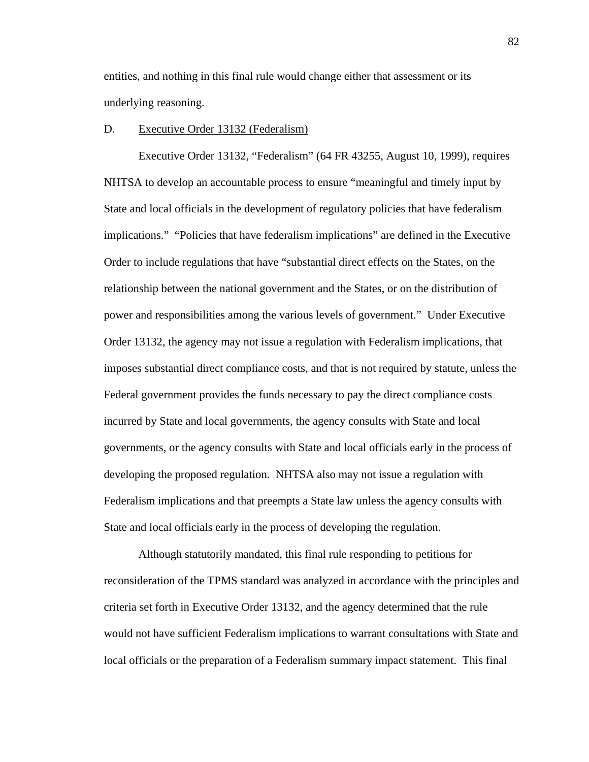entities, and nothing in this final rule would change either that assessment or its underlying reasoning.

# D. Executive Order 13132 (Federalism)

Executive Order 13132, "Federalism" (64 FR 43255, August 10, 1999), requires NHTSA to develop an accountable process to ensure "meaningful and timely input by State and local officials in the development of regulatory policies that have federalism implications." "Policies that have federalism implications" are defined in the Executive Order to include regulations that have "substantial direct effects on the States, on the relationship between the national government and the States, or on the distribution of power and responsibilities among the various levels of government." Under Executive Order 13132, the agency may not issue a regulation with Federalism implications, that imposes substantial direct compliance costs, and that is not required by statute, unless the Federal government provides the funds necessary to pay the direct compliance costs incurred by State and local governments, the agency consults with State and local governments, or the agency consults with State and local officials early in the process of developing the proposed regulation. NHTSA also may not issue a regulation with Federalism implications and that preempts a State law unless the agency consults with State and local officials early in the process of developing the regulation.

Although statutorily mandated, this final rule responding to petitions for reconsideration of the TPMS standard was analyzed in accordance with the principles and criteria set forth in Executive Order 13132, and the agency determined that the rule would not have sufficient Federalism implications to warrant consultations with State and local officials or the preparation of a Federalism summary impact statement. This final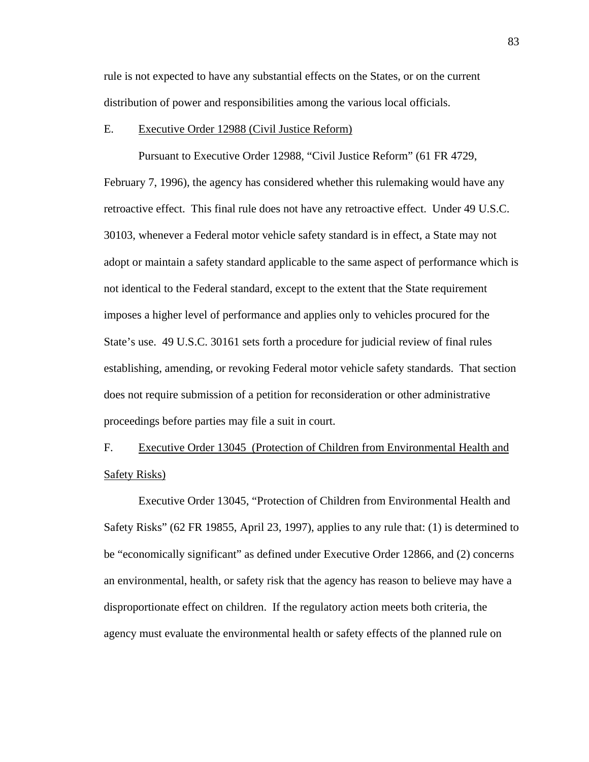rule is not expected to have any substantial effects on the States, or on the current distribution of power and responsibilities among the various local officials.

#### E. Executive Order 12988 (Civil Justice Reform)

Pursuant to Executive Order 12988, "Civil Justice Reform" (61 FR 4729, February 7, 1996), the agency has considered whether this rulemaking would have any retroactive effect. This final rule does not have any retroactive effect. Under 49 U.S.C. 30103, whenever a Federal motor vehicle safety standard is in effect, a State may not adopt or maintain a safety standard applicable to the same aspect of performance which is not identical to the Federal standard, except to the extent that the State requirement imposes a higher level of performance and applies only to vehicles procured for the State's use. 49 U.S.C. 30161 sets forth a procedure for judicial review of final rules establishing, amending, or revoking Federal motor vehicle safety standards. That section does not require submission of a petition for reconsideration or other administrative proceedings before parties may file a suit in court.

F. Executive Order 13045 (Protection of Children from Environmental Health and Safety Risks)

Executive Order 13045, "Protection of Children from Environmental Health and Safety Risks" (62 FR 19855, April 23, 1997), applies to any rule that: (1) is determined to be "economically significant" as defined under Executive Order 12866, and (2) concerns an environmental, health, or safety risk that the agency has reason to believe may have a disproportionate effect on children. If the regulatory action meets both criteria, the agency must evaluate the environmental health or safety effects of the planned rule on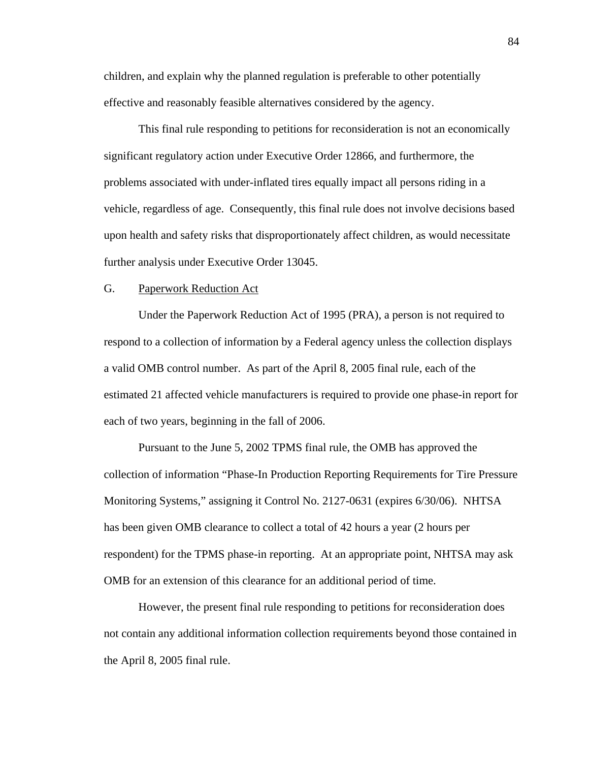children, and explain why the planned regulation is preferable to other potentially effective and reasonably feasible alternatives considered by the agency.

This final rule responding to petitions for reconsideration is not an economically significant regulatory action under Executive Order 12866, and furthermore, the problems associated with under-inflated tires equally impact all persons riding in a vehicle, regardless of age. Consequently, this final rule does not involve decisions based upon health and safety risks that disproportionately affect children, as would necessitate further analysis under Executive Order 13045.

### G. Paperwork Reduction Act

Under the Paperwork Reduction Act of 1995 (PRA), a person is not required to respond to a collection of information by a Federal agency unless the collection displays a valid OMB control number. As part of the April 8, 2005 final rule, each of the estimated 21 affected vehicle manufacturers is required to provide one phase-in report for each of two years, beginning in the fall of 2006.

Pursuant to the June 5, 2002 TPMS final rule, the OMB has approved the collection of information "Phase-In Production Reporting Requirements for Tire Pressure Monitoring Systems," assigning it Control No. 2127-0631 (expires 6/30/06). NHTSA has been given OMB clearance to collect a total of 42 hours a year (2 hours per respondent) for the TPMS phase-in reporting. At an appropriate point, NHTSA may ask OMB for an extension of this clearance for an additional period of time.

However, the present final rule responding to petitions for reconsideration does not contain any additional information collection requirements beyond those contained in the April 8, 2005 final rule.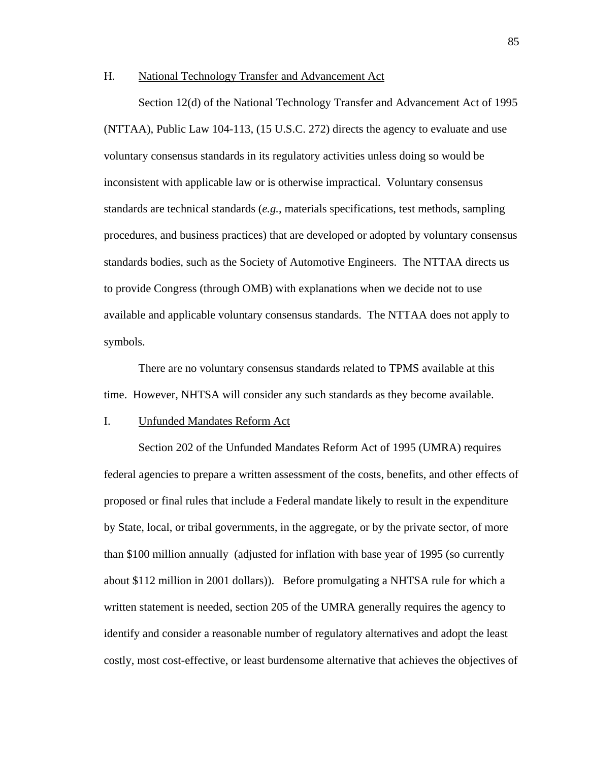#### H. National Technology Transfer and Advancement Act

Section 12(d) of the National Technology Transfer and Advancement Act of 1995 (NTTAA), Public Law 104-113, (15 U.S.C. 272) directs the agency to evaluate and use voluntary consensus standards in its regulatory activities unless doing so would be inconsistent with applicable law or is otherwise impractical. Voluntary consensus standards are technical standards (*e.g.*, materials specifications, test methods, sampling procedures, and business practices) that are developed or adopted by voluntary consensus standards bodies, such as the Society of Automotive Engineers. The NTTAA directs us to provide Congress (through OMB) with explanations when we decide not to use available and applicable voluntary consensus standards. The NTTAA does not apply to symbols.

There are no voluntary consensus standards related to TPMS available at this time. However, NHTSA will consider any such standards as they become available.

## I. Unfunded Mandates Reform Act

Section 202 of the Unfunded Mandates Reform Act of 1995 (UMRA) requires federal agencies to prepare a written assessment of the costs, benefits, and other effects of proposed or final rules that include a Federal mandate likely to result in the expenditure by State, local, or tribal governments, in the aggregate, or by the private sector, of more than \$100 million annually (adjusted for inflation with base year of 1995 (so currently about \$112 million in 2001 dollars)). Before promulgating a NHTSA rule for which a written statement is needed, section 205 of the UMRA generally requires the agency to identify and consider a reasonable number of regulatory alternatives and adopt the least costly, most cost-effective, or least burdensome alternative that achieves the objectives of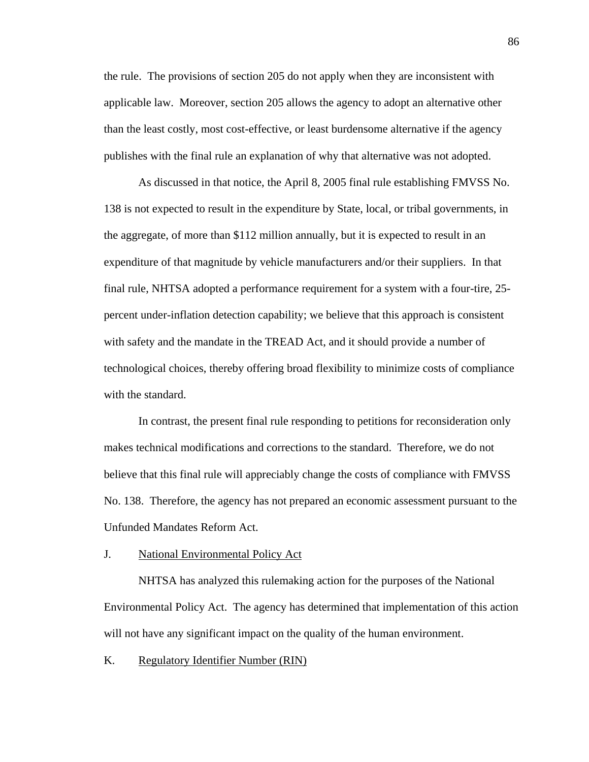the rule. The provisions of section 205 do not apply when they are inconsistent with applicable law. Moreover, section 205 allows the agency to adopt an alternative other than the least costly, most cost-effective, or least burdensome alternative if the agency publishes with the final rule an explanation of why that alternative was not adopted.

As discussed in that notice, the April 8, 2005 final rule establishing FMVSS No. 138 is not expected to result in the expenditure by State, local, or tribal governments, in the aggregate, of more than \$112 million annually, but it is expected to result in an expenditure of that magnitude by vehicle manufacturers and/or their suppliers. In that final rule, NHTSA adopted a performance requirement for a system with a four-tire, 25 percent under-inflation detection capability; we believe that this approach is consistent with safety and the mandate in the TREAD Act, and it should provide a number of technological choices, thereby offering broad flexibility to minimize costs of compliance with the standard.

In contrast, the present final rule responding to petitions for reconsideration only makes technical modifications and corrections to the standard. Therefore, we do not believe that this final rule will appreciably change the costs of compliance with FMVSS No. 138. Therefore, the agency has not prepared an economic assessment pursuant to the Unfunded Mandates Reform Act.

## J. National Environmental Policy Act

NHTSA has analyzed this rulemaking action for the purposes of the National Environmental Policy Act. The agency has determined that implementation of this action will not have any significant impact on the quality of the human environment.

K. Regulatory Identifier Number (RIN)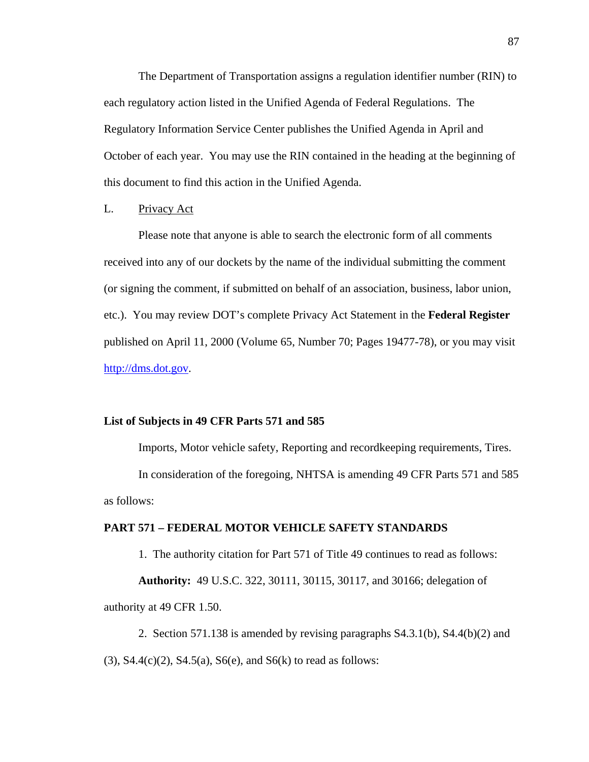The Department of Transportation assigns a regulation identifier number (RIN) to each regulatory action listed in the Unified Agenda of Federal Regulations. The Regulatory Information Service Center publishes the Unified Agenda in April and October of each year. You may use the RIN contained in the heading at the beginning of this document to find this action in the Unified Agenda.

## L. Privacy Act

Please note that anyone is able to search the electronic form of all comments received into any of our dockets by the name of the individual submitting the comment (or signing the comment, if submitted on behalf of an association, business, labor union, etc.). You may review DOT's complete Privacy Act Statement in the **Federal Register** published on April 11, 2000 (Volume 65, Number 70; Pages 19477-78), or you may visit [http://dms.dot.gov](http://dms.dot.gov/).

#### **List of Subjects in 49 CFR Parts 571 and 585**

Imports, Motor vehicle safety, Reporting and recordkeeping requirements, Tires. In consideration of the foregoing, NHTSA is amending 49 CFR Parts 571 and 585 as follows:

## **PART 571 – FEDERAL MOTOR VEHICLE SAFETY STANDARDS**

1. The authority citation for Part 571 of Title 49 continues to read as follows:

**Authority:** 49 U.S.C. 322, 30111, 30115, 30117, and 30166; delegation of authority at 49 CFR 1.50.

2. Section 571.138 is amended by revising paragraphs S4.3.1(b), S4.4(b)(2) and  $(3)$ , S4.4(c)(2), S4.5(a), S6(e), and S6(k) to read as follows: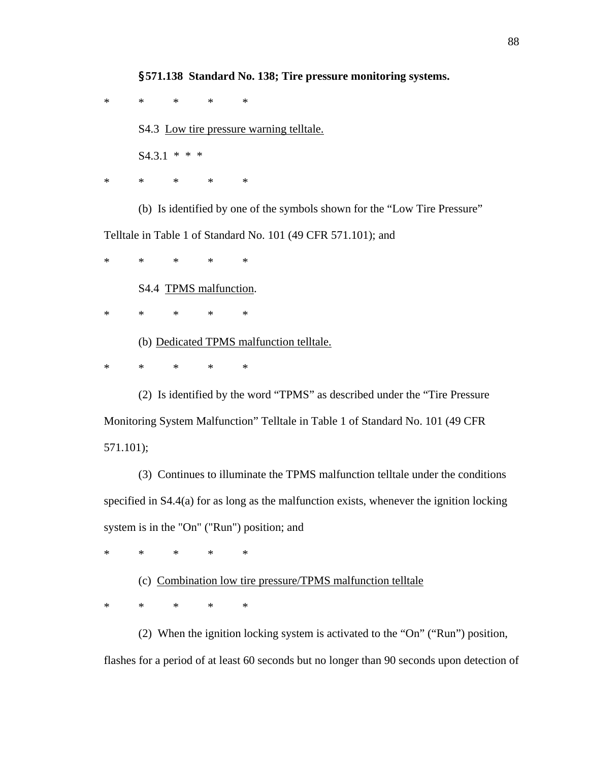§**571.138 Standard No. 138; Tire pressure monitoring systems.** 

\* \* \* \* \*

S4.3 Low tire pressure warning telltale.

 $S4.3.1 * * *$ 

\* \* \* \* \*

(b) Is identified by one of the symbols shown for the "Low Tire Pressure" Telltale in Table 1 of Standard No. 101 (49 CFR 571.101); and

\* \* \* \* \*

S4.4 TPMS malfunction.

\* \* \* \* \*

(b) Dedicated TPMS malfunction telltale.

\* \* \* \* \*

(2) Is identified by the word "TPMS" as described under the "Tire Pressure Monitoring System Malfunction" Telltale in Table 1 of Standard No. 101 (49 CFR 571.101);

(3) Continues to illuminate the TPMS malfunction telltale under the conditions specified in S4.4(a) for as long as the malfunction exists, whenever the ignition locking system is in the "On" ("Run") position; and

\* \* \* \* \*

(c) Combination low tire pressure/TPMS malfunction telltale

\* \* \* \* \*

(2) When the ignition locking system is activated to the "On" ("Run") position, flashes for a period of at least 60 seconds but no longer than 90 seconds upon detection of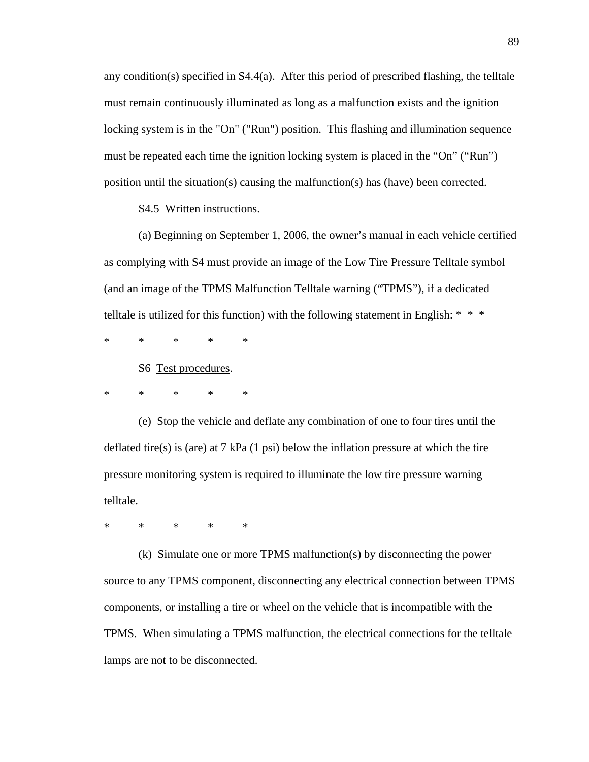any condition(s) specified in S4.4(a). After this period of prescribed flashing, the telltale must remain continuously illuminated as long as a malfunction exists and the ignition locking system is in the "On" ("Run") position. This flashing and illumination sequence must be repeated each time the ignition locking system is placed in the "On" ("Run") position until the situation(s) causing the malfunction(s) has (have) been corrected.

S4.5 Written instructions.

(a) Beginning on September 1, 2006, the owner's manual in each vehicle certified as complying with S4 must provide an image of the Low Tire Pressure Telltale symbol (and an image of the TPMS Malfunction Telltale warning ("TPMS"), if a dedicated telltale is utilized for this function) with the following statement in English: \* \* \*

\* \* \* \* \*

S6 Test procedures.

\* \* \* \* \*

(e) Stop the vehicle and deflate any combination of one to four tires until the deflated tire(s) is (are) at 7 kPa  $(1 \text{ psi})$  below the inflation pressure at which the tire pressure monitoring system is required to illuminate the low tire pressure warning telltale.

\* \* \* \* \*

(k) Simulate one or more TPMS malfunction(s) by disconnecting the power source to any TPMS component, disconnecting any electrical connection between TPMS components, or installing a tire or wheel on the vehicle that is incompatible with the TPMS. When simulating a TPMS malfunction, the electrical connections for the telltale lamps are not to be disconnected.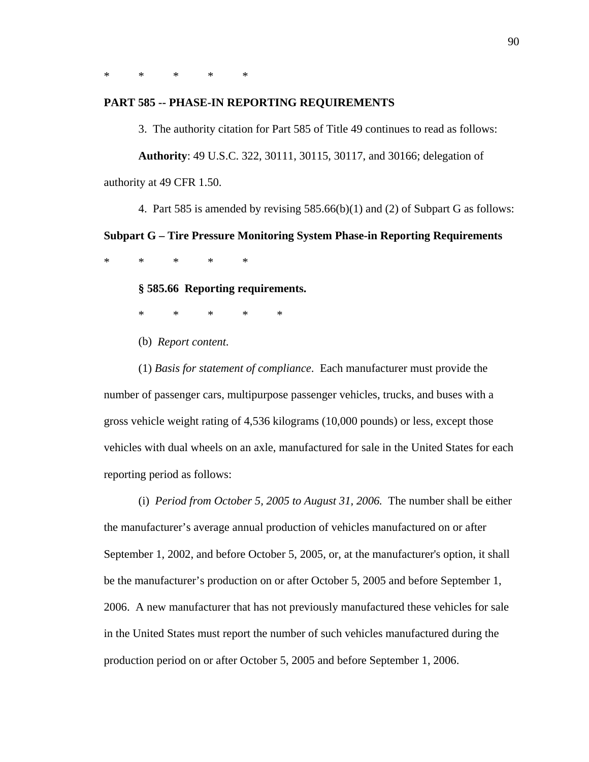\* \* \* \* \*

#### **PART 585 -- PHASE-IN REPORTING REQUIREMENTS**

3. The authority citation for Part 585 of Title 49 continues to read as follows:

**Authority**: 49 U.S.C. 322, 30111, 30115, 30117, and 30166; delegation of authority at 49 CFR 1.50.

4. Part 585 is amended by revising 585.66(b)(1) and (2) of Subpart G as follows:

**Subpart G – Tire Pressure Monitoring System Phase-in Reporting Requirements** 

\* \* \* \* \*

**§ 585.66 Reporting requirements.**

\* \* \* \* \*

(b) *Report content*.

(1) *Basis for statement of compliance*. Each manufacturer must provide the number of passenger cars, multipurpose passenger vehicles, trucks, and buses with a gross vehicle weight rating of 4,536 kilograms (10,000 pounds) or less, except those vehicles with dual wheels on an axle, manufactured for sale in the United States for each reporting period as follows:

(i) *Period from October 5, 2005 to August 31, 2006.* The number shall be either the manufacturer's average annual production of vehicles manufactured on or after September 1, 2002, and before October 5, 2005, or, at the manufacturer's option, it shall be the manufacturer's production on or after October 5, 2005 and before September 1, 2006. A new manufacturer that has not previously manufactured these vehicles for sale in the United States must report the number of such vehicles manufactured during the production period on or after October 5, 2005 and before September 1, 2006.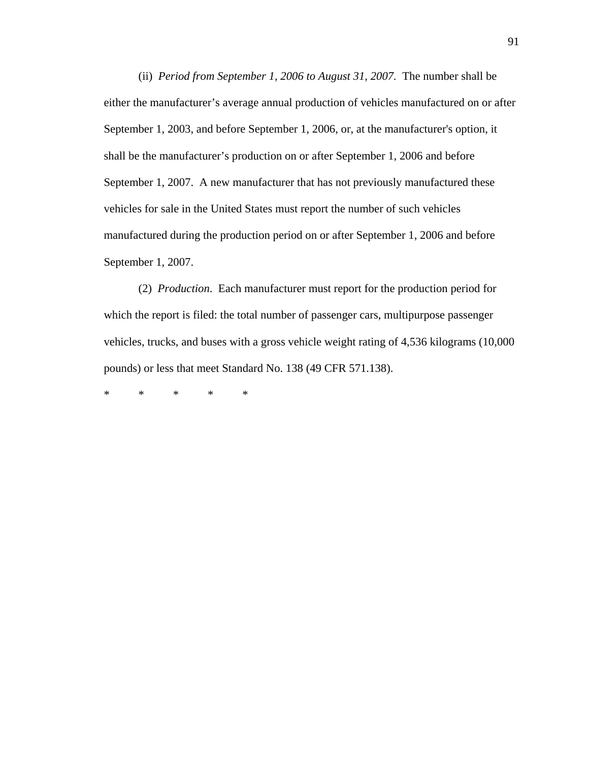(ii) *Period from September 1, 2006 to August 31, 2007.* The number shall be either the manufacturer's average annual production of vehicles manufactured on or after September 1, 2003, and before September 1, 2006, or, at the manufacturer's option, it shall be the manufacturer's production on or after September 1, 2006 and before September 1, 2007. A new manufacturer that has not previously manufactured these vehicles for sale in the United States must report the number of such vehicles manufactured during the production period on or after September 1, 2006 and before September 1, 2007.

(2) *Production*. Each manufacturer must report for the production period for which the report is filed: the total number of passenger cars, multipurpose passenger vehicles, trucks, and buses with a gross vehicle weight rating of 4,536 kilograms (10,000 pounds) or less that meet Standard No. 138 (49 CFR 571.138).

\* \* \* \* \*